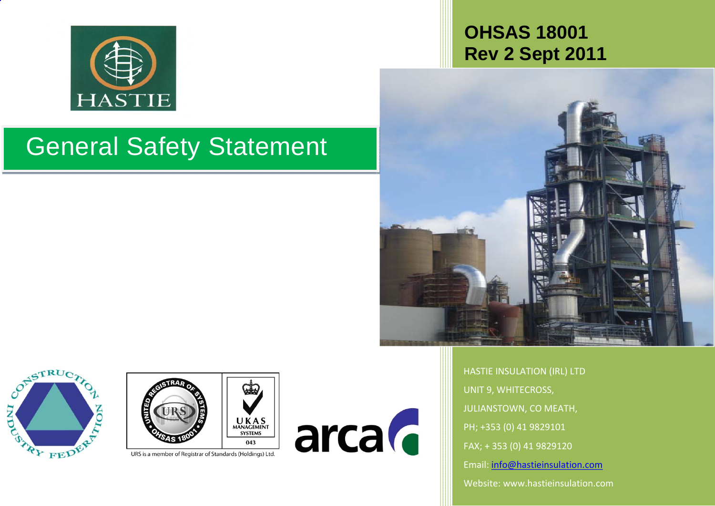

# **OHSAS 18001Rev 2 Sept 2011**



HASTIE INSULATION (IRL) LTD UNIT 9, WHITECROSS, JULIANSTOWN, CO MEATH, PH; +353 (0) 41 9829101 FAX; <sup>+</sup> 353 (0) 41 9829120 Email: info@hastieinsulation.com Website: www.hastieinsulation.com

# General Safety Statement





URS is a member of Registrar of Standards (Holdings) Ltd.

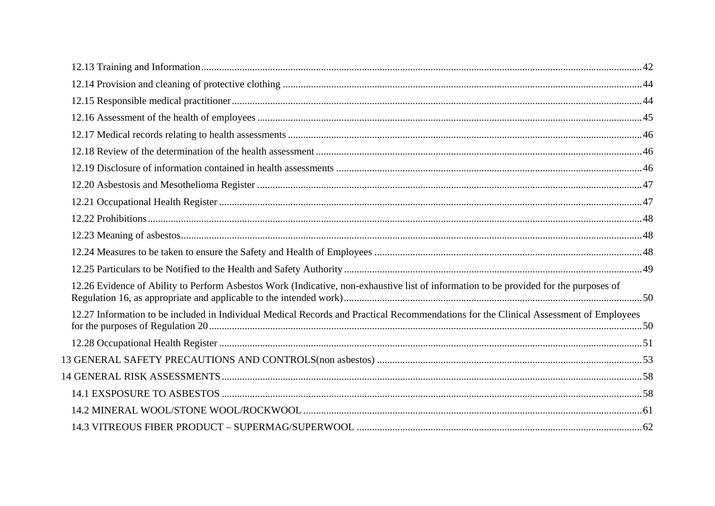| 12.26 Evidence of Ability to Perform Asbestos Work (Indicative, non-exhaustive list of information to be provided for the purposes of |  |
|---------------------------------------------------------------------------------------------------------------------------------------|--|
| 12.27 Information to be included in Individual Medical Records and Practical Recommendations for the Clinical Assessment of Employees |  |
|                                                                                                                                       |  |
|                                                                                                                                       |  |
|                                                                                                                                       |  |
|                                                                                                                                       |  |
|                                                                                                                                       |  |
|                                                                                                                                       |  |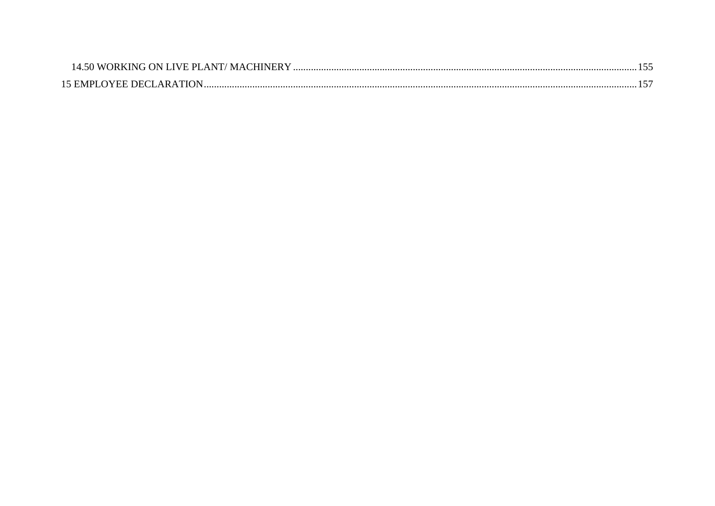| $\overline{\lambda}$ 50 WORKING ON LIVE PLANT/ MACHINER $\vee$ |  |
|----------------------------------------------------------------|--|
| 15 EMPI OVEE DECLARATION                                       |  |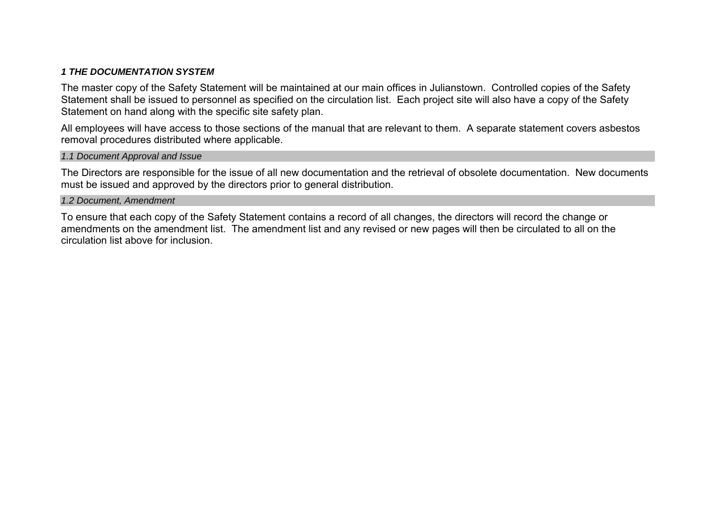# *1 THE DOCUMENTATION SYSTEM*

The master copy of the Safety Statement will be maintained at our main offices in Julianstown. Controlled copies of the Safety Statement shall be issued to personnel as specified on the circulation list. Each project site will also have a copy of the Safety Statement on hand along with the specific site safety plan.

All employees will have access to those sections of the manual that are relevant to them. A separate statement covers asbestos removal procedures distributed where applicable.

*1.1 Document Approval and Issue* 

The Directors are responsible for the issue of all new documentation and the retrieval of obsolete documentation. New documents must be issued and approved by the directors prior to general distribution.

# *1.2 Document, Amendment*

To ensure that each copy of the Safety Statement contains a record of all changes, the directors will record the change or amendments on the amendment list. The amendment list and any revised or new pages will then be circulated to all on the circulation list above for inclusion.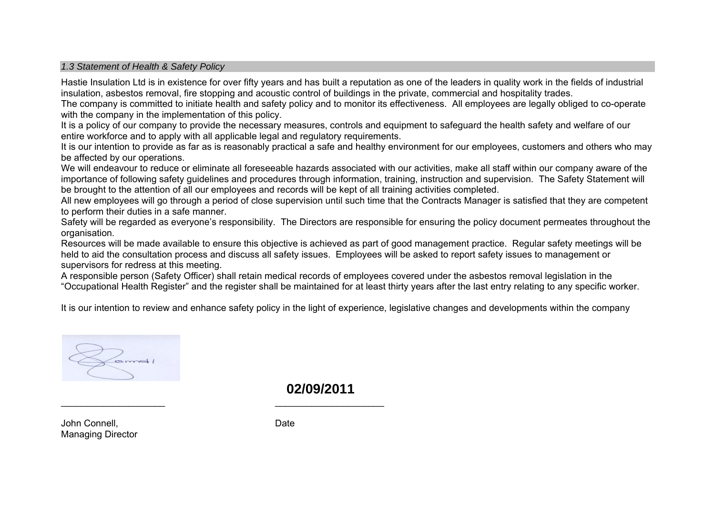#### *1.3 Statement of Health & Safety Policy*

Hastie Insulation Ltd is in existence for over fifty years and has built a reputation as one of the leaders in quality work in the fields of industrial insulation, asbestos removal, fire stopping and acoustic control of buildings in the private, commercial and hospitality trades.

The company is committed to initiate health and safety policy and to monitor its effectiveness. All employees are legally obliged to co-operate with the company in the implementation of this policy.

It is a policy of our company to provide the necessary measures, controls and equipment to safeguard the health safety and welfare of our entire workforce and to apply with all applicable legal and regulatory requirements.

It is our intention to provide as far as is reasonably practical a safe and healthy environment for our employees, customers and others who may be affected by our operations.

We will endeavour to reduce or eliminate all foreseeable hazards associated with our activities, make all staff within our company aware of the importance of following safety guidelines and procedures through information, training, instruction and supervision. The Safety Statement will be brought to the attention of all our employees and records will be kept of all training activities completed.

All new employees will go through a period of close supervision until such time that the Contracts Manager is satisfied that they are competent to perform their duties in a safe manner.

Safety will be regarded as everyone's responsibility. The Directors are responsible for ensuring the policy document permeates throughout the organisation.

Resources will be made available to ensure this objective is achieved as part of good management practice. Regular safety meetings will be held to aid the consultation process and discuss all safety issues. Employees will be asked to report safety issues to management or supervisors for redress at this meeting.

A responsible person (Safety Officer) shall retain medical records of employees covered under the asbestos removal legislation in the "Occupational Health Register" and the register shall be maintained for at least thirty years after the last entry relating to any specific worker.

It is our intention to review and enhance safety policy in the light of experience, legislative changes and developments within the company

**02/09/2011** 

John Connell. **Date** Managing Director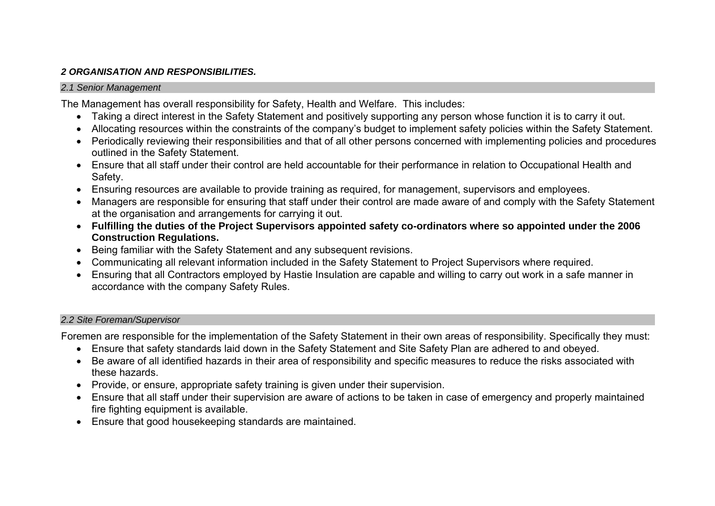# *2 ORGANISATION AND RESPONSIBILITIES.*

# *2.1 Senior Management*

The Management has overall responsibility for Safety, Health and Welfare. This includes:

- Taking a direct interest in the Safety Statement and positively supporting any person whose function it is to carry it out.
- Allocating resources within the constraints of the company's budget to implement safety policies within the Safety Statement.
- Periodically reviewing their responsibilities and that of all other persons concerned with implementing policies and procedures outlined in the Safety Statement.
- Ensure that all staff under their control are held accountable for their performance in relation to Occupational Health and Safety.
- Ensuring resources are available to provide training as required, for management, supervisors and employees.
- Managers are responsible for ensuring that staff under their control are made aware of and comply with the Safety Statement at the organisation and arrangements for carrying it out.
- **Fulfilling the duties of the Project Supervisors appointed safety co-ordinators where so appointed under the 2006 Construction Regulations.**
- Being familiar with the Safety Statement and any subsequent revisions.
- Communicating all relevant information included in the Safety Statement to Project Supervisors where required.
- Ensuring that all Contractors employed by Hastie Insulation are capable and willing to carry out work in a safe manner in accordance with the company Safety Rules.

# *2.2 Site Foreman/Supervisor*

Foremen are responsible for the implementation of the Safety Statement in their own areas of responsibility. Specifically they must:

- Ensure that safety standards laid down in the Safety Statement and Site Safety Plan are adhered to and obeyed.
- Be aware of all identified hazards in their area of responsibility and specific measures to reduce the risks associated with these hazards.
- Provide, or ensure, appropriate safety training is given under their supervision.
- Ensure that all staff under their supervision are aware of actions to be taken in case of emergency and properly maintained fire fighting equipment is available.
- Ensure that good housekeeping standards are maintained.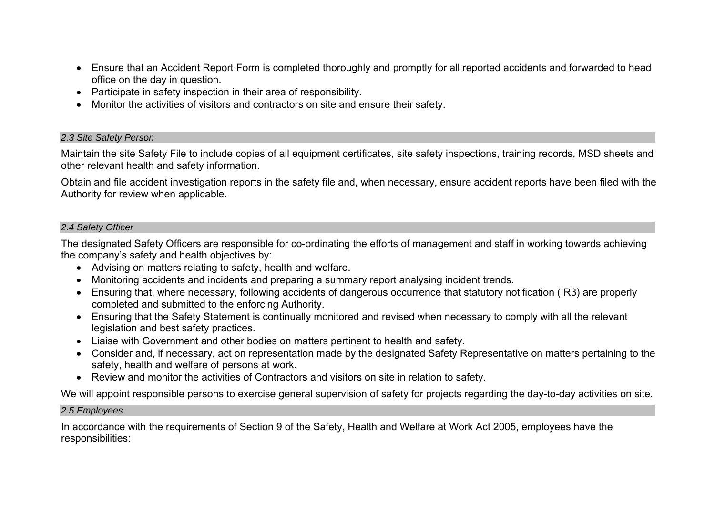- Ensure that an Accident Report Form is completed thoroughly and promptly for all reported accidents and forwarded to head office on the day in question.
- Participate in safety inspection in their area of responsibility.
- Monitor the activities of visitors and contractors on site and ensure their safety.

# *2.3 Site Safety Person*

Maintain the site Safety File to include copies of all equipment certificates, site safety inspections, training records, MSD sheets and other relevant health and safety information.

Obtain and file accident investigation reports in the safety file and, when necessary, ensure accident reports have been filed with the Authority for review when applicable.

# *2.4 Safety Officer*

The designated Safety Officers are responsible for co-ordinating the efforts of management and staff in working towards achieving the company's safety and health objectives by:

- Advising on matters relating to safety, health and welfare.
- Monitoring accidents and incidents and preparing a summary report analysing incident trends.
- Ensuring that, where necessary, following accidents of dangerous occurrence that statutory notification (IR3) are properly completed and submitted to the enforcing Authority.
- Ensuring that the Safety Statement is continually monitored and revised when necessary to comply with all the relevant legislation and best safety practices.
- Liaise with Government and other bodies on matters pertinent to health and safety.
- Consider and, if necessary, act on representation made by the designated Safety Representative on matters pertaining to the safety, health and welfare of persons at work.
- Review and monitor the activities of Contractors and visitors on site in relation to safety.

We will appoint responsible persons to exercise general supervision of safety for projects regarding the day-to-day activities on site.

# *2.5 Employees*

In accordance with the requirements of Section 9 of the Safety, Health and Welfare at Work Act 2005, employees have the responsibilities: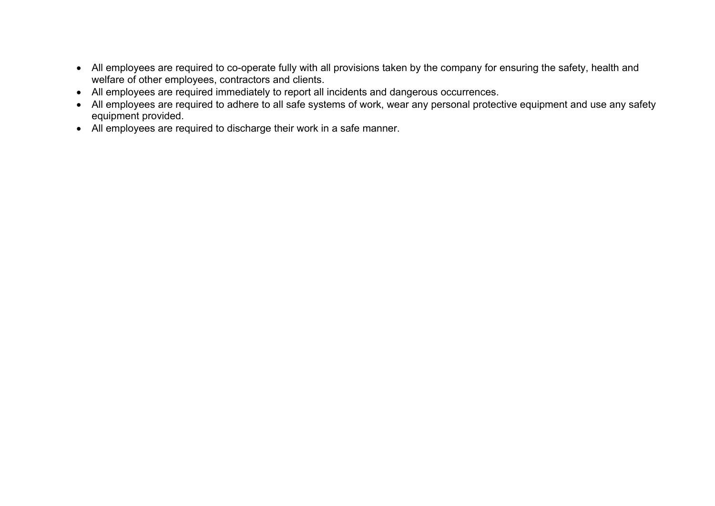- All employees are required to co-operate fully with all provisions taken by the company for ensuring the safety, health and welfare of other employees, contractors and clients.
- All employees are required immediately to report all incidents and dangerous occurrences.
- All employees are required to adhere to all safe systems of work, wear any personal protective equipment and use any safety equipment provided.
- All employees are required to discharge their work in a safe manner.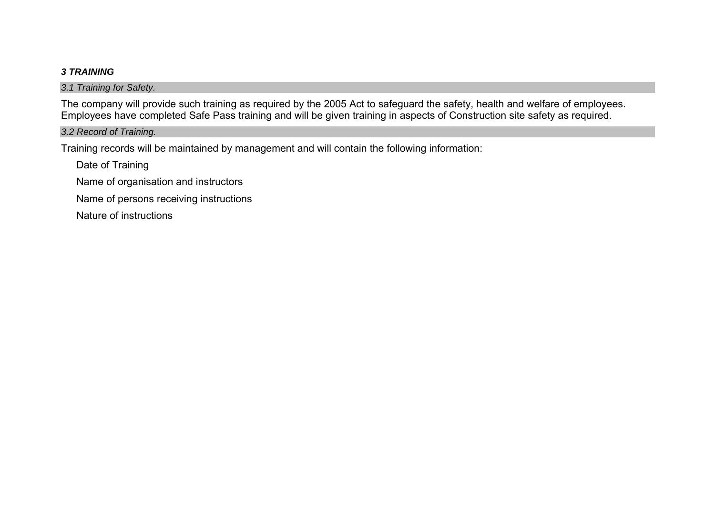# *3 TRAINING*

*3.1 Training for Safety.* 

The company will provide such training as required by the 2005 Act to safeguard the safety, health and welfare of employees. Employees have completed Safe Pass training and will be given training in aspects of Construction site safety as required.

# *3.2 Record of Training.*

Training records will be maintained by management and will contain the following information:

Date of Training

Name of organisation and instructors

Name of persons receiving instructions

Nature of instructions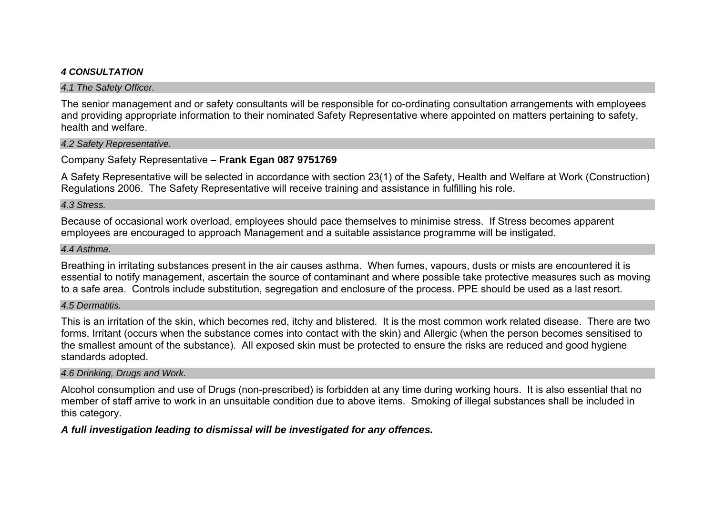# *4 CONSULTATION*

#### *4.1 The Safety Officer.*

The senior management and or safety consultants will be responsible for co-ordinating consultation arrangements with employees and providing appropriate information to their nominated Safety Representative where appointed on matters pertaining to safety, health and welfare.

# *4.2 Safety Representative.*

# Company Safety Representative – **Frank Egan 087 9751769**

A Safety Representative will be selected in accordance with section 23(1) of the Safety, Health and Welfare at Work (Construction) Regulations 2006. The Safety Representative will receive training and assistance in fulfilling his role.

# *4.3 Stress.*

Because of occasional work overload, employees should pace themselves to minimise stress. If Stress becomes apparent employees are encouraged to approach Management and a suitable assistance programme will be instigated.

# *4.4 Asthma.*

Breathing in irritating substances present in the air causes asthma. When fumes, vapours, dusts or mists are encountered it is essential to notify management, ascertain the source of contaminant and where possible take protective measures such as moving to a safe area. Controls include substitution, segregation and enclosure of the process. PPE should be used as a last resort.

# *4.5 Dermatitis.*

This is an irritation of the skin, which becomes red, itchy and blistered. It is the most common work related disease. There are two forms, Irritant (occurs when the substance comes into contact with the skin) and Allergic (when the person becomes sensitised to the smallest amount of the substance). All exposed skin must be protected to ensure the risks are reduced and good hygiene standards adopted.

# *4.6 Drinking, Drugs and Work.*

Alcohol consumption and use of Drugs (non-prescribed) is forbidden at any time during working hours. It is also essential that no member of staff arrive to work in an unsuitable condition due to above items. Smoking of illegal substances shall be included in this category.

# *A full investigation leading to dismissal will be investigated for any offences.*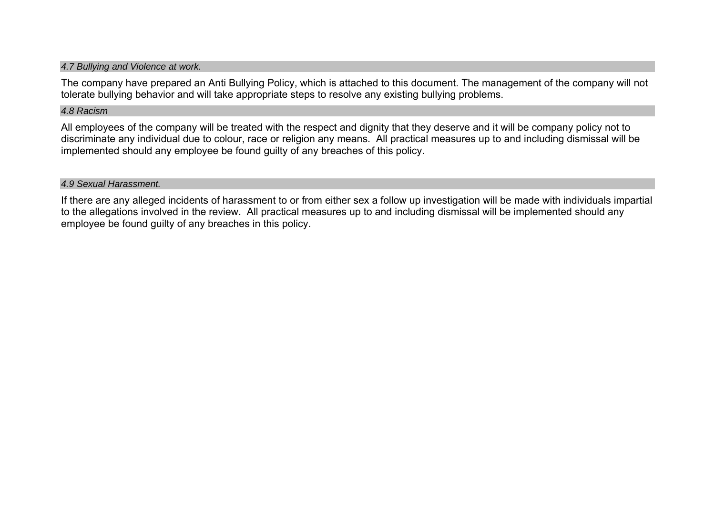#### *4.7 Bullying and Violence at work.*

The company have prepared an Anti Bullying Policy, which is attached to this document. The management of the company will not tolerate bullying behavior and will take appropriate steps to resolve any existing bullying problems.

#### *4.8 Racism*

All employees of the company will be treated with the respect and dignity that they deserve and it will be company policy not to discriminate any individual due to colour, race or religion any means. All practical measures up to and including dismissal will be implemented should any employee be found guilty of any breaches of this policy.

*4.9 Sexual Harassment.* 

If there are any alleged incidents of harassment to or from either sex a follow up investigation will be made with individuals impartial to the allegations involved in the review. All practical measures up to and including dismissal will be implemented should any employee be found guilty of any breaches in this policy.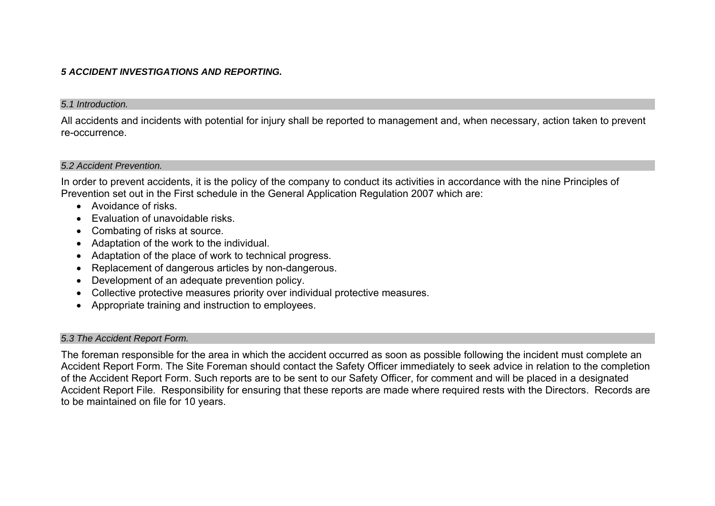# *5 ACCIDENT INVESTIGATIONS AND REPORTING.*

#### *5.1 Introduction.*

All accidents and incidents with potential for injury shall be reported to management and, when necessary, action taken to prevent re-occurrence.

# *5.2 Accident Prevention.*

In order to prevent accidents, it is the policy of the company to conduct its activities in accordance with the nine Principles of Prevention set out in the First schedule in the General Application Regulation 2007 which are:

- Avoidance of risks.
- Evaluation of unavoidable risks.
- Combating of risks at source.
- Adaptation of the work to the individual.
- Adaptation of the place of work to technical progress.
- Replacement of dangerous articles by non-dangerous.
- Development of an adequate prevention policy.
- Collective protective measures priority over individual protective measures.
- Appropriate training and instruction to employees.

#### *5.3 The Accident Report Form.*

The foreman responsible for the area in which the accident occurred as soon as possible following the incident must complete an Accident Report Form. The Site Foreman should contact the Safety Officer immediately to seek advice in relation to the completion of the Accident Report Form. Such reports are to be sent to our Safety Officer, for comment and will be placed in a designated Accident Report File. Responsibility for ensuring that these reports are made where required rests with the Directors. Records are to be maintained on file for 10 years.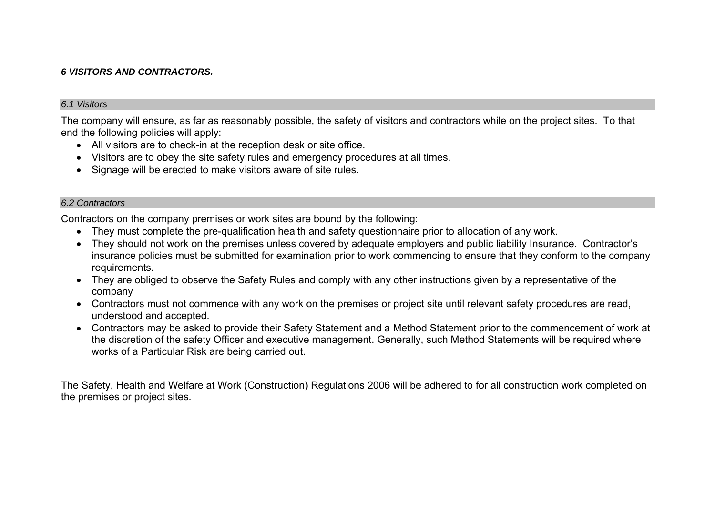# *6 VISITORS AND CONTRACTORS.*

#### *6.1 Visitors*

The company will ensure, as far as reasonably possible, the safety of visitors and contractors while on the project sites. To that end the following policies will apply:

- All visitors are to check-in at the reception desk or site office.
- Visitors are to obey the site safety rules and emergency procedures at all times.
- Signage will be erected to make visitors aware of site rules.

#### *6.2 Contractors*

Contractors on the company premises or work sites are bound by the following:

- They must complete the pre-qualification health and safety questionnaire prior to allocation of any work.
- They should not work on the premises unless covered by adequate employers and public liability Insurance. Contractor's insurance policies must be submitted for examination prior to work commencing to ensure that they conform to the company requirements.
- They are obliged to observe the Safety Rules and comply with any other instructions given by a representative of the company
- Contractors must not commence with any work on the premises or project site until relevant safety procedures are read, understood and accepted.
- Contractors may be asked to provide their Safety Statement and a Method Statement prior to the commencement of work at the discretion of the safety Officer and executive management. Generally, such Method Statements will be required where works of a Particular Risk are being carried out.

The Safety, Health and Welfare at Work (Construction) Regulations 2006 will be adhered to for all construction work completed on the premises or project sites.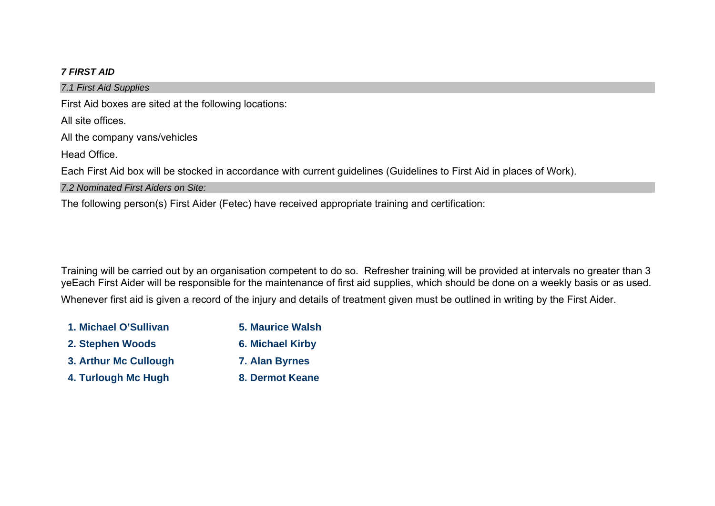# *7 FIRST AID*

*7.1 First Aid Supplies*  First Aid boxes are sited at the following locations: All site offices. All the company vans/vehicles Head Office. Each First Aid box will be stocked in accordance with current guidelines (Guidelines to First Aid in places of Work). *7.2 Nominated First Aiders on Site:*  The following person(s) First Aider (Fetec) have received appropriate training and certification:

Training will be carried out by an organisation competent to do so. Refresher training will be provided at intervals no greater than 3 yeEach First Aider will be responsible for the maintenance of first aid supplies, which should be done on a weekly basis or as used. Whenever first aid is given a record of the injury and details of treatment given must be outlined in writing by the First Aider.

| 1. Michael O'Sullivan | <b>5. Maurice Walsh</b> |
|-----------------------|-------------------------|
| 2. Stephen Woods      | <b>6. Michael Kirby</b> |
| 3. Arthur Mc Cullough | 7. Alan Byrnes          |
| 4. Turlough Mc Hugh   | 8. Dermot Keane         |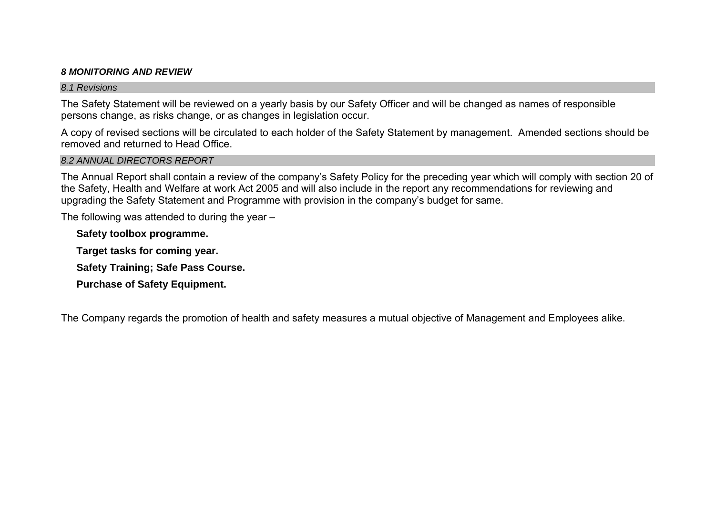# *8 MONITORING AND REVIEW*

#### *8.1 Revisions*

The Safety Statement will be reviewed on a yearly basis by our Safety Officer and will be changed as names of responsible persons change, as risks change, or as changes in legislation occur.

A copy of revised sections will be circulated to each holder of the Safety Statement by management. Amended sections should be removed and returned to Head Office.

# *8.2 ANNUAL DIRECTORS REPORT*

The Annual Report shall contain a review of the company's Safety Policy for the preceding year which will comply with section 20 of the Safety, Health and Welfare at work Act 2005 and will also include in the report any recommendations for reviewing and upgrading the Safety Statement and Programme with provision in the company's budget for same.

The following was attended to during the year –

**Safety toolbox programme.** 

**Target tasks for coming year.** 

**Safety Training; Safe Pass Course.** 

**Purchase of Safety Equipment.** 

The Company regards the promotion of health and safety measures a mutual objective of Management and Employees alike.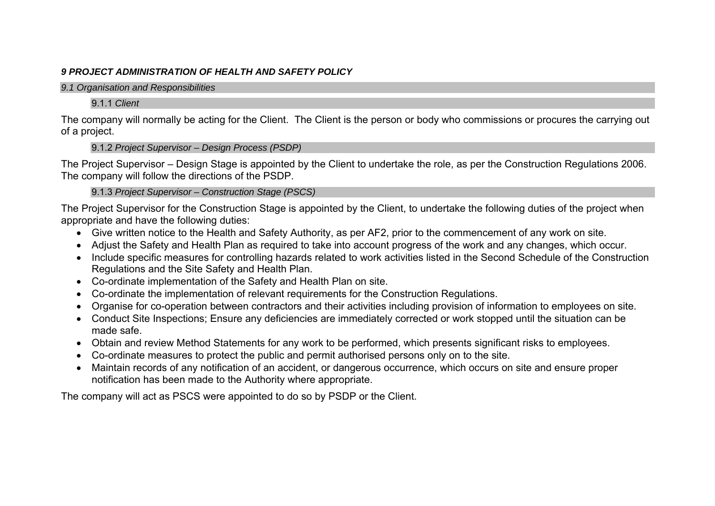# *9 PROJECT ADMINISTRATION OF HEALTH AND SAFETY POLICY*

#### *9.1 Organisation and Responsibilities*

# 9.1.1 *Client*

The company will normally be acting for the Client. The Client is the person or body who commissions or procures the carrying out of a project.

9.1.2 *Project Supervisor – Design Process (PSDP)* 

The Project Supervisor – Design Stage is appointed by the Client to undertake the role, as per the Construction Regulations 2006. The company will follow the directions of the PSDP.

9.1.3 *Project Supervisor – Construction Stage (PSCS)* 

The Project Supervisor for the Construction Stage is appointed by the Client, to undertake the following duties of the project when appropriate and have the following duties:

- Give written notice to the Health and Safety Authority, as per AF2, prior to the commencement of any work on site.
- Adjust the Safety and Health Plan as required to take into account progress of the work and any changes, which occur.
- Include specific measures for controlling hazards related to work activities listed in the Second Schedule of the Construction Regulations and the Site Safety and Health Plan.
- Co-ordinate implementation of the Safety and Health Plan on site.
- Co-ordinate the implementation of relevant requirements for the Construction Regulations.
- Organise for co-operation between contractors and their activities including provision of information to employees on site.
- Conduct Site Inspections; Ensure any deficiencies are immediately corrected or work stopped until the situation can be made safe.
- Obtain and review Method Statements for any work to be performed, which presents significant risks to employees.
- Co-ordinate measures to protect the public and permit authorised persons only on to the site.
- Maintain records of any notification of an accident, or dangerous occurrence, which occurs on site and ensure proper notification has been made to the Authority where appropriate.

The company will act as PSCS were appointed to do so by PSDP or the Client.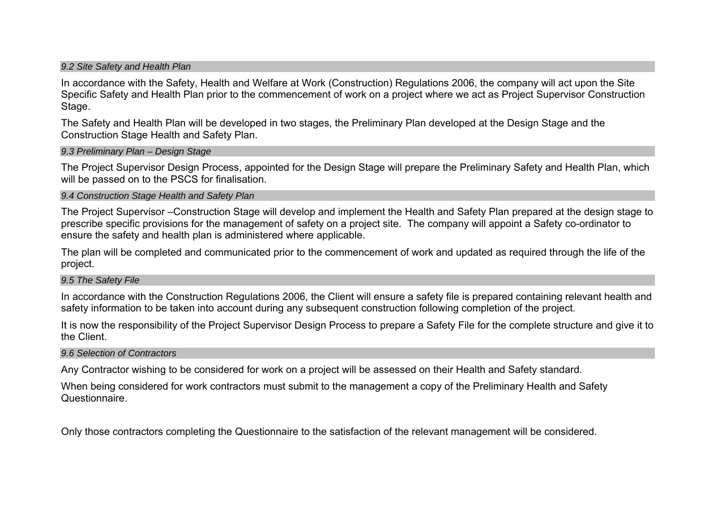#### *9.2 Site Safety and Health Plan*

In accordance with the Safety, Health and Welfare at Work (Construction) Regulations 2006, the company will act upon the Site Specific Safety and Health Plan prior to the commencement of work on a project where we act as Project Supervisor Construction Stage.

The Safety and Health Plan will be developed in two stages, the Preliminary Plan developed at the Design Stage and the Construction Stage Health and Safety Plan.

#### *9.3 Preliminary Plan – Design Stage*

The Project Supervisor Design Process, appointed for the Design Stage will prepare the Preliminary Safety and Health Plan, which will be passed on to the PSCS for finalisation.

#### *9.4 Construction Stage Health and Safety Plan*

The Project Supervisor –Construction Stage will develop and implement the Health and Safety Plan prepared at the design stage to prescribe specific provisions for the management of safety on a project site. The company will appoint a Safety co-ordinator to ensure the safety and health plan is administered where applicable.

The plan will be completed and communicated prior to the commencement of work and updated as required through the life of the project.

#### *9.5 The Safety File*

In accordance with the Construction Regulations 2006, the Client will ensure a safety file is prepared containing relevant health and safety information to be taken into account during any subsequent construction following completion of the project.

It is now the responsibility of the Project Supervisor Design Process to prepare a Safety File for the complete structure and give it to the Client.

#### *9.6 Selection of Contractors*

Any Contractor wishing to be considered for work on a project will be assessed on their Health and Safety standard.

When being considered for work contractors must submit to the management a copy of the Preliminary Health and Safety Questionnaire.

Only those contractors completing the Questionnaire to the satisfaction of the relevant management will be considered.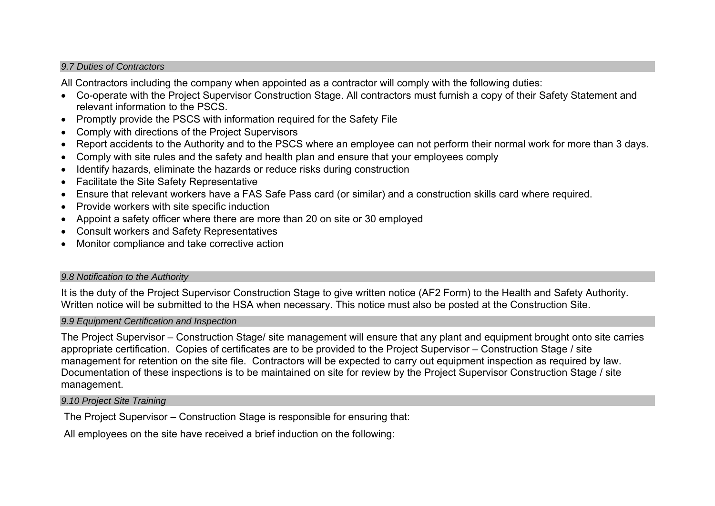#### *9.7 Duties of Contractors*

All Contractors including the company when appointed as a contractor will comply with the following duties:

- Co-operate with the Project Supervisor Construction Stage. All contractors must furnish a copy of their Safety Statement and relevant information to the PSCS.
- Promptly provide the PSCS with information required for the Safety File
- Comply with directions of the Project Supervisors
- Report accidents to the Authority and to the PSCS where an employee can not perform their normal work for more than 3 days.
- Comply with site rules and the safety and health plan and ensure that your employees comply
- Identify hazards, eliminate the hazards or reduce risks during construction
- Facilitate the Site Safety Representative
- Ensure that relevant workers have a FAS Safe Pass card (or similar) and a construction skills card where required.
- Provide workers with site specific induction
- Appoint a safety officer where there are more than 20 on site or 30 employed
- Consult workers and Safety Representatives
- Monitor compliance and take corrective action

# *9.8 Notification to the Authority*

It is the duty of the Project Supervisor Construction Stage to give written notice (AF2 Form) to the Health and Safety Authority. Written notice will be submitted to the HSA when necessary. This notice must also be posted at the Construction Site.

# *9.9 Equipment Certification and Inspection*

The Project Supervisor – Construction Stage/ site management will ensure that any plant and equipment brought onto site carries appropriate certification. Copies of certificates are to be provided to the Project Supervisor – Construction Stage / site management for retention on the site file. Contractors will be expected to carry out equipment inspection as required by law. Documentation of these inspections is to be maintained on site for review by the Project Supervisor Construction Stage / site management.

# *9.10 Project Site Training*

The Project Supervisor – Construction Stage is responsible for ensuring that:

All employees on the site have received a brief induction on the following: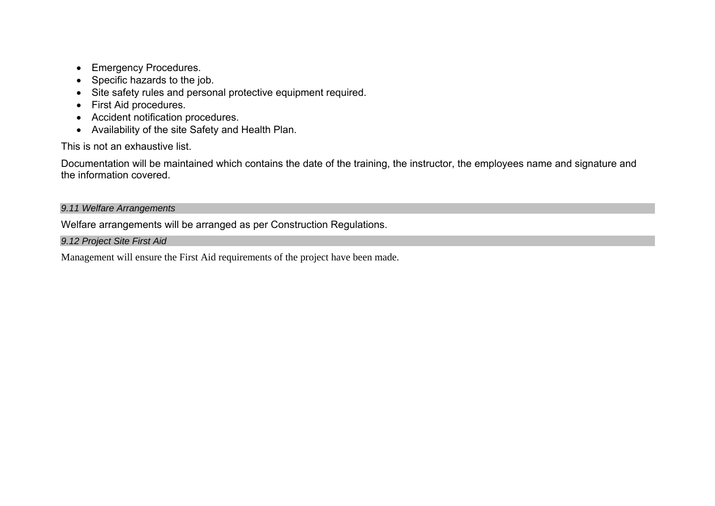- Emergency Procedures.
- Specific hazards to the job.
- Site safety rules and personal protective equipment required.
- First Aid procedures.
- Accident notification procedures.
- Availability of the site Safety and Health Plan.

This is not an exhaustive list.

Documentation will be maintained which contains the date of the training, the instructor, the employees name and signature and the information covered.

# *9.11 Welfare Arrangements*

Welfare arrangements will be arranged as per Construction Regulations.

*9.12 Project Site First Aid* 

Management will ensure the First Aid requirements of the project have been made.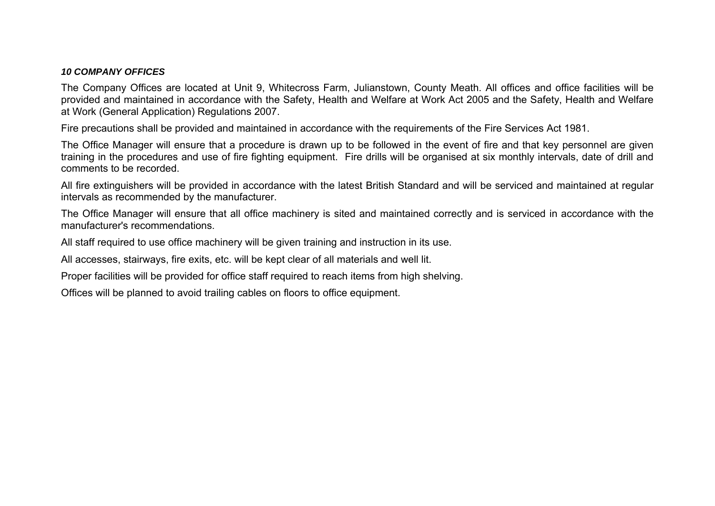#### *10 COMPANY OFFICES*

The Company Offices are located at Unit 9, Whitecross Farm, Julianstown, County Meath. All offices and office facilities will be provided and maintained in accordance with the Safety, Health and Welfare at Work Act 2005 and the Safety, Health and Welfare at Work (General Application) Regulations 2007.

Fire precautions shall be provided and maintained in accordance with the requirements of the Fire Services Act 1981.

The Office Manager will ensure that a procedure is drawn up to be followed in the event of fire and that key personnel are given training in the procedures and use of fire fighting equipment. Fire drills will be organised at six monthly intervals, date of drill and comments to be recorded.

All fire extinguishers will be provided in accordance with the latest British Standard and will be serviced and maintained at regular intervals as recommended by the manufacturer.

The Office Manager will ensure that all office machinery is sited and maintained correctly and is serviced in accordance with the manufacturer's recommendations.

All staff required to use office machinery will be given training and instruction in its use.

All accesses, stairways, fire exits, etc. will be kept clear of all materials and well lit.

Proper facilities will be provided for office staff required to reach items from high shelving.

Offices will be planned to avoid trailing cables on floors to office equipment.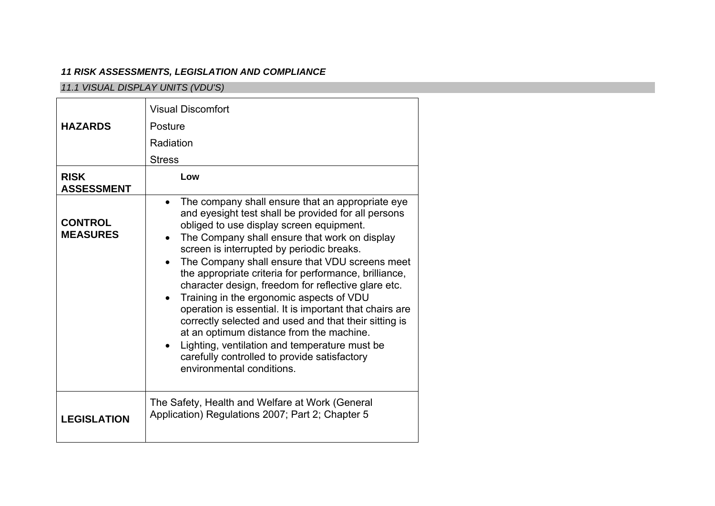# *11 RISK ASSESSMENTS, LEGISLATION AND COMPLIANCE*

# *11.1 VISUAL DISPLAY UNITS (VDU'S)*

|                                   | <b>Visual Discomfort</b>                                                                                                                                                                                                                                                                                                                                                                                                                                                                                                                                                                                                                                                                                                                                                   |
|-----------------------------------|----------------------------------------------------------------------------------------------------------------------------------------------------------------------------------------------------------------------------------------------------------------------------------------------------------------------------------------------------------------------------------------------------------------------------------------------------------------------------------------------------------------------------------------------------------------------------------------------------------------------------------------------------------------------------------------------------------------------------------------------------------------------------|
| <b>HAZARDS</b>                    | Posture                                                                                                                                                                                                                                                                                                                                                                                                                                                                                                                                                                                                                                                                                                                                                                    |
|                                   | Radiation                                                                                                                                                                                                                                                                                                                                                                                                                                                                                                                                                                                                                                                                                                                                                                  |
|                                   | <b>Stress</b>                                                                                                                                                                                                                                                                                                                                                                                                                                                                                                                                                                                                                                                                                                                                                              |
| <b>RISK</b><br><b>ASSESSMENT</b>  | Low                                                                                                                                                                                                                                                                                                                                                                                                                                                                                                                                                                                                                                                                                                                                                                        |
| <b>CONTROL</b><br><b>MEASURES</b> | The company shall ensure that an appropriate eye<br>$\bullet$<br>and eyesight test shall be provided for all persons<br>obliged to use display screen equipment.<br>The Company shall ensure that work on display<br>screen is interrupted by periodic breaks.<br>The Company shall ensure that VDU screens meet<br>the appropriate criteria for performance, brilliance,<br>character design, freedom for reflective glare etc.<br>Training in the ergonomic aspects of VDU<br>operation is essential. It is important that chairs are<br>correctly selected and used and that their sitting is<br>at an optimum distance from the machine.<br>Lighting, ventilation and temperature must be<br>carefully controlled to provide satisfactory<br>environmental conditions. |
| <b>LEGISLATION</b>                | The Safety, Health and Welfare at Work (General<br>Application) Regulations 2007; Part 2; Chapter 5                                                                                                                                                                                                                                                                                                                                                                                                                                                                                                                                                                                                                                                                        |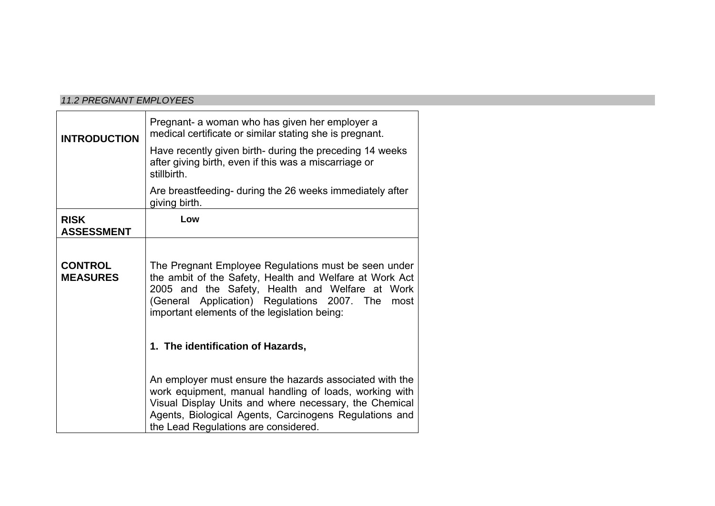#### *11.2 PREGNANT EMPLOYEES*

| <b>INTRODUCTION</b>               | Pregnant- a woman who has given her employer a<br>medical certificate or similar stating she is pregnant.<br>Have recently given birth- during the preceding 14 weeks<br>after giving birth, even if this was a miscarriage or<br>stillbirth.                                                                  |  |  |  |
|-----------------------------------|----------------------------------------------------------------------------------------------------------------------------------------------------------------------------------------------------------------------------------------------------------------------------------------------------------------|--|--|--|
|                                   | Are breastfeeding- during the 26 weeks immediately after<br>giving birth.                                                                                                                                                                                                                                      |  |  |  |
| <b>RISK</b><br><b>ASSESSMENT</b>  | Low                                                                                                                                                                                                                                                                                                            |  |  |  |
| <b>CONTROL</b><br><b>MEASURES</b> | The Pregnant Employee Regulations must be seen under<br>the ambit of the Safety, Health and Welfare at Work Act<br>2005 and the Safety, Health and Welfare at Work<br>(General Application) Regulations 2007. The<br>most<br>important elements of the legislation being:<br>1. The identification of Hazards, |  |  |  |
|                                   | An employer must ensure the hazards associated with the<br>work equipment, manual handling of loads, working with<br>Visual Display Units and where necessary, the Chemical<br>Agents, Biological Agents, Carcinogens Regulations and<br>the Lead Regulations are considered.                                  |  |  |  |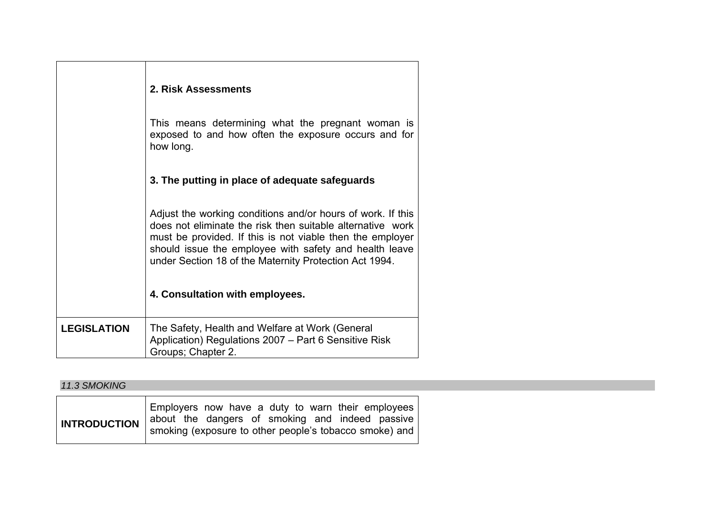|                    | 2. Risk Assessments                                                                                                                                                                                                                                                                                        |  |  |  |
|--------------------|------------------------------------------------------------------------------------------------------------------------------------------------------------------------------------------------------------------------------------------------------------------------------------------------------------|--|--|--|
|                    | This means determining what the pregnant woman is<br>exposed to and how often the exposure occurs and for<br>how long.                                                                                                                                                                                     |  |  |  |
|                    | 3. The putting in place of adequate safeguards                                                                                                                                                                                                                                                             |  |  |  |
|                    | Adjust the working conditions and/or hours of work. If this<br>does not eliminate the risk then suitable alternative work<br>must be provided. If this is not viable then the employer<br>should issue the employee with safety and health leave<br>under Section 18 of the Maternity Protection Act 1994. |  |  |  |
|                    | 4. Consultation with employees.                                                                                                                                                                                                                                                                            |  |  |  |
| <b>LEGISLATION</b> | The Safety, Health and Welfare at Work (General<br>Application) Regulations 2007 – Part 6 Sensitive Risk<br>Groups; Chapter 2.                                                                                                                                                                             |  |  |  |

# *11.3 SMOKING*

|                                                                                                          |  |  |  |  |  | Employers now have a duty to warn their employees |
|----------------------------------------------------------------------------------------------------------|--|--|--|--|--|---------------------------------------------------|
| <b>INTRODUCTION</b> about the dangers of smoking and indeed passive smoke) and interval and interval and |  |  |  |  |  |                                                   |
|                                                                                                          |  |  |  |  |  |                                                   |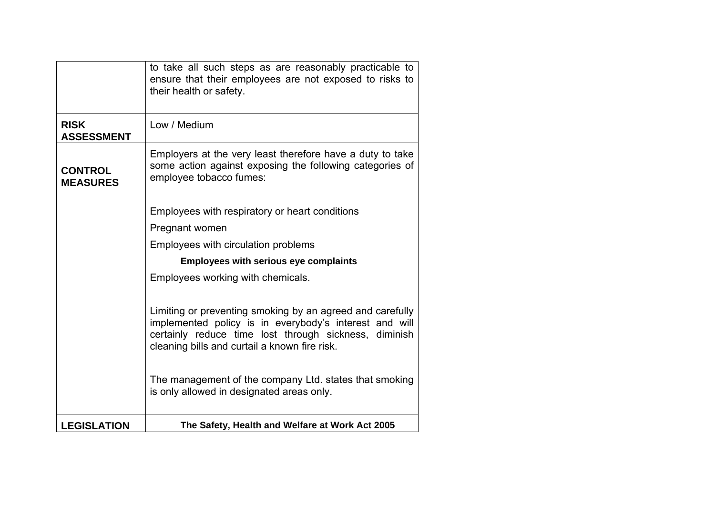|                                   | to take all such steps as are reasonably practicable to<br>ensure that their employees are not exposed to risks to<br>their health or safety.                                                                                 |
|-----------------------------------|-------------------------------------------------------------------------------------------------------------------------------------------------------------------------------------------------------------------------------|
| <b>RISK</b><br><b>ASSESSMENT</b>  | Low / Medium                                                                                                                                                                                                                  |
| <b>CONTROL</b><br><b>MEASURES</b> | Employers at the very least therefore have a duty to take<br>some action against exposing the following categories of<br>employee tobacco fumes:                                                                              |
|                                   | Employees with respiratory or heart conditions                                                                                                                                                                                |
|                                   | Pregnant women                                                                                                                                                                                                                |
|                                   | Employees with circulation problems                                                                                                                                                                                           |
|                                   | <b>Employees with serious eye complaints</b>                                                                                                                                                                                  |
|                                   | Employees working with chemicals.                                                                                                                                                                                             |
|                                   | Limiting or preventing smoking by an agreed and carefully<br>implemented policy is in everybody's interest and will<br>certainly reduce time lost through sickness, diminish<br>cleaning bills and curtail a known fire risk. |
|                                   | The management of the company Ltd. states that smoking<br>is only allowed in designated areas only.                                                                                                                           |
| <b>LEGISLATION</b>                | The Safety, Health and Welfare at Work Act 2005                                                                                                                                                                               |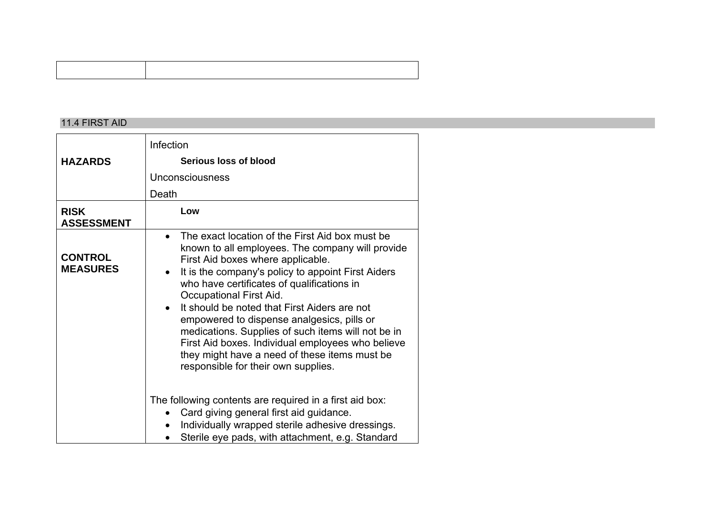#### 11.4 FIRST AID

|                                   | Infection                                                                                                                                                                                                                                                                                                                                                                                                                                                                                                                                                                                          |  |
|-----------------------------------|----------------------------------------------------------------------------------------------------------------------------------------------------------------------------------------------------------------------------------------------------------------------------------------------------------------------------------------------------------------------------------------------------------------------------------------------------------------------------------------------------------------------------------------------------------------------------------------------------|--|
| <b>HAZARDS</b>                    | Serious loss of blood                                                                                                                                                                                                                                                                                                                                                                                                                                                                                                                                                                              |  |
|                                   | <b>Unconsciousness</b>                                                                                                                                                                                                                                                                                                                                                                                                                                                                                                                                                                             |  |
|                                   | Death                                                                                                                                                                                                                                                                                                                                                                                                                                                                                                                                                                                              |  |
| <b>RISK</b><br><b>ASSESSMENT</b>  | Low                                                                                                                                                                                                                                                                                                                                                                                                                                                                                                                                                                                                |  |
| <b>CONTROL</b><br><b>MEASURES</b> | The exact location of the First Aid box must be<br>$\bullet$<br>known to all employees. The company will provide<br>First Aid boxes where applicable.<br>It is the company's policy to appoint First Aiders<br>$\bullet$<br>who have certificates of qualifications in<br>Occupational First Aid.<br>It should be noted that First Aiders are not<br>empowered to dispense analgesics, pills or<br>medications. Supplies of such items will not be in<br>First Aid boxes. Individual employees who believe<br>they might have a need of these items must be<br>responsible for their own supplies. |  |
|                                   | The following contents are required in a first aid box:<br>Card giving general first aid guidance.                                                                                                                                                                                                                                                                                                                                                                                                                                                                                                 |  |
|                                   | Individually wrapped sterile adhesive dressings.<br>Sterile eye pads, with attachment, e.g. Standard                                                                                                                                                                                                                                                                                                                                                                                                                                                                                               |  |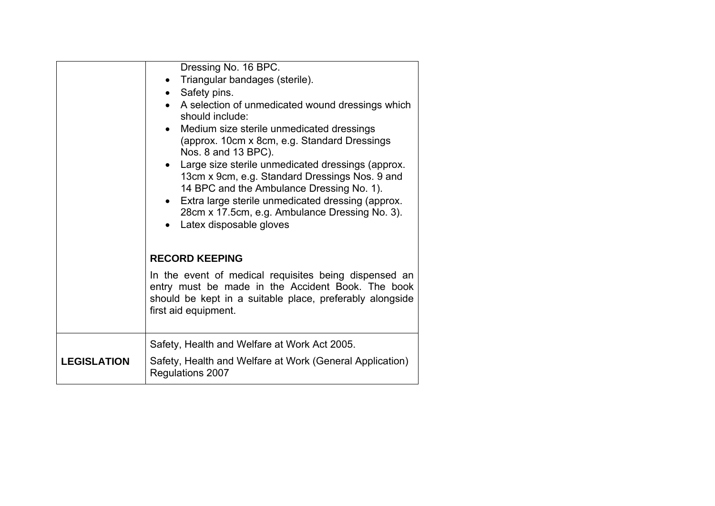| Dressing No. 16 BPC.<br>Triangular bandages (sterile).<br>• Safety pins.<br>• A selection of unmedicated wound dressings which<br>should include:<br>Medium size sterile unmedicated dressings<br>(approx. 10cm x 8cm, e.g. Standard Dressings)<br>Nos. 8 and 13 BPC).<br>Large size sterile unmedicated dressings (approx.<br>13cm x 9cm, e.g. Standard Dressings Nos. 9 and<br>14 BPC and the Ambulance Dressing No. 1).<br>• Extra large sterile unmedicated dressing (approx.<br>28cm x 17.5cm, e.g. Ambulance Dressing No. 3).<br>Latex disposable gloves |
|----------------------------------------------------------------------------------------------------------------------------------------------------------------------------------------------------------------------------------------------------------------------------------------------------------------------------------------------------------------------------------------------------------------------------------------------------------------------------------------------------------------------------------------------------------------|
| <b>RECORD KEEPING</b>                                                                                                                                                                                                                                                                                                                                                                                                                                                                                                                                          |
| In the event of medical requisites being dispensed an<br>entry must be made in the Accident Book. The book<br>should be kept in a suitable place, preferably alongside<br>first aid equipment.                                                                                                                                                                                                                                                                                                                                                                 |
| Safety, Health and Welfare at Work Act 2005.                                                                                                                                                                                                                                                                                                                                                                                                                                                                                                                   |
| Safety, Health and Welfare at Work (General Application)<br>Regulations 2007                                                                                                                                                                                                                                                                                                                                                                                                                                                                                   |
|                                                                                                                                                                                                                                                                                                                                                                                                                                                                                                                                                                |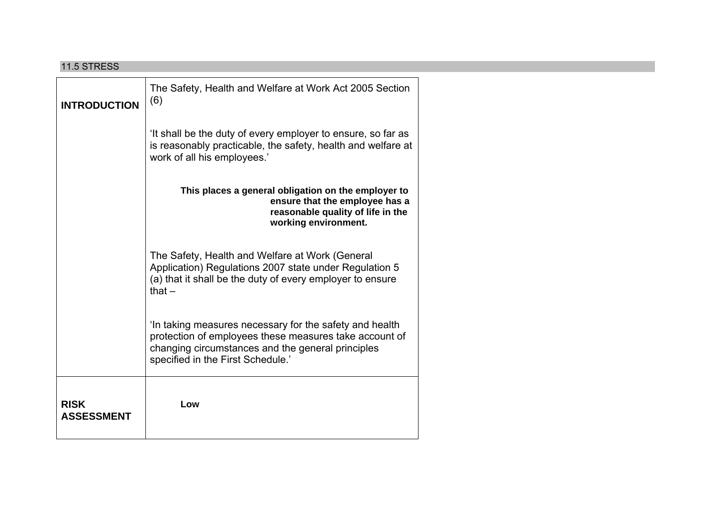| <b>11.5 STRESS</b>               |                                                                                                                                                                                                             |  |
|----------------------------------|-------------------------------------------------------------------------------------------------------------------------------------------------------------------------------------------------------------|--|
| <b>INTRODUCTION</b>              | The Safety, Health and Welfare at Work Act 2005 Section<br>(6)                                                                                                                                              |  |
|                                  | 'It shall be the duty of every employer to ensure, so far as<br>is reasonably practicable, the safety, health and welfare at<br>work of all his employees.'                                                 |  |
|                                  | This places a general obligation on the employer to<br>ensure that the employee has a<br>reasonable quality of life in the<br>working environment.                                                          |  |
|                                  | The Safety, Health and Welfare at Work (General<br>Application) Regulations 2007 state under Regulation 5<br>(a) that it shall be the duty of every employer to ensure<br>that $-$                          |  |
|                                  | 'In taking measures necessary for the safety and health<br>protection of employees these measures take account of<br>changing circumstances and the general principles<br>specified in the First Schedule.' |  |
| <b>RISK</b><br><b>ASSESSMENT</b> | Low                                                                                                                                                                                                         |  |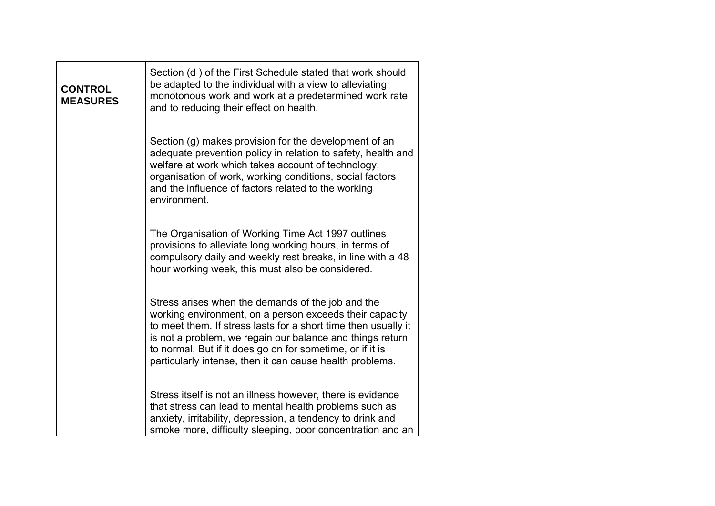| <b>CONTROL</b><br><b>MEASURES</b> | Section (d) of the First Schedule stated that work should<br>be adapted to the individual with a view to alleviating<br>monotonous work and work at a predetermined work rate<br>and to reducing their effect on health.                                                                                                                                             |
|-----------------------------------|----------------------------------------------------------------------------------------------------------------------------------------------------------------------------------------------------------------------------------------------------------------------------------------------------------------------------------------------------------------------|
|                                   | Section (g) makes provision for the development of an<br>adequate prevention policy in relation to safety, health and<br>welfare at work which takes account of technology,<br>organisation of work, working conditions, social factors<br>and the influence of factors related to the working<br>environment.                                                       |
|                                   | The Organisation of Working Time Act 1997 outlines<br>provisions to alleviate long working hours, in terms of<br>compulsory daily and weekly rest breaks, in line with a 48<br>hour working week, this must also be considered.                                                                                                                                      |
|                                   | Stress arises when the demands of the job and the<br>working environment, on a person exceeds their capacity<br>to meet them. If stress lasts for a short time then usually it<br>is not a problem, we regain our balance and things return<br>to normal. But if it does go on for sometime, or if it is<br>particularly intense, then it can cause health problems. |
|                                   | Stress itself is not an illness however, there is evidence<br>that stress can lead to mental health problems such as<br>anxiety, irritability, depression, a tendency to drink and<br>smoke more, difficulty sleeping, poor concentration and an                                                                                                                     |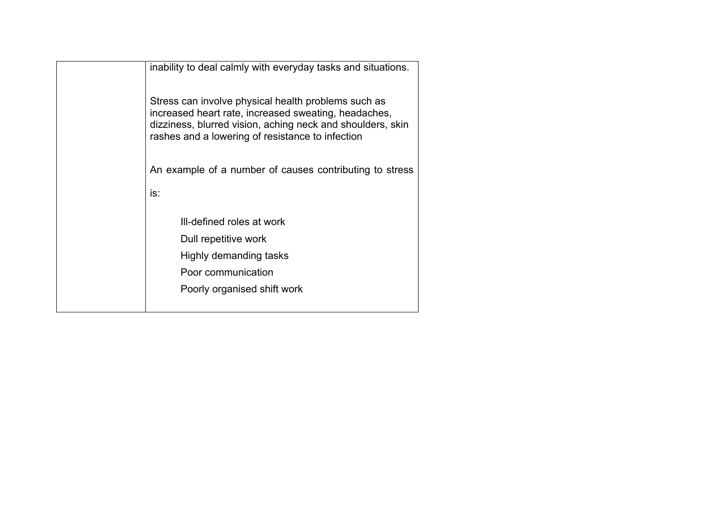| inability to deal calmly with everyday tasks and situations.                                                                                                                                                                  |
|-------------------------------------------------------------------------------------------------------------------------------------------------------------------------------------------------------------------------------|
| Stress can involve physical health problems such as<br>increased heart rate, increased sweating, headaches,<br>dizziness, blurred vision, aching neck and shoulders, skin<br>rashes and a lowering of resistance to infection |
| An example of a number of causes contributing to stress                                                                                                                                                                       |
| is:                                                                                                                                                                                                                           |
| Ill-defined roles at work                                                                                                                                                                                                     |
| Dull repetitive work                                                                                                                                                                                                          |
| Highly demanding tasks                                                                                                                                                                                                        |
| Poor communication                                                                                                                                                                                                            |
| Poorly organised shift work                                                                                                                                                                                                   |
|                                                                                                                                                                                                                               |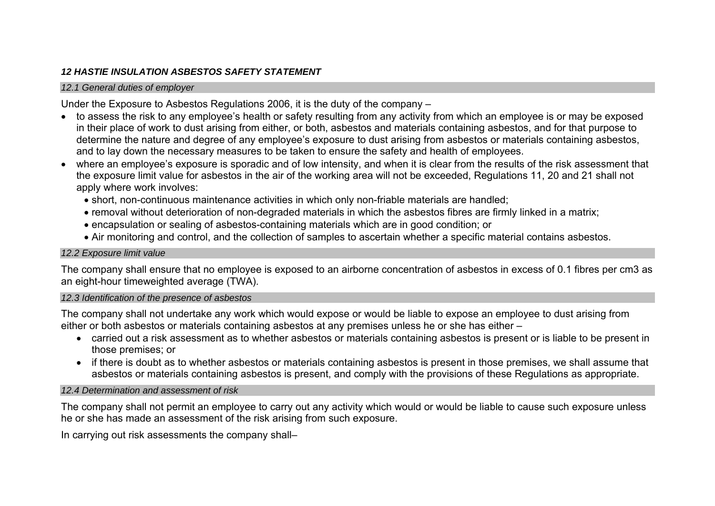# *12 HASTIE INSULATION ASBESTOS SAFETY STATEMENT*

#### *12.1 General duties of employer*

Under the Exposure to Asbestos Regulations 2006, it is the duty of the company –

- to assess the risk to any employee's health or safety resulting from any activity from which an employee is or may be exposed in their place of work to dust arising from either, or both, asbestos and materials containing asbestos, and for that purpose to determine the nature and degree of any employee's exposure to dust arising from asbestos or materials containing asbestos, and to lay down the necessary measures to be taken to ensure the safety and health of employees.
- where an employee's exposure is sporadic and of low intensity, and when it is clear from the results of the risk assessment that the exposure limit value for asbestos in the air of the working area will not be exceeded, Regulations 11, 20 and 21 shall not apply where work involves:
	- short, non-continuous maintenance activities in which only non-friable materials are handled;
	- removal without deterioration of non-degraded materials in which the asbestos fibres are firmly linked in a matrix;
	- encapsulation or sealing of asbestos-containing materials which are in good condition; or
	- Air monitoring and control, and the collection of samples to ascertain whether a specific material contains asbestos.

# *12.2 Exposure limit value*

The company shall ensure that no employee is exposed to an airborne concentration of asbestos in excess of 0.1 fibres per cm3 as an eight-hour timeweighted average (TWA).

# *12.3 Identification of the presence of asbestos*

The company shall not undertake any work which would expose or would be liable to expose an employee to dust arising from either or both asbestos or materials containing asbestos at any premises unless he or she has either –

- carried out a risk assessment as to whether asbestos or materials containing asbestos is present or is liable to be present in those premises; or
- if there is doubt as to whether asbestos or materials containing asbestos is present in those premises, we shall assume that asbestos or materials containing asbestos is present, and comply with the provisions of these Regulations as appropriate.

# *12.4 Determination and assessment of risk*

The company shall not permit an employee to carry out any activity which would or would be liable to cause such exposure unless he or she has made an assessment of the risk arising from such exposure.

In carrying out risk assessments the company shall–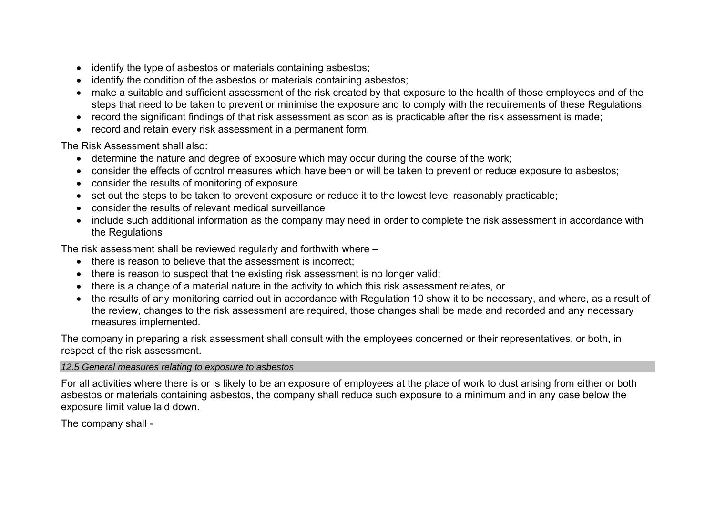- identify the type of asbestos or materials containing asbestos;
- identify the condition of the asbestos or materials containing asbestos;
- make a suitable and sufficient assessment of the risk created by that exposure to the health of those employees and of the steps that need to be taken to prevent or minimise the exposure and to comply with the requirements of these Regulations;
- record the significant findings of that risk assessment as soon as is practicable after the risk assessment is made;
- record and retain every risk assessment in a permanent form.

The Risk Assessment shall also:

- determine the nature and degree of exposure which may occur during the course of the work;
- consider the effects of control measures which have been or will be taken to prevent or reduce exposure to asbestos;
- consider the results of monitoring of exposure
- set out the steps to be taken to prevent exposure or reduce it to the lowest level reasonably practicable;
- consider the results of relevant medical surveillance
- include such additional information as the company may need in order to complete the risk assessment in accordance with the Regulations

The risk assessment shall be reviewed regularly and forthwith where –

- there is reason to believe that the assessment is incorrect:
- there is reason to suspect that the existing risk assessment is no longer valid:
- there is a change of a material nature in the activity to which this risk assessment relates, or
- the results of any monitoring carried out in accordance with Regulation 10 show it to be necessary, and where, as a result of the review, changes to the risk assessment are required, those changes shall be made and recorded and any necessary measures implemented.

The company in preparing a risk assessment shall consult with the employees concerned or their representatives, or both, in respect of the risk assessment.

## *12.5 General measures relating to exposure to asbestos*

For all activities where there is or is likely to be an exposure of employees at the place of work to dust arising from either or both asbestos or materials containing asbestos, the company shall reduce such exposure to a minimum and in any case below the exposure limit value laid down.

The company shall -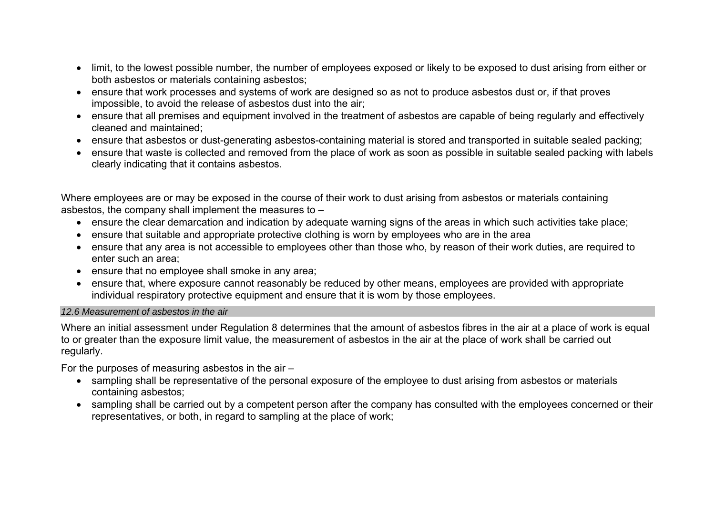- limit, to the lowest possible number, the number of employees exposed or likely to be exposed to dust arising from either or both asbestos or materials containing asbestos;
- ensure that work processes and systems of work are designed so as not to produce asbestos dust or, if that proves impossible, to avoid the release of asbestos dust into the air;
- ensure that all premises and equipment involved in the treatment of asbestos are capable of being regularly and effectively cleaned and maintained;
- ensure that asbestos or dust-generating asbestos-containing material is stored and transported in suitable sealed packing;
- ensure that waste is collected and removed from the place of work as soon as possible in suitable sealed packing with labels clearly indicating that it contains asbestos.

Where employees are or may be exposed in the course of their work to dust arising from asbestos or materials containing asbestos, the company shall implement the measures to –

- ensure the clear demarcation and indication by adequate warning signs of the areas in which such activities take place;
- ensure that suitable and appropriate protective clothing is worn by employees who are in the area
- ensure that any area is not accessible to employees other than those who, by reason of their work duties, are required to enter such an area;
- ensure that no employee shall smoke in any area;
- ensure that, where exposure cannot reasonably be reduced by other means, employees are provided with appropriate individual respiratory protective equipment and ensure that it is worn by those employees.

### *12.6 Measurement of asbestos in the air*

Where an initial assessment under Regulation 8 determines that the amount of asbestos fibres in the air at a place of work is equal to or greater than the exposure limit value, the measurement of asbestos in the air at the place of work shall be carried out regularly.

For the purposes of measuring asbestos in the air –

- sampling shall be representative of the personal exposure of the employee to dust arising from asbestos or materials containing asbestos;
- sampling shall be carried out by a competent person after the company has consulted with the employees concerned or their representatives, or both, in regard to sampling at the place of work;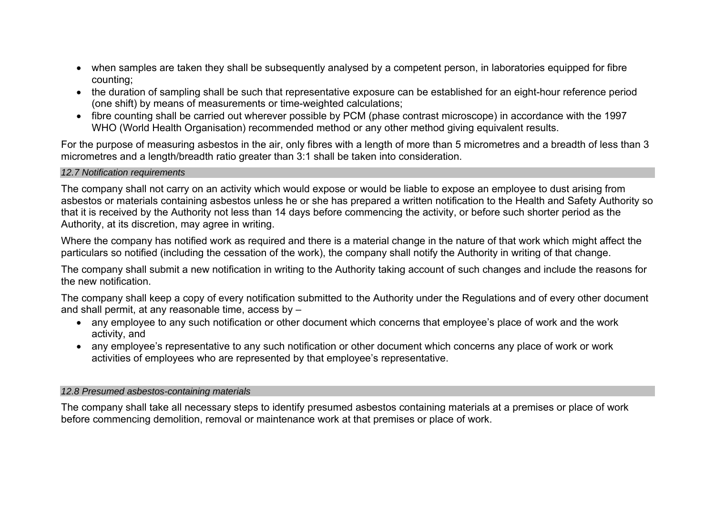- when samples are taken they shall be subsequently analysed by a competent person, in laboratories equipped for fibre counting;
- the duration of sampling shall be such that representative exposure can be established for an eight-hour reference period (one shift) by means of measurements or time-weighted calculations;
- fibre counting shall be carried out wherever possible by PCM (phase contrast microscope) in accordance with the 1997 WHO (World Health Organisation) recommended method or any other method giving equivalent results.

For the purpose of measuring asbestos in the air, only fibres with a length of more than 5 micrometres and a breadth of less than 3 micrometres and a length/breadth ratio greater than 3:1 shall be taken into consideration.

### *12.7 Notification requirements*

The company shall not carry on an activity which would expose or would be liable to expose an employee to dust arising from asbestos or materials containing asbestos unless he or she has prepared a written notification to the Health and Safety Authority so that it is received by the Authority not less than 14 days before commencing the activity, or before such shorter period as the Authority, at its discretion, may agree in writing.

Where the company has notified work as required and there is a material change in the nature of that work which might affect the particulars so notified (including the cessation of the work), the company shall notify the Authority in writing of that change.

The company shall submit a new notification in writing to the Authority taking account of such changes and include the reasons for the new notification.

The company shall keep a copy of every notification submitted to the Authority under the Regulations and of every other document and shall permit, at any reasonable time, access by –

- any employee to any such notification or other document which concerns that employee's place of work and the work activity, and
- any employee's representative to any such notification or other document which concerns any place of work or work activities of employees who are represented by that employee's representative.

### *12.8 Presumed asbestos-containing materials*

The company shall take all necessary steps to identify presumed asbestos containing materials at a premises or place of work before commencing demolition, removal or maintenance work at that premises or place of work.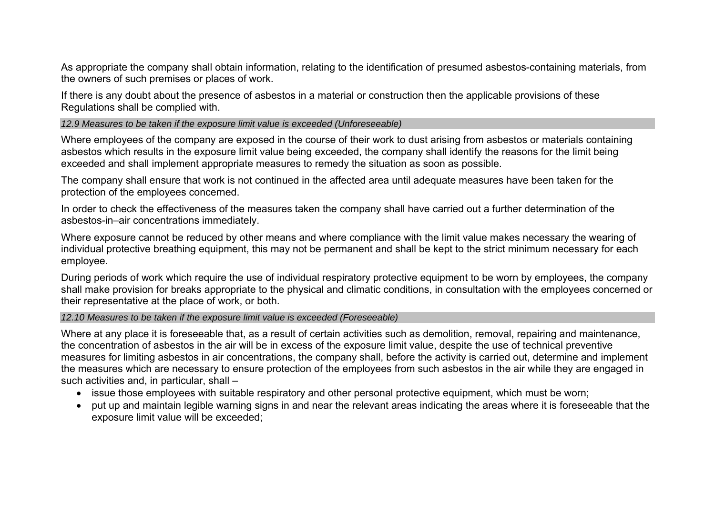As appropriate the company shall obtain information, relating to the identification of presumed asbestos-containing materials, from the owners of such premises or places of work.

If there is any doubt about the presence of asbestos in a material or construction then the applicable provisions of these Regulations shall be complied with.

*12.9 Measures to be taken if the exposure limit value is exceeded (Unforeseeable)* 

Where employees of the company are exposed in the course of their work to dust arising from asbestos or materials containing asbestos which results in the exposure limit value being exceeded, the company shall identify the reasons for the limit being exceeded and shall implement appropriate measures to remedy the situation as soon as possible.

The company shall ensure that work is not continued in the affected area until adequate measures have been taken for the protection of the employees concerned.

In order to check the effectiveness of the measures taken the company shall have carried out a further determination of the asbestos-in–air concentrations immediately.

Where exposure cannot be reduced by other means and where compliance with the limit value makes necessary the wearing of individual protective breathing equipment, this may not be permanent and shall be kept to the strict minimum necessary for each employee.

During periods of work which require the use of individual respiratory protective equipment to be worn by employees, the company shall make provision for breaks appropriate to the physical and climatic conditions, in consultation with the employees concerned or their representative at the place of work, or both.

### *12.10 Measures to be taken if the exposure limit value is exceeded (Foreseeable)*

Where at any place it is foreseeable that, as a result of certain activities such as demolition, removal, repairing and maintenance, the concentration of asbestos in the air will be in excess of the exposure limit value, despite the use of technical preventive measures for limiting asbestos in air concentrations, the company shall, before the activity is carried out, determine and implement the measures which are necessary to ensure protection of the employees from such asbestos in the air while they are engaged in such activities and, in particular, shall –

- issue those employees with suitable respiratory and other personal protective equipment, which must be worn;
- put up and maintain legible warning signs in and near the relevant areas indicating the areas where it is foreseeable that the exposure limit value will be exceeded;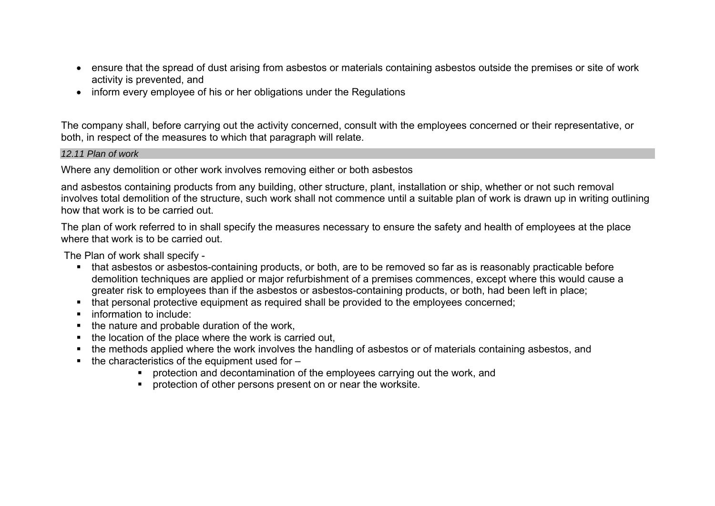- ensure that the spread of dust arising from asbestos or materials containing asbestos outside the premises or site of work activity is prevented, and
- inform every employee of his or her obligations under the Regulations

The company shall, before carrying out the activity concerned, consult with the employees concerned or their representative, or both, in respect of the measures to which that paragraph will relate.

### *12.11 Plan of work*

Where any demolition or other work involves removing either or both asbestos

and asbestos containing products from any building, other structure, plant, installation or ship, whether or not such removal involves total demolition of the structure, such work shall not commence until a suitable plan of work is drawn up in writing outlining how that work is to be carried out.

The plan of work referred to in shall specify the measures necessary to ensure the safety and health of employees at the place where that work is to be carried out.

The Plan of work shall specify -

- that asbestos or asbestos-containing products, or both, are to be removed so far as is reasonably practicable before demolition techniques are applied or major refurbishment of a premises commences, except where this would cause a greater risk to employees than if the asbestos or asbestos-containing products, or both, had been left in place;
- that personal protective equipment as required shall be provided to the employees concerned;
- **F** information to include:
- $\blacksquare$  the nature and probable duration of the work,
- $\blacksquare$  the location of the place where the work is carried out,
- the methods applied where the work involves the handling of asbestos or of materials containing asbestos, and
- $\blacksquare$  the characteristics of the equipment used for  $-$ 
	- **•** protection and decontamination of the employees carrying out the work, and
	- **•** protection of other persons present on or near the worksite.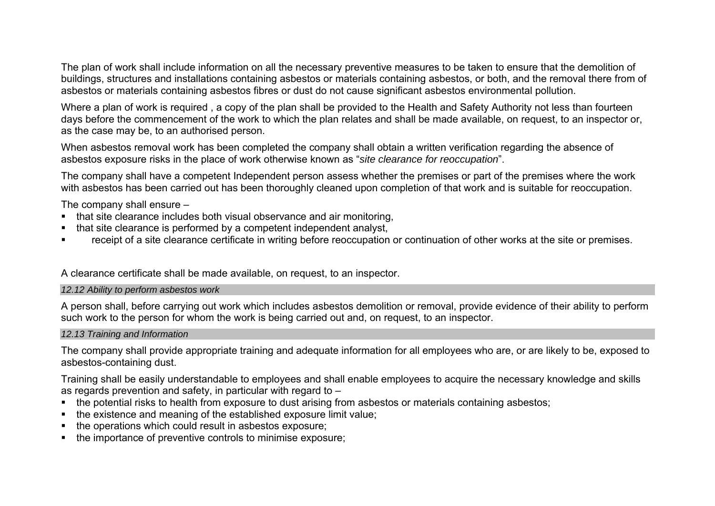The plan of work shall include information on all the necessary preventive measures to be taken to ensure that the demolition of buildings, structures and installations containing asbestos or materials containing asbestos, or both, and the removal there from of asbestos or materials containing asbestos fibres or dust do not cause significant asbestos environmental pollution.

Where a plan of work is required , a copy of the plan shall be provided to the Health and Safety Authority not less than fourteen days before the commencement of the work to which the plan relates and shall be made available, on request, to an inspector or, as the case may be, to an authorised person.

When asbestos removal work has been completed the company shall obtain a written verification regarding the absence of asbestos exposure risks in the place of work otherwise known as "*site clearance for reoccupation*".

The company shall have a competent Independent person assess whether the premises or part of the premises where the work with asbestos has been carried out has been thoroughly cleaned upon completion of that work and is suitable for reoccupation.

The company shall ensure –

- that site clearance includes both visual observance and air monitoring,
- that site clearance is performed by a competent independent analyst.
- receipt of a site clearance certificate in writing before reoccupation or continuation of other works at the site or premises.

A clearance certificate shall be made available, on request, to an inspector.

### *12.12 Ability to perform asbestos work*

A person shall, before carrying out work which includes asbestos demolition or removal, provide evidence of their ability to perform such work to the person for whom the work is being carried out and, on request, to an inspector.

### *12.13 Training and Information*

The company shall provide appropriate training and adequate information for all employees who are, or are likely to be, exposed to asbestos-containing dust.

Training shall be easily understandable to employees and shall enable employees to acquire the necessary knowledge and skills as regards prevention and safety, in particular with regard to –

- the potential risks to health from exposure to dust arising from asbestos or materials containing asbestos;
- the existence and meaning of the established exposure limit value;
- the operations which could result in asbestos exposure;
- the importance of preventive controls to minimise exposure;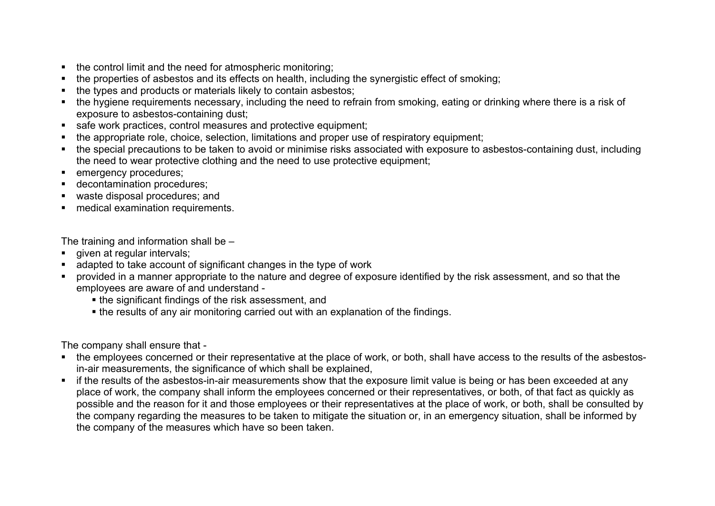- the control limit and the need for atmospheric monitoring;
- the properties of asbestos and its effects on health, including the synergistic effect of smoking;
- the types and products or materials likely to contain asbestos;
- the hygiene requirements necessary, including the need to refrain from smoking, eating or drinking where there is a risk of exposure to asbestos-containing dust;
- safe work practices, control measures and protective equipment;
- the appropriate role, choice, selection, limitations and proper use of respiratory equipment;
- the special precautions to be taken to avoid or minimise risks associated with exposure to asbestos-containing dust, including the need to wear protective clothing and the need to use protective equipment;
- **emergency procedures;**
- decontamination procedures;
- waste disposal procedures; and
- medical examination requirements.

The training and information shall be –

- qiven at regular intervals;
- adapted to take account of significant changes in the type of work
- provided in a manner appropriate to the nature and degree of exposure identified by the risk assessment, and so that the employees are aware of and understand
	- the significant findings of the risk assessment, and
	- the results of any air monitoring carried out with an explanation of the findings.

The company shall ensure that -

- the employees concerned or their representative at the place of work, or both, shall have access to the results of the asbestosin-air measurements, the significance of which shall be explained,
- if the results of the asbestos-in-air measurements show that the exposure limit value is being or has been exceeded at any place of work, the company shall inform the employees concerned or their representatives, or both, of that fact as quickly as possible and the reason for it and those employees or their representatives at the place of work, or both, shall be consulted by the company regarding the measures to be taken to mitigate the situation or, in an emergency situation, shall be informed by the company of the measures which have so been taken.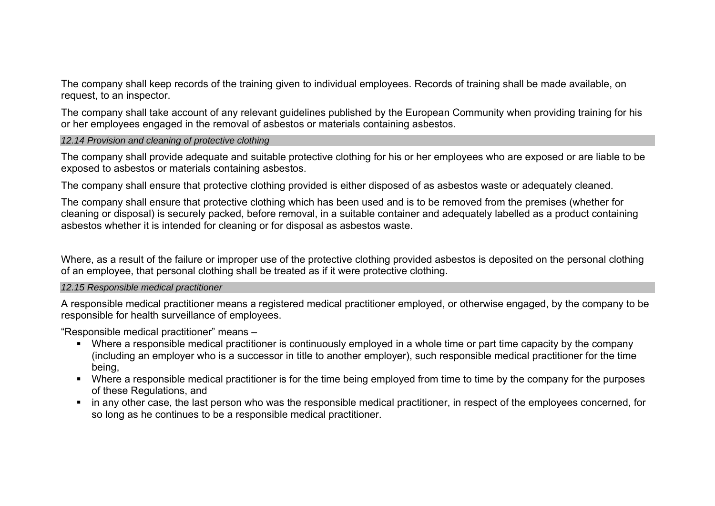The company shall keep records of the training given to individual employees. Records of training shall be made available, on request, to an inspector.

The company shall take account of any relevant guidelines published by the European Community when providing training for his or her employees engaged in the removal of asbestos or materials containing asbestos.

#### *12.14 Provision and cleaning of protective clothing*

The company shall provide adequate and suitable protective clothing for his or her employees who are exposed or are liable to be exposed to asbestos or materials containing asbestos.

The company shall ensure that protective clothing provided is either disposed of as asbestos waste or adequately cleaned.

The company shall ensure that protective clothing which has been used and is to be removed from the premises (whether for cleaning or disposal) is securely packed, before removal, in a suitable container and adequately labelled as a product containing asbestos whether it is intended for cleaning or for disposal as asbestos waste.

Where, as a result of the failure or improper use of the protective clothing provided asbestos is deposited on the personal clothing of an employee, that personal clothing shall be treated as if it were protective clothing.

### *12.15 Responsible medical practitioner*

A responsible medical practitioner means a registered medical practitioner employed, or otherwise engaged, by the company to be responsible for health surveillance of employees.

"Responsible medical practitioner" means –

- Where a responsible medical practitioner is continuously employed in a whole time or part time capacity by the company (including an employer who is a successor in title to another employer), such responsible medical practitioner for the time being,
- Where a responsible medical practitioner is for the time being employed from time to time by the company for the purposes of these Regulations, and
- in any other case, the last person who was the responsible medical practitioner, in respect of the employees concerned, for so long as he continues to be a responsible medical practitioner.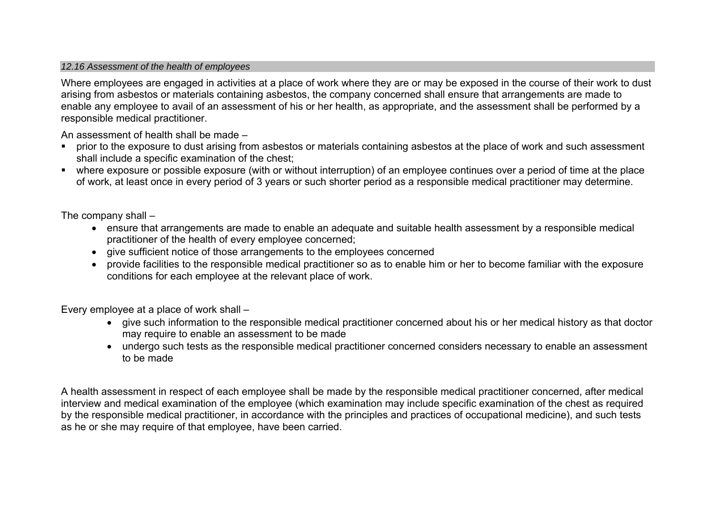### *12.16 Assessment of the health of employees*

Where employees are engaged in activities at a place of work where they are or may be exposed in the course of their work to dust arising from asbestos or materials containing asbestos, the company concerned shall ensure that arrangements are made to enable any employee to avail of an assessment of his or her health, as appropriate, and the assessment shall be performed by a responsible medical practitioner.

An assessment of health shall be made –

- prior to the exposure to dust arising from asbestos or materials containing asbestos at the place of work and such assessment shall include a specific examination of the chest;
- where exposure or possible exposure (with or without interruption) of an employee continues over a period of time at the place of work, at least once in every period of 3 years or such shorter period as a responsible medical practitioner may determine.

The company shall –

- ensure that arrangements are made to enable an adequate and suitable health assessment by a responsible medical practitioner of the health of every employee concerned;
- give sufficient notice of those arrangements to the employees concerned
- provide facilities to the responsible medical practitioner so as to enable him or her to become familiar with the exposure conditions for each employee at the relevant place of work.

Every employee at a place of work shall –

- give such information to the responsible medical practitioner concerned about his or her medical history as that doctor may require to enable an assessment to be made
- undergo such tests as the responsible medical practitioner concerned considers necessary to enable an assessment to be made

A health assessment in respect of each employee shall be made by the responsible medical practitioner concerned, after medical interview and medical examination of the employee (which examination may include specific examination of the chest as required by the responsible medical practitioner, in accordance with the principles and practices of occupational medicine), and such tests as he or she may require of that employee, have been carried.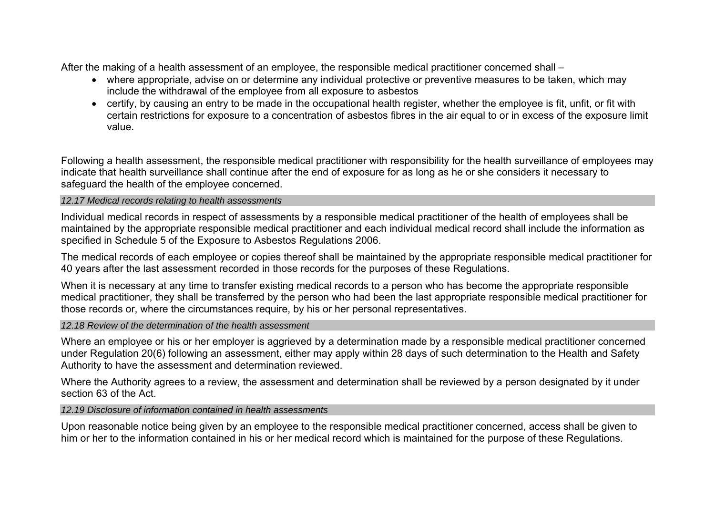After the making of a health assessment of an employee, the responsible medical practitioner concerned shall –

- where appropriate, advise on or determine any individual protective or preventive measures to be taken, which may include the withdrawal of the employee from all exposure to asbestos
- certify, by causing an entry to be made in the occupational health register, whether the employee is fit, unfit, or fit with certain restrictions for exposure to a concentration of asbestos fibres in the air equal to or in excess of the exposure limit value.

Following a health assessment, the responsible medical practitioner with responsibility for the health surveillance of employees may indicate that health surveillance shall continue after the end of exposure for as long as he or she considers it necessary to safeguard the health of the employee concerned.

## *12.17 Medical records relating to health assessments*

Individual medical records in respect of assessments by a responsible medical practitioner of the health of employees shall be maintained by the appropriate responsible medical practitioner and each individual medical record shall include the information as specified in Schedule 5 of the Exposure to Asbestos Regulations 2006.

The medical records of each employee or copies thereof shall be maintained by the appropriate responsible medical practitioner for 40 years after the last assessment recorded in those records for the purposes of these Regulations.

When it is necessary at any time to transfer existing medical records to a person who has become the appropriate responsible medical practitioner, they shall be transferred by the person who had been the last appropriate responsible medical practitioner for those records or, where the circumstances require, by his or her personal representatives.

## *12.18 Review of the determination of the health assessment*

Where an employee or his or her employer is aggrieved by a determination made by a responsible medical practitioner concerned under Regulation 20(6) following an assessment, either may apply within 28 days of such determination to the Health and Safety Authority to have the assessment and determination reviewed.

Where the Authority agrees to a review, the assessment and determination shall be reviewed by a person designated by it under section 63 of the Act.

## *12.19 Disclosure of information contained in health assessments*

Upon reasonable notice being given by an employee to the responsible medical practitioner concerned, access shall be given to him or her to the information contained in his or her medical record which is maintained for the purpose of these Regulations.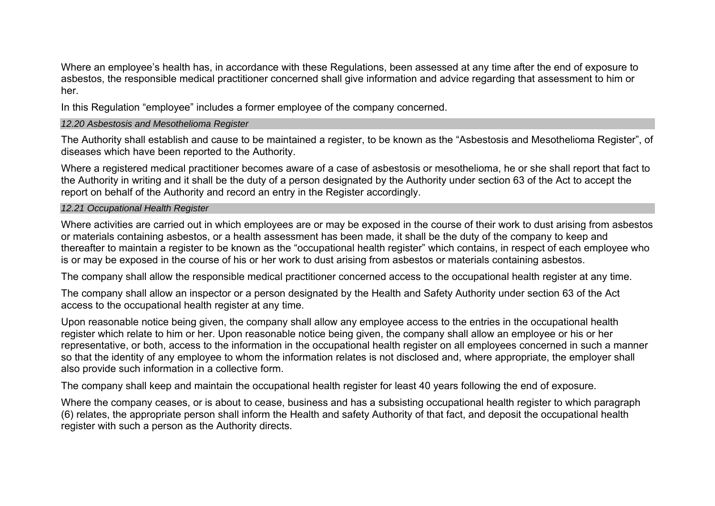Where an employee's health has, in accordance with these Regulations, been assessed at any time after the end of exposure to asbestos, the responsible medical practitioner concerned shall give information and advice regarding that assessment to him or her.

In this Regulation "employee" includes a former employee of the company concerned.

### *12.20 Asbestosis and Mesothelioma Register*

The Authority shall establish and cause to be maintained a register, to be known as the "Asbestosis and Mesothelioma Register", of diseases which have been reported to the Authority.

Where a registered medical practitioner becomes aware of a case of asbestosis or mesothelioma, he or she shall report that fact to the Authority in writing and it shall be the duty of a person designated by the Authority under section 63 of the Act to accept the report on behalf of the Authority and record an entry in the Register accordingly.

#### *12.21 Occupational Health Register*

Where activities are carried out in which employees are or may be exposed in the course of their work to dust arising from asbestos or materials containing asbestos, or a health assessment has been made, it shall be the duty of the company to keep and thereafter to maintain a register to be known as the "occupational health register" which contains, in respect of each employee who is or may be exposed in the course of his or her work to dust arising from asbestos or materials containing asbestos.

The company shall allow the responsible medical practitioner concerned access to the occupational health register at any time.

The company shall allow an inspector or a person designated by the Health and Safety Authority under section 63 of the Act access to the occupational health register at any time.

Upon reasonable notice being given, the company shall allow any employee access to the entries in the occupational health register which relate to him or her. Upon reasonable notice being given, the company shall allow an employee or his or her representative, or both, access to the information in the occupational health register on all employees concerned in such a manner so that the identity of any employee to whom the information relates is not disclosed and, where appropriate, the employer shall also provide such information in a collective form.

The company shall keep and maintain the occupational health register for least 40 years following the end of exposure.

Where the company ceases, or is about to cease, business and has a subsisting occupational health register to which paragraph (6) relates, the appropriate person shall inform the Health and safety Authority of that fact, and deposit the occupational health register with such a person as the Authority directs.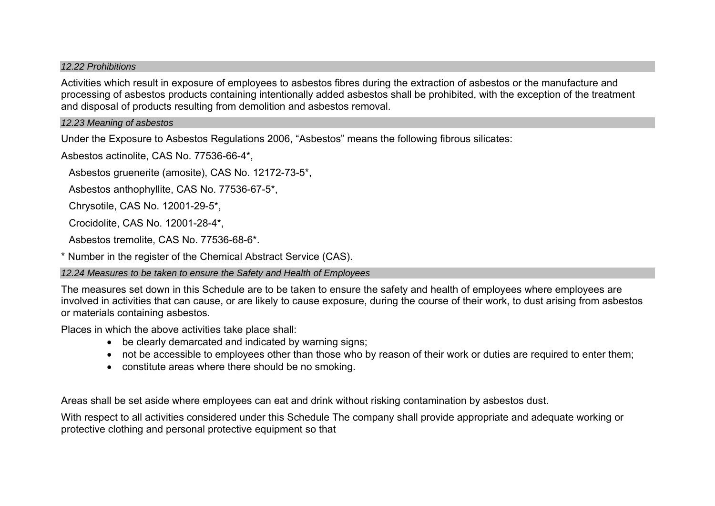#### *12.22 Prohibitions*

Activities which result in exposure of employees to asbestos fibres during the extraction of asbestos or the manufacture and processing of asbestos products containing intentionally added asbestos shall be prohibited, with the exception of the treatment and disposal of products resulting from demolition and asbestos removal.

#### *12.23 Meaning of asbestos*

Under the Exposure to Asbestos Regulations 2006, "Asbestos" means the following fibrous silicates:

Asbestos actinolite, CAS No. 77536-66-4\*,

Asbestos gruenerite (amosite), CAS No. 12172-73-5\*,

Asbestos anthophyllite, CAS No. 77536-67-5\*,

Chrysotile, CAS No. 12001-29-5\*,

Crocidolite, CAS No. 12001-28-4\*,

Asbestos tremolite, CAS No. 77536-68-6\*.

\* Number in the register of the Chemical Abstract Service (CAS).

#### *12.24 Measures to be taken to ensure the Safety and Health of Employees*

The measures set down in this Schedule are to be taken to ensure the safety and health of employees where employees are involved in activities that can cause, or are likely to cause exposure, during the course of their work, to dust arising from asbestos or materials containing asbestos.

Places in which the above activities take place shall:

- be clearly demarcated and indicated by warning signs;
- not be accessible to employees other than those who by reason of their work or duties are required to enter them;
- constitute areas where there should be no smoking.

Areas shall be set aside where employees can eat and drink without risking contamination by asbestos dust.

With respect to all activities considered under this Schedule The company shall provide appropriate and adequate working or protective clothing and personal protective equipment so that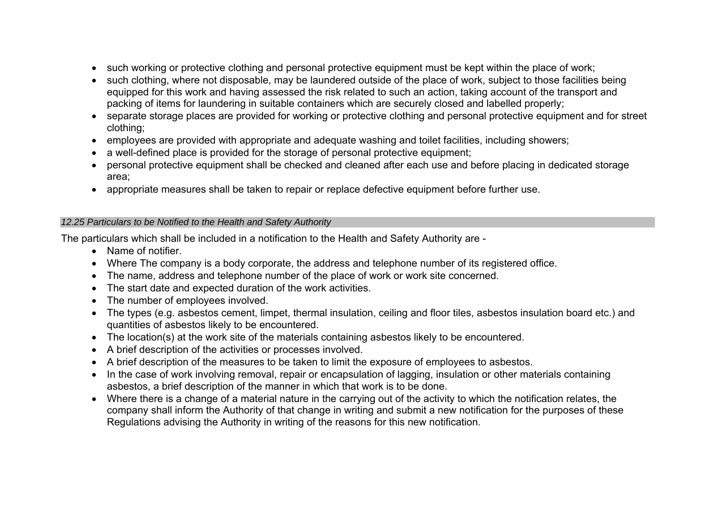- such working or protective clothing and personal protective equipment must be kept within the place of work;
- such clothing, where not disposable, may be laundered outside of the place of work, subject to those facilities being equipped for this work and having assessed the risk related to such an action, taking account of the transport and packing of items for laundering in suitable containers which are securely closed and labelled properly;
- separate storage places are provided for working or protective clothing and personal protective equipment and for street clothing;
- employees are provided with appropriate and adequate washing and toilet facilities, including showers;
- a well-defined place is provided for the storage of personal protective equipment;
- personal protective equipment shall be checked and cleaned after each use and before placing in dedicated storage area;
- appropriate measures shall be taken to repair or replace defective equipment before further use.

### *12.25 Particulars to be Notified to the Health and Safety Authority*

The particulars which shall be included in a notification to the Health and Safety Authority are -

- Name of notifier.
- Where The company is a body corporate, the address and telephone number of its registered office.
- The name, address and telephone number of the place of work or work site concerned.
- The start date and expected duration of the work activities.
- The number of employees involved.
- The types (e.g. asbestos cement, limpet, thermal insulation, ceiling and floor tiles, asbestos insulation board etc.) and quantities of asbestos likely to be encountered.
- The location(s) at the work site of the materials containing asbestos likely to be encountered.
- A brief description of the activities or processes involved.
- A brief description of the measures to be taken to limit the exposure of employees to asbestos.
- In the case of work involving removal, repair or encapsulation of lagging, insulation or other materials containing asbestos, a brief description of the manner in which that work is to be done.
- Where there is a change of a material nature in the carrying out of the activity to which the notification relates, the company shall inform the Authority of that change in writing and submit a new notification for the purposes of these Regulations advising the Authority in writing of the reasons for this new notification.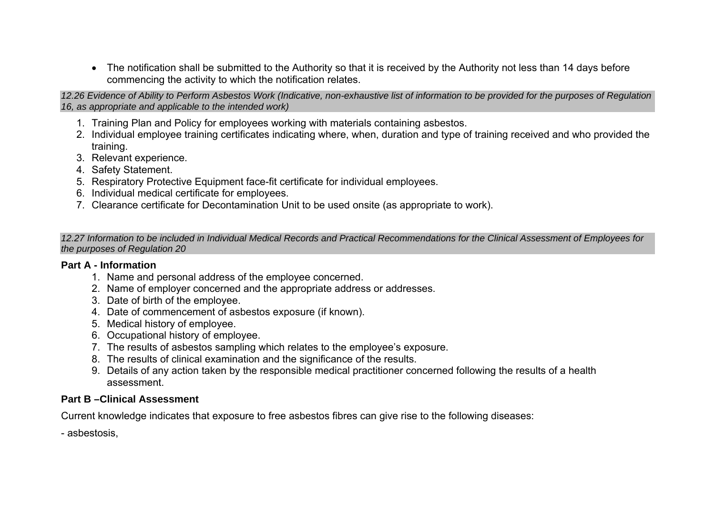• The notification shall be submitted to the Authority so that it is received by the Authority not less than 14 days before commencing the activity to which the notification relates.

*12.26 Evidence of Ability to Perform Asbestos Work (Indicative, non-exhaustive list of information to be provided for the purposes of Regulation 16, as appropriate and applicable to the intended work)* 

- 1. Training Plan and Policy for employees working with materials containing asbestos.
- 2. Individual employee training certificates indicating where, when, duration and type of training received and who provided the training.
- 3. Relevant experience.
- 4. Safety Statement.
- 5. Respiratory Protective Equipment face-fit certificate for individual employees.
- 6. Individual medical certificate for employees.
- 7. Clearance certificate for Decontamination Unit to be used onsite (as appropriate to work).

*12.27 Information to be included in Individual Medical Records and Practical Recommendations for the Clinical Assessment of Employees for the purposes of Regulation 20* 

# **Part A - Information**

- 1. Name and personal address of the employee concerned.
- 2. Name of employer concerned and the appropriate address or addresses.
- 3. Date of birth of the employee.
- 4. Date of commencement of asbestos exposure (if known).
- 5. Medical history of employee.
- 6. Occupational history of employee.
- 7. The results of asbestos sampling which relates to the employee's exposure.
- 8. The results of clinical examination and the significance of the results.
- 9. Details of any action taken by the responsible medical practitioner concerned following the results of a health assessment.

# **Part B –Clinical Assessment**

Current knowledge indicates that exposure to free asbestos fibres can give rise to the following diseases:

- asbestosis,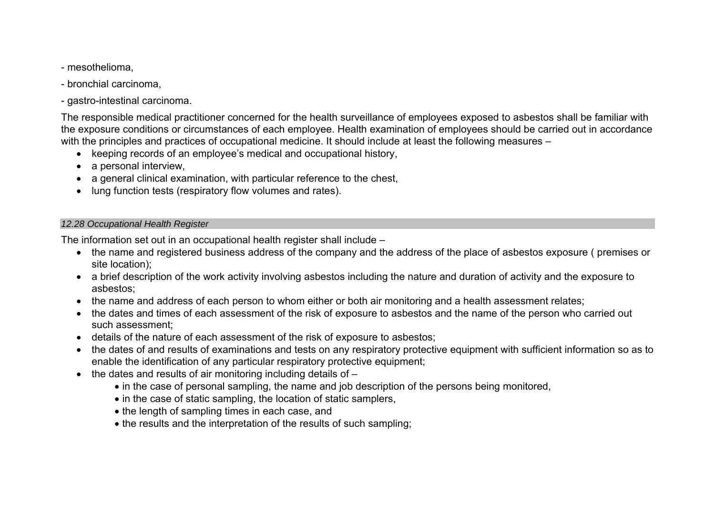- mesothelioma,
- bronchial carcinoma,
- gastro-intestinal carcinoma.

The responsible medical practitioner concerned for the health surveillance of employees exposed to asbestos shall be familiar with the exposure conditions or circumstances of each employee. Health examination of employees should be carried out in accordance with the principles and practices of occupational medicine. It should include at least the following measures –

- keeping records of an employee's medical and occupational history,
- a personal interview.
- a general clinical examination, with particular reference to the chest,
- lung function tests (respiratory flow volumes and rates).

## *12.28 Occupational Health Register*

The information set out in an occupational health register shall include –

- the name and registered business address of the company and the address of the place of asbestos exposure ( premises or site location);
- a brief description of the work activity involving asbestos including the nature and duration of activity and the exposure to asbestos;
- the name and address of each person to whom either or both air monitoring and a health assessment relates;
- the dates and times of each assessment of the risk of exposure to asbestos and the name of the person who carried out such assessment;
- details of the nature of each assessment of the risk of exposure to asbestos;
- the dates of and results of examinations and tests on any respiratory protective equipment with sufficient information so as to enable the identification of any particular respiratory protective equipment;
- the dates and results of air monitoring including details of
	- in the case of personal sampling, the name and job description of the persons being monitored,
	- in the case of static sampling, the location of static samplers,
	- the length of sampling times in each case, and
	- the results and the interpretation of the results of such sampling;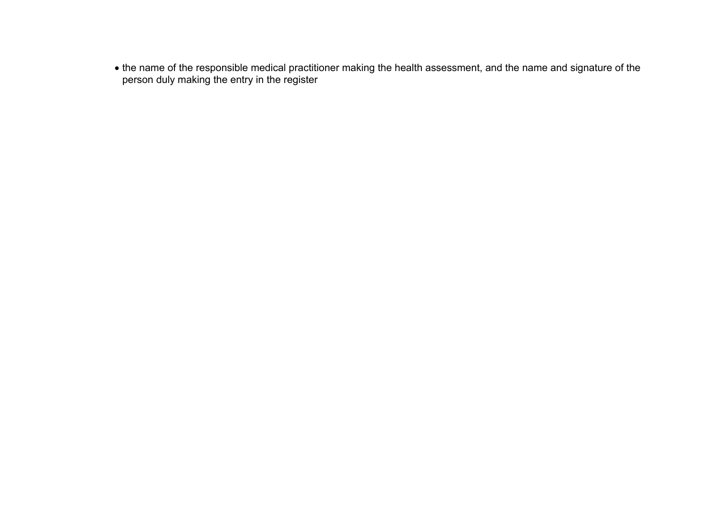• the name of the responsible medical practitioner making the health assessment, and the name and signature of the person duly making the entry in the register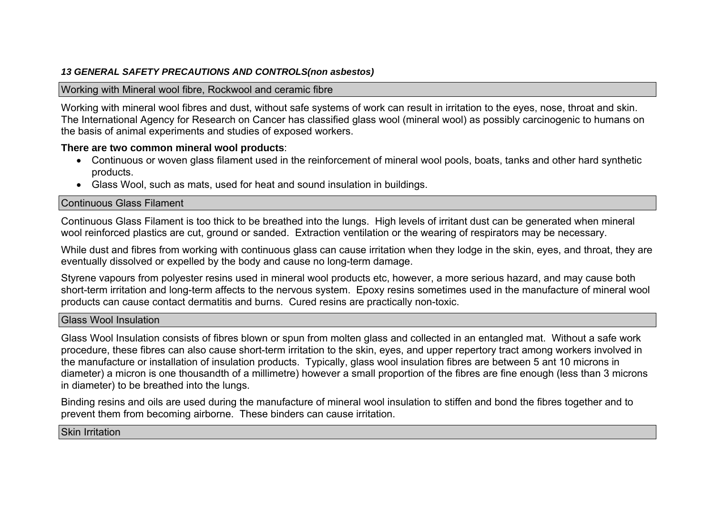## *13 GENERAL SAFETY PRECAUTIONS AND CONTROLS(non asbestos)*

### Working with Mineral wool fibre, Rockwool and ceramic fibre

Working with mineral wool fibres and dust, without safe systems of work can result in irritation to the eyes, nose, throat and skin. The International Agency for Research on Cancer has classified glass wool (mineral wool) as possibly carcinogenic to humans on the basis of animal experiments and studies of exposed workers.

## **There are two common mineral wool products**:

- Continuous or woven glass filament used in the reinforcement of mineral wool pools, boats, tanks and other hard synthetic products.
- Glass Wool, such as mats, used for heat and sound insulation in buildings.

### Continuous Glass Filament

Continuous Glass Filament is too thick to be breathed into the lungs. High levels of irritant dust can be generated when mineral wool reinforced plastics are cut, ground or sanded. Extraction ventilation or the wearing of respirators may be necessary.

While dust and fibres from working with continuous glass can cause irritation when they lodge in the skin, eyes, and throat, they are eventually dissolved or expelled by the body and cause no long-term damage.

Styrene vapours from polyester resins used in mineral wool products etc, however, a more serious hazard, and may cause both short-term irritation and long-term affects to the nervous system. Epoxy resins sometimes used in the manufacture of mineral wool products can cause contact dermatitis and burns. Cured resins are practically non-toxic.

### Glass Wool Insulation

Glass Wool Insulation consists of fibres blown or spun from molten glass and collected in an entangled mat. Without a safe work procedure, these fibres can also cause short-term irritation to the skin, eyes, and upper repertory tract among workers involved in the manufacture or installation of insulation products. Typically, glass wool insulation fibres are between 5 ant 10 microns in diameter) a micron is one thousandth of a millimetre) however a small proportion of the fibres are fine enough (less than 3 microns in diameter) to be breathed into the lungs.

Binding resins and oils are used during the manufacture of mineral wool insulation to stiffen and bond the fibres together and to prevent them from becoming airborne. These binders can cause irritation.

## Skin Irritation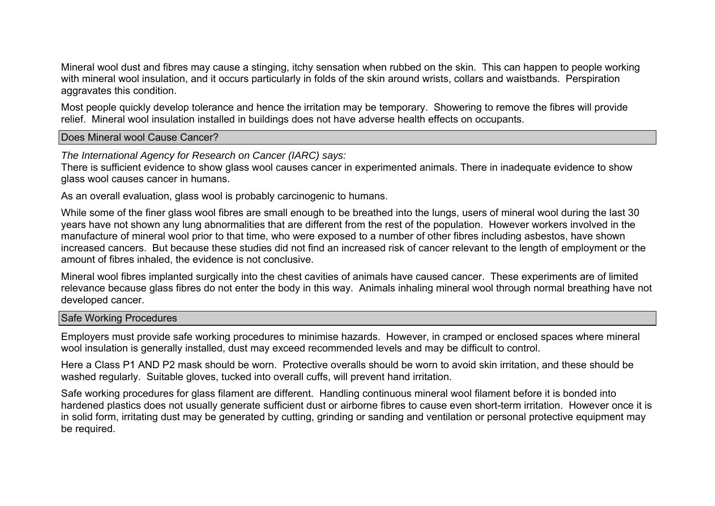Mineral wool dust and fibres may cause a stinging, itchy sensation when rubbed on the skin. This can happen to people working with mineral wool insulation, and it occurs particularly in folds of the skin around wrists, collars and waistbands. Perspiration aggravates this condition.

Most people quickly develop tolerance and hence the irritation may be temporary. Showering to remove the fibres will provide relief. Mineral wool insulation installed in buildings does not have adverse health effects on occupants.

Does Mineral wool Cause Cancer?

*The International Agency for Research on Cancer (IARC) says:* 

There is sufficient evidence to show glass wool causes cancer in experimented animals. There in inadequate evidence to show glass wool causes cancer in humans.

As an overall evaluation, glass wool is probably carcinogenic to humans.

While some of the finer glass wool fibres are small enough to be breathed into the lungs, users of mineral wool during the last 30 years have not shown any lung abnormalities that are different from the rest of the population. However workers involved in the manufacture of mineral wool prior to that time, who were exposed to a number of other fibres including asbestos, have shown increased cancers. But because these studies did not find an increased risk of cancer relevant to the length of employment or the amount of fibres inhaled, the evidence is not conclusive.

Mineral wool fibres implanted surgically into the chest cavities of animals have caused cancer. These experiments are of limited relevance because glass fibres do not enter the body in this way. Animals inhaling mineral wool through normal breathing have not developed cancer.

### Safe Working Procedures

Employers must provide safe working procedures to minimise hazards. However, in cramped or enclosed spaces where mineral wool insulation is generally installed, dust may exceed recommended levels and may be difficult to control.

Here a Class P1 AND P2 mask should be worn. Protective overalls should be worn to avoid skin irritation, and these should be washed regularly. Suitable gloves, tucked into overall cuffs, will prevent hand irritation.

Safe working procedures for glass filament are different. Handling continuous mineral wool filament before it is bonded into hardened plastics does not usually generate sufficient dust or airborne fibres to cause even short-term irritation. However once it is in solid form, irritating dust may be generated by cutting, grinding or sanding and ventilation or personal protective equipment may be required.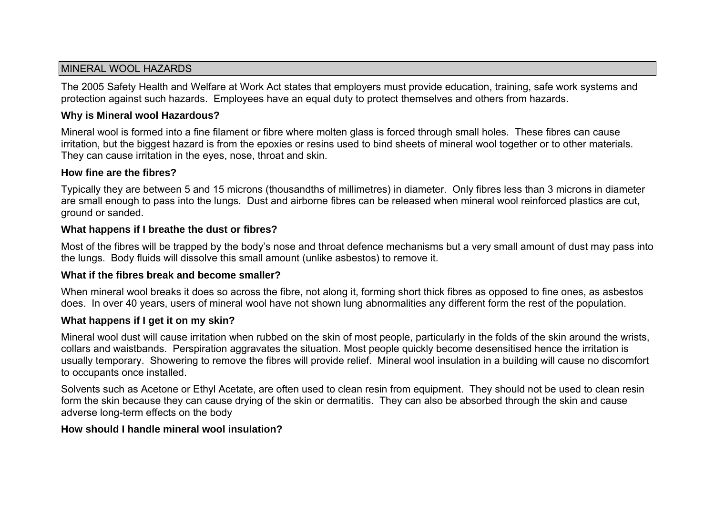## MINERAL WOOL HAZARDS

The 2005 Safety Health and Welfare at Work Act states that employers must provide education, training, safe work systems and protection against such hazards. Employees have an equal duty to protect themselves and others from hazards.

## **Why is Mineral wool Hazardous?**

Mineral wool is formed into a fine filament or fibre where molten glass is forced through small holes. These fibres can cause irritation, but the biggest hazard is from the epoxies or resins used to bind sheets of mineral wool together or to other materials. They can cause irritation in the eyes, nose, throat and skin.

## **How fine are the fibres?**

Typically they are between 5 and 15 microns (thousandths of millimetres) in diameter. Only fibres less than 3 microns in diameter are small enough to pass into the lungs. Dust and airborne fibres can be released when mineral wool reinforced plastics are cut, ground or sanded.

## **What happens if I breathe the dust or fibres?**

Most of the fibres will be trapped by the body's nose and throat defence mechanisms but a very small amount of dust may pass into the lungs. Body fluids will dissolve this small amount (unlike asbestos) to remove it.

## **What if the fibres break and become smaller?**

When mineral wool breaks it does so across the fibre, not along it, forming short thick fibres as opposed to fine ones, as asbestos does. In over 40 years, users of mineral wool have not shown lung abnormalities any different form the rest of the population.

## **What happens if I get it on my skin?**

Mineral wool dust will cause irritation when rubbed on the skin of most people, particularly in the folds of the skin around the wrists, collars and waistbands. Perspiration aggravates the situation. Most people quickly become desensitised hence the irritation is usually temporary. Showering to remove the fibres will provide relief. Mineral wool insulation in a building will cause no discomfort to occupants once installed.

Solvents such as Acetone or Ethyl Acetate, are often used to clean resin from equipment. They should not be used to clean resin form the skin because they can cause drying of the skin or dermatitis. They can also be absorbed through the skin and cause adverse long-term effects on the body

## **How should I handle mineral wool insulation?**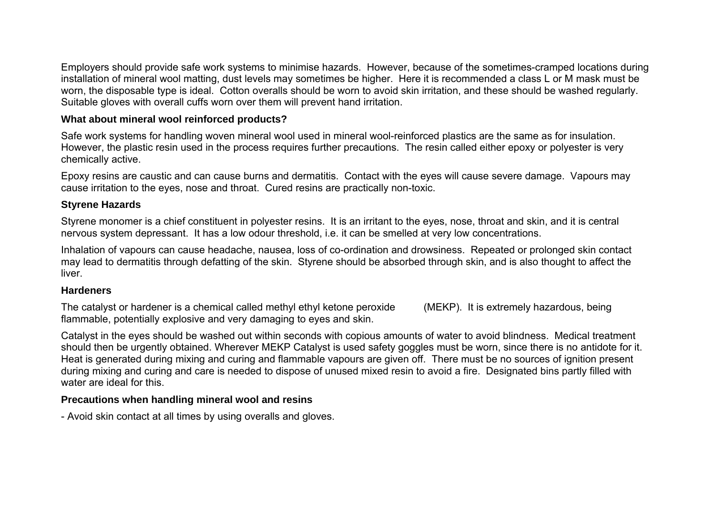Employers should provide safe work systems to minimise hazards. However, because of the sometimes-cramped locations during installation of mineral wool matting, dust levels may sometimes be higher. Here it is recommended a class L or M mask must be worn, the disposable type is ideal. Cotton overalls should be worn to avoid skin irritation, and these should be washed regularly. Suitable gloves with overall cuffs worn over them will prevent hand irritation.

## **What about mineral wool reinforced products?**

Safe work systems for handling woven mineral wool used in mineral wool-reinforced plastics are the same as for insulation. However, the plastic resin used in the process requires further precautions. The resin called either epoxy or polyester is very chemically active.

Epoxy resins are caustic and can cause burns and dermatitis. Contact with the eyes will cause severe damage. Vapours may cause irritation to the eyes, nose and throat. Cured resins are practically non-toxic.

## **Styrene Hazards**

Styrene monomer is a chief constituent in polyester resins. It is an irritant to the eyes, nose, throat and skin, and it is central nervous system depressant. It has a low odour threshold, i.e. it can be smelled at very low concentrations.

Inhalation of vapours can cause headache, nausea, loss of co-ordination and drowsiness. Repeated or prolonged skin contact may lead to dermatitis through defatting of the skin. Styrene should be absorbed through skin, and is also thought to affect the liver.

## **Hardeners**

The catalyst or hardener is a chemical called methyl ethyl ketone peroxide (MEKP). It is extremely hazardous, being flammable, potentially explosive and very damaging to eyes and skin.

Catalyst in the eyes should be washed out within seconds with copious amounts of water to avoid blindness. Medical treatment should then be urgently obtained. Wherever MEKP Catalyst is used safety goggles must be worn, since there is no antidote for it. Heat is generated during mixing and curing and flammable vapours are given off. There must be no sources of ignition present during mixing and curing and care is needed to dispose of unused mixed resin to avoid a fire. Designated bins partly filled with water are ideal for this.

# **Precautions when handling mineral wool and resins**

- Avoid skin contact at all times by using overalls and gloves.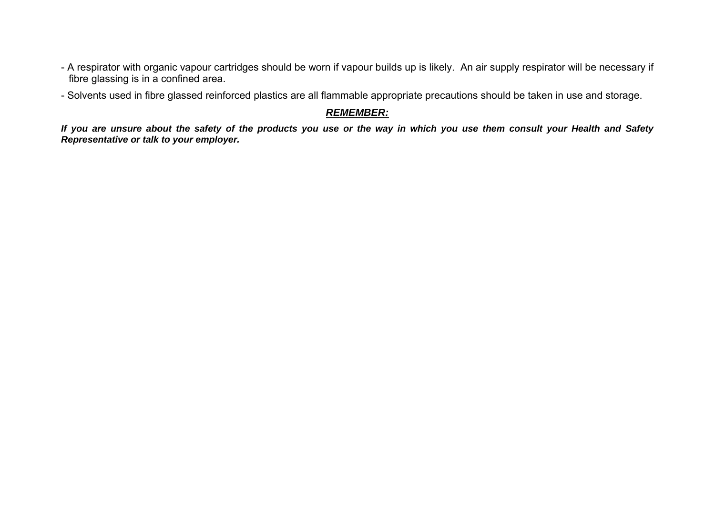- A respirator with organic vapour cartridges should be worn if vapour builds up is likely. An air supply respirator will be necessary if fibre glassing is in a confined area.
- Solvents used in fibre glassed reinforced plastics are all flammable appropriate precautions should be taken in use and storage.

# *REMEMBER:*

*If you are unsure about the safety of the products you use or the way in which you use them consult your Health and Safety Representative or talk to your employer.*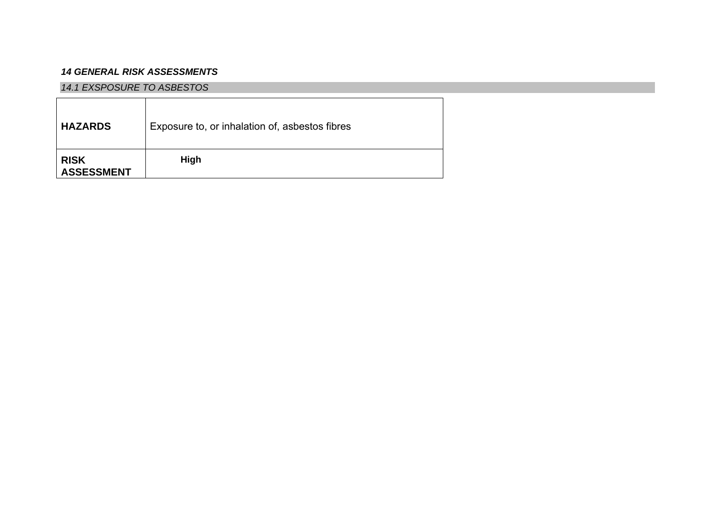### *14 GENERAL RISK ASSESSMENTS*

#### *14.1 EXSPOSURE TO ASBESTOS*

| <b>HAZARDS</b>                   | Exposure to, or inhalation of, asbestos fibres |
|----------------------------------|------------------------------------------------|
| <b>RISK</b><br><b>ASSESSMENT</b> | High                                           |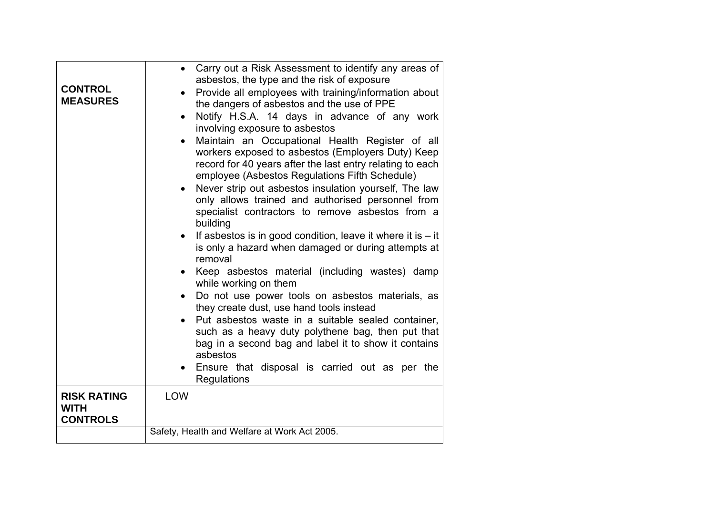| <b>CONTROL</b><br><b>MEASURES</b>                    | Carry out a Risk Assessment to identify any areas of<br>$\bullet$<br>asbestos, the type and the risk of exposure<br>Provide all employees with training/information about<br>the dangers of asbestos and the use of PPE<br>Notify H.S.A. 14 days in advance of any work<br>$\bullet$<br>involving exposure to asbestos<br>Maintain an Occupational Health Register of all<br>$\bullet$<br>workers exposed to asbestos (Employers Duty) Keep<br>record for 40 years after the last entry relating to each<br>employee (Asbestos Regulations Fifth Schedule)<br>Never strip out asbestos insulation yourself, The law<br>only allows trained and authorised personnel from<br>specialist contractors to remove asbestos from a<br>building<br>If asbestos is in good condition, leave it where it is $-$ it<br>is only a hazard when damaged or during attempts at<br>removal<br>Keep asbestos material (including wastes) damp<br>while working on them<br>Do not use power tools on asbestos materials, as<br>they create dust, use hand tools instead<br>Put asbestos waste in a suitable sealed container.<br>such as a heavy duty polythene bag, then put that<br>bag in a second bag and label it to show it contains |
|------------------------------------------------------|---------------------------------------------------------------------------------------------------------------------------------------------------------------------------------------------------------------------------------------------------------------------------------------------------------------------------------------------------------------------------------------------------------------------------------------------------------------------------------------------------------------------------------------------------------------------------------------------------------------------------------------------------------------------------------------------------------------------------------------------------------------------------------------------------------------------------------------------------------------------------------------------------------------------------------------------------------------------------------------------------------------------------------------------------------------------------------------------------------------------------------------------------------------------------------------------------------------------------|
|                                                      | asbestos<br>Ensure that disposal is carried out as per the<br>Regulations                                                                                                                                                                                                                                                                                                                                                                                                                                                                                                                                                                                                                                                                                                                                                                                                                                                                                                                                                                                                                                                                                                                                                 |
| <b>RISK RATING</b><br><b>WITH</b><br><b>CONTROLS</b> | <b>LOW</b>                                                                                                                                                                                                                                                                                                                                                                                                                                                                                                                                                                                                                                                                                                                                                                                                                                                                                                                                                                                                                                                                                                                                                                                                                |
|                                                      | Safety, Health and Welfare at Work Act 2005.                                                                                                                                                                                                                                                                                                                                                                                                                                                                                                                                                                                                                                                                                                                                                                                                                                                                                                                                                                                                                                                                                                                                                                              |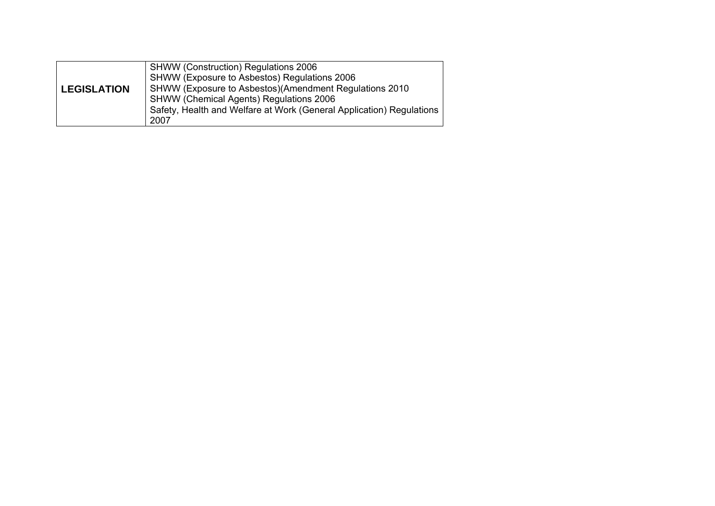| <b>LEGISLATION</b> | <b>SHWW (Construction) Regulations 2006</b><br>SHWW (Exposure to Asbestos) Regulations 2006<br>SHWW (Exposure to Asbestos) (Amendment Regulations 2010<br><b>SHWW (Chemical Agents) Regulations 2006</b><br>Safety, Health and Welfare at Work (General Application) Regulations<br>2007 |
|--------------------|------------------------------------------------------------------------------------------------------------------------------------------------------------------------------------------------------------------------------------------------------------------------------------------|
|--------------------|------------------------------------------------------------------------------------------------------------------------------------------------------------------------------------------------------------------------------------------------------------------------------------------|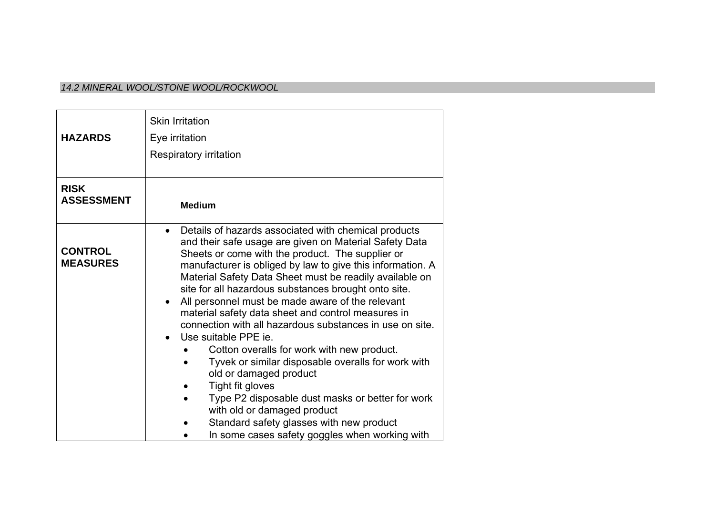#### *14.2 MINERAL WOOL/STONE WOOL/ROCKWOOL*

|                                   | <b>Skin Irritation</b>                                                                                                                                                                                                                                                                                                                                                                                                                                                                                                                                                                                                                                                                                                                                                                                                                                                                                         |
|-----------------------------------|----------------------------------------------------------------------------------------------------------------------------------------------------------------------------------------------------------------------------------------------------------------------------------------------------------------------------------------------------------------------------------------------------------------------------------------------------------------------------------------------------------------------------------------------------------------------------------------------------------------------------------------------------------------------------------------------------------------------------------------------------------------------------------------------------------------------------------------------------------------------------------------------------------------|
| <b>HAZARDS</b>                    | Eye irritation                                                                                                                                                                                                                                                                                                                                                                                                                                                                                                                                                                                                                                                                                                                                                                                                                                                                                                 |
|                                   | Respiratory irritation                                                                                                                                                                                                                                                                                                                                                                                                                                                                                                                                                                                                                                                                                                                                                                                                                                                                                         |
|                                   |                                                                                                                                                                                                                                                                                                                                                                                                                                                                                                                                                                                                                                                                                                                                                                                                                                                                                                                |
| <b>RISK</b><br><b>ASSESSMENT</b>  | <b>Medium</b>                                                                                                                                                                                                                                                                                                                                                                                                                                                                                                                                                                                                                                                                                                                                                                                                                                                                                                  |
| <b>CONTROL</b><br><b>MEASURES</b> | Details of hazards associated with chemical products<br>$\bullet$<br>and their safe usage are given on Material Safety Data<br>Sheets or come with the product. The supplier or<br>manufacturer is obliged by law to give this information. A<br>Material Safety Data Sheet must be readily available on<br>site for all hazardous substances brought onto site.<br>All personnel must be made aware of the relevant<br>$\bullet$<br>material safety data sheet and control measures in<br>connection with all hazardous substances in use on site.<br>Use suitable PPE ie.<br>Cotton overalls for work with new product.<br>Tyvek or similar disposable overalls for work with<br>old or damaged product<br>Tight fit gloves<br>Type P2 disposable dust masks or better for work<br>with old or damaged product<br>Standard safety glasses with new product<br>In some cases safety goggles when working with |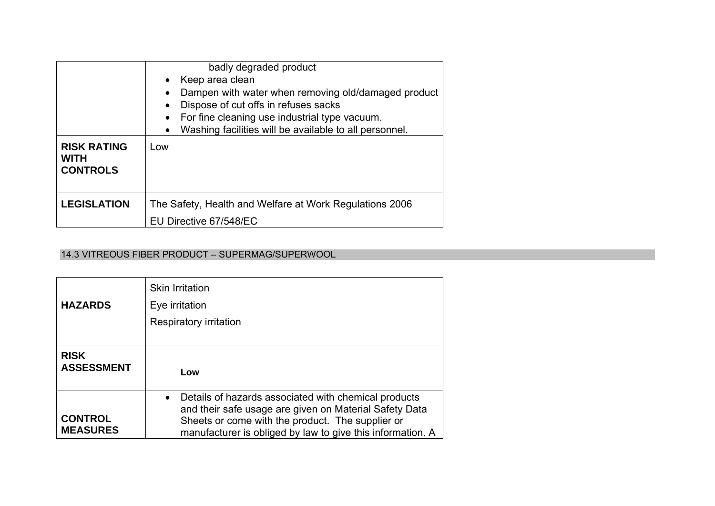|                                                      | badly degraded product<br>Keep area clean<br>$\bullet$<br>Dampen with water when removing old/damaged product<br>Dispose of cut offs in refuses sacks<br>$\bullet$<br>For fine cleaning use industrial type vacuum. |
|------------------------------------------------------|---------------------------------------------------------------------------------------------------------------------------------------------------------------------------------------------------------------------|
| <b>RISK RATING</b><br><b>WITH</b><br><b>CONTROLS</b> | Washing facilities will be available to all personnel.<br>$\bullet$<br>Low                                                                                                                                          |
| <b>LEGISLATION</b>                                   | The Safety, Health and Welfare at Work Regulations 2006<br>EU Directive 67/548/EC                                                                                                                                   |

### 14.3 VITREOUS FIBER PRODUCT – SUPERMAG/SUPERWOOL

| <b>HAZARDS</b>                    | <b>Skin Irritation</b><br>Eye irritation<br>Respiratory irritation                                                                                                                                                                            |
|-----------------------------------|-----------------------------------------------------------------------------------------------------------------------------------------------------------------------------------------------------------------------------------------------|
| <b>RISK</b><br><b>ASSESSMENT</b>  | Low                                                                                                                                                                                                                                           |
| <b>CONTROL</b><br><b>MEASURES</b> | Details of hazards associated with chemical products<br>$\bullet$<br>and their safe usage are given on Material Safety Data<br>Sheets or come with the product. The supplier or<br>manufacturer is obliged by law to give this information. A |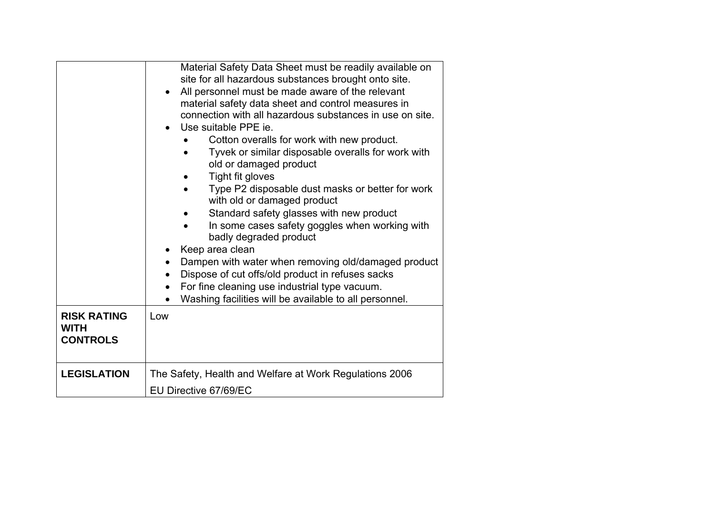| Material Safety Data Sheet must be readily available on<br>site for all hazardous substances brought onto site.<br>All personnel must be made aware of the relevant<br>material safety data sheet and control measures in<br>connection with all hazardous substances in use on site.<br>Use suitable PPE ie.<br>Cotton overalls for work with new product.<br>Tyvek or similar disposable overalls for work with<br>old or damaged product<br>Tight fit gloves<br>Type P2 disposable dust masks or better for work<br>$\bullet$<br>with old or damaged product<br>Standard safety glasses with new product<br>In some cases safety goggles when working with<br>badly degraded product<br>Keep area clean<br>Dampen with water when removing old/damaged product<br>$\bullet$<br>Dispose of cut offs/old product in refuses sacks<br>$\bullet$<br>For fine cleaning use industrial type vacuum.<br>$\bullet$<br>Washing facilities will be available to all personnel.<br>Low |
|--------------------------------------------------------------------------------------------------------------------------------------------------------------------------------------------------------------------------------------------------------------------------------------------------------------------------------------------------------------------------------------------------------------------------------------------------------------------------------------------------------------------------------------------------------------------------------------------------------------------------------------------------------------------------------------------------------------------------------------------------------------------------------------------------------------------------------------------------------------------------------------------------------------------------------------------------------------------------------|
| The Safety, Health and Welfare at Work Regulations 2006<br>EU Directive 67/69/EC                                                                                                                                                                                                                                                                                                                                                                                                                                                                                                                                                                                                                                                                                                                                                                                                                                                                                               |
|                                                                                                                                                                                                                                                                                                                                                                                                                                                                                                                                                                                                                                                                                                                                                                                                                                                                                                                                                                                |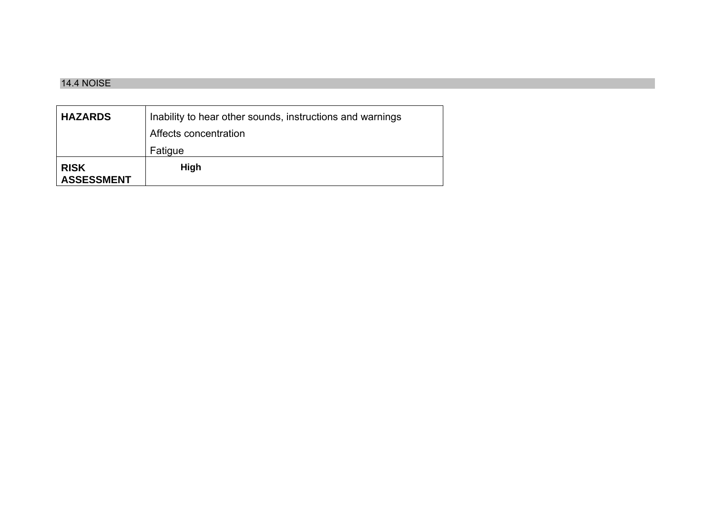#### 14.4 NOISE

| <b>HAZARDS</b>                   | Inability to hear other sounds, instructions and warnings |
|----------------------------------|-----------------------------------------------------------|
|                                  | Affects concentration                                     |
|                                  | Fatigue                                                   |
| <b>RISK</b><br><b>ASSESSMENT</b> | High                                                      |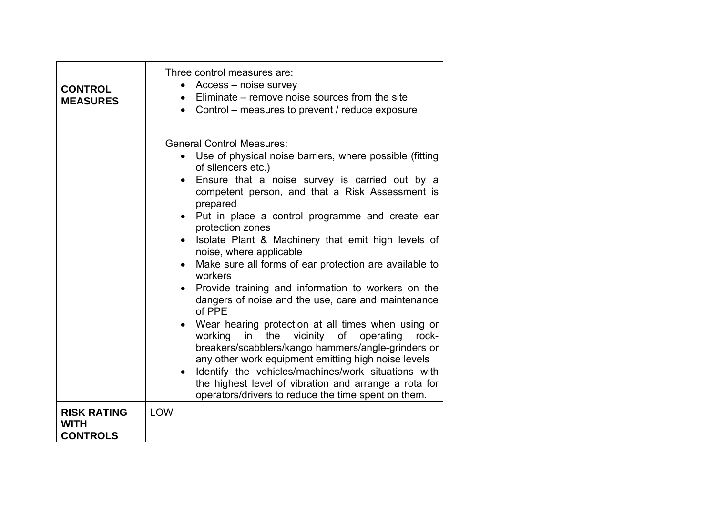| <b>CONTROL</b><br><b>MEASURES</b>                    | Three control measures are:<br>Access – noise survey<br>$\bullet$<br>Eliminate – remove noise sources from the site<br>$\bullet$<br>Control – measures to prevent / reduce exposure<br>$\bullet$                                                                                                                                                                                                                                                                                                                                                                                                                                                                                                                                                                                                                                                                                                                                                                                                                                                             |
|------------------------------------------------------|--------------------------------------------------------------------------------------------------------------------------------------------------------------------------------------------------------------------------------------------------------------------------------------------------------------------------------------------------------------------------------------------------------------------------------------------------------------------------------------------------------------------------------------------------------------------------------------------------------------------------------------------------------------------------------------------------------------------------------------------------------------------------------------------------------------------------------------------------------------------------------------------------------------------------------------------------------------------------------------------------------------------------------------------------------------|
|                                                      | <b>General Control Measures:</b><br>Use of physical noise barriers, where possible (fitting<br>$\bullet$<br>of silencers etc.)<br>Ensure that a noise survey is carried out by a<br>$\bullet$<br>competent person, and that a Risk Assessment is<br>prepared<br>• Put in place a control programme and create ear<br>protection zones<br>Isolate Plant & Machinery that emit high levels of<br>noise, where applicable<br>Make sure all forms of ear protection are available to<br>$\bullet$<br>workers<br>Provide training and information to workers on the<br>$\bullet$<br>dangers of noise and the use, care and maintenance<br>of PPE<br>Wear hearing protection at all times when using or<br>$\bullet$<br>the vicinity of<br>working<br>in<br>operating<br>rock-<br>breakers/scabblers/kango hammers/angle-grinders or<br>any other work equipment emitting high noise levels<br>Identify the vehicles/machines/work situations with<br>the highest level of vibration and arrange a rota for<br>operators/drivers to reduce the time spent on them. |
| <b>RISK RATING</b><br><b>WITH</b><br><b>CONTROLS</b> | LOW                                                                                                                                                                                                                                                                                                                                                                                                                                                                                                                                                                                                                                                                                                                                                                                                                                                                                                                                                                                                                                                          |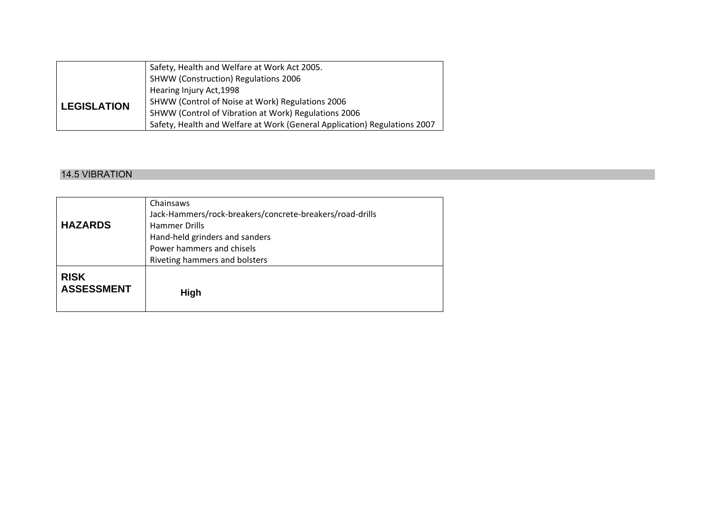|                    | Safety, Health and Welfare at Work Act 2005.                              |
|--------------------|---------------------------------------------------------------------------|
|                    | <b>SHWW (Construction) Regulations 2006</b>                               |
| <b>LEGISLATION</b> | Hearing Injury Act, 1998                                                  |
|                    | SHWW (Control of Noise at Work) Regulations 2006                          |
|                    | SHWW (Control of Vibration at Work) Regulations 2006                      |
|                    | Safety, Health and Welfare at Work (General Application) Regulations 2007 |

#### 14.5 VIBRATION

| <b>HAZARDS</b>                   | Chainsaws<br>Jack-Hammers/rock-breakers/concrete-breakers/road-drills<br><b>Hammer Drills</b><br>Hand-held grinders and sanders<br>Power hammers and chisels<br>Riveting hammers and bolsters |
|----------------------------------|-----------------------------------------------------------------------------------------------------------------------------------------------------------------------------------------------|
| <b>RISK</b><br><b>ASSESSMENT</b> | High                                                                                                                                                                                          |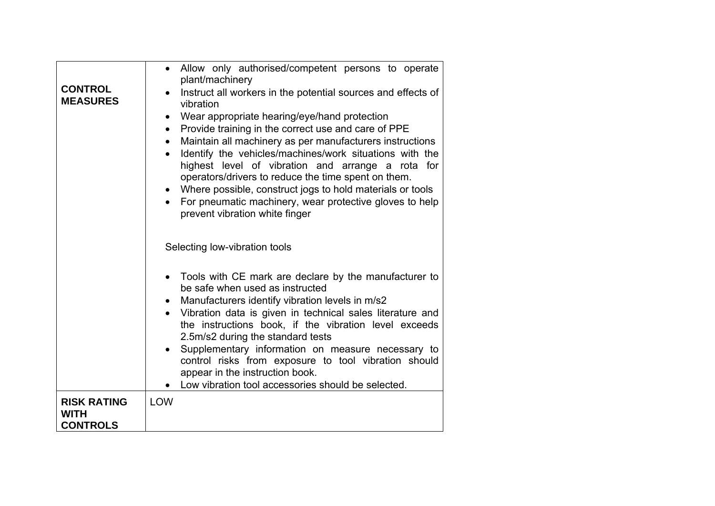| <b>CONTROL</b><br><b>MEASURES</b> | Allow only authorised/competent persons to operate<br>$\bullet$<br>plant/machinery<br>Instruct all workers in the potential sources and effects of<br>vibration<br>Wear appropriate hearing/eye/hand protection<br>$\bullet$<br>Provide training in the correct use and care of PPE<br>$\bullet$<br>Maintain all machinery as per manufacturers instructions<br>$\bullet$<br>Identify the vehicles/machines/work situations with the<br>highest level of vibration and arrange a rota for<br>operators/drivers to reduce the time spent on them.<br>Where possible, construct jogs to hold materials or tools<br>For pneumatic machinery, wear protective gloves to help<br>prevent vibration white finger |
|-----------------------------------|------------------------------------------------------------------------------------------------------------------------------------------------------------------------------------------------------------------------------------------------------------------------------------------------------------------------------------------------------------------------------------------------------------------------------------------------------------------------------------------------------------------------------------------------------------------------------------------------------------------------------------------------------------------------------------------------------------|
| <b>RISK RATING</b>                | Selecting low-vibration tools<br>Tools with CE mark are declare by the manufacturer to<br>be safe when used as instructed<br>Manufacturers identify vibration levels in m/s2<br>$\bullet$<br>Vibration data is given in technical sales literature and<br>the instructions book, if the vibration level exceeds<br>2.5m/s2 during the standard tests<br>Supplementary information on measure necessary to<br>control risks from exposure to tool vibration should<br>appear in the instruction book.<br>Low vibration tool accessories should be selected.<br><b>LOW</b>                                                                                                                                   |
| <b>WITH</b><br><b>CONTROLS</b>    |                                                                                                                                                                                                                                                                                                                                                                                                                                                                                                                                                                                                                                                                                                            |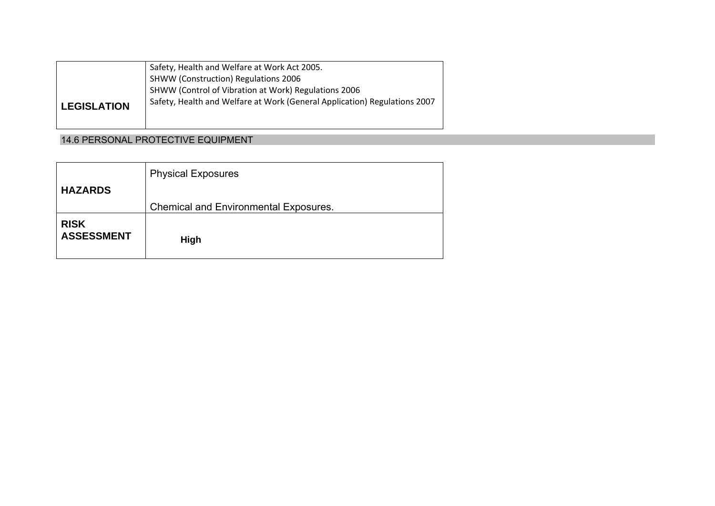|                    | Safety, Health and Welfare at Work Act 2005.                              |
|--------------------|---------------------------------------------------------------------------|
|                    | <b>SHWW (Construction) Regulations 2006</b>                               |
|                    | SHWW (Control of Vibration at Work) Regulations 2006                      |
| <b>LEGISLATION</b> | Safety, Health and Welfare at Work (General Application) Regulations 2007 |

# 14.6 PERSONAL PROTECTIVE EQUIPMENT

| <b>HAZARDS</b>                   | <b>Physical Exposures</b>                    |
|----------------------------------|----------------------------------------------|
|                                  | <b>Chemical and Environmental Exposures.</b> |
| <b>RISK</b><br><b>ASSESSMENT</b> | High                                         |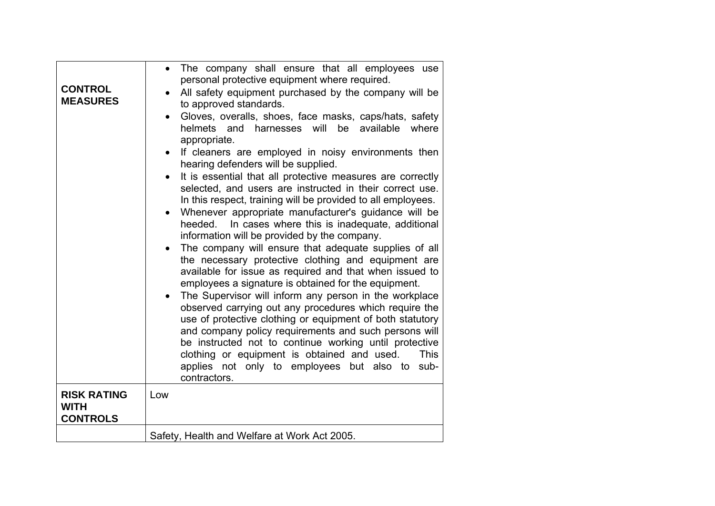| <b>CONTROL</b><br><b>MEASURES</b>                    | The company shall ensure that all employees use<br>$\bullet$<br>personal protective equipment where required.<br>All safety equipment purchased by the company will be<br>to approved standards.<br>Gloves, overalls, shoes, face masks, caps/hats, safety<br>helmets and harnesses will<br>be available<br>where<br>appropriate.<br>If cleaners are employed in noisy environments then<br>hearing defenders will be supplied.<br>It is essential that all protective measures are correctly<br>$\bullet$<br>selected, and users are instructed in their correct use.<br>In this respect, training will be provided to all employees.<br>Whenever appropriate manufacturer's guidance will be<br>In cases where this is inadequate, additional<br>heeded.<br>information will be provided by the company.<br>The company will ensure that adequate supplies of all<br>the necessary protective clothing and equipment are<br>available for issue as required and that when issued to<br>employees a signature is obtained for the equipment.<br>The Supervisor will inform any person in the workplace<br>observed carrying out any procedures which require the<br>use of protective clothing or equipment of both statutory<br>and company policy requirements and such persons will<br>be instructed not to continue working until protective<br>clothing or equipment is obtained and used.<br><b>This</b><br>applies not only to employees but also to sub-<br>contractors. |
|------------------------------------------------------|-----------------------------------------------------------------------------------------------------------------------------------------------------------------------------------------------------------------------------------------------------------------------------------------------------------------------------------------------------------------------------------------------------------------------------------------------------------------------------------------------------------------------------------------------------------------------------------------------------------------------------------------------------------------------------------------------------------------------------------------------------------------------------------------------------------------------------------------------------------------------------------------------------------------------------------------------------------------------------------------------------------------------------------------------------------------------------------------------------------------------------------------------------------------------------------------------------------------------------------------------------------------------------------------------------------------------------------------------------------------------------------------------------------------------------------------------------------------------------------|
| <b>RISK RATING</b><br><b>WITH</b><br><b>CONTROLS</b> | Low                                                                                                                                                                                                                                                                                                                                                                                                                                                                                                                                                                                                                                                                                                                                                                                                                                                                                                                                                                                                                                                                                                                                                                                                                                                                                                                                                                                                                                                                               |
|                                                      | Safety, Health and Welfare at Work Act 2005.                                                                                                                                                                                                                                                                                                                                                                                                                                                                                                                                                                                                                                                                                                                                                                                                                                                                                                                                                                                                                                                                                                                                                                                                                                                                                                                                                                                                                                      |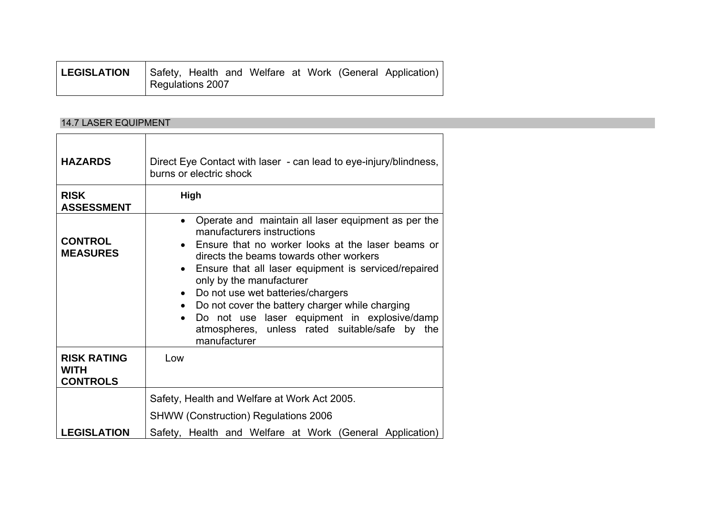| <b>LEGISLATION</b> |                  |  |  |  | Safety, Health and Welfare at Work (General Application) |
|--------------------|------------------|--|--|--|----------------------------------------------------------|
|                    | Regulations 2007 |  |  |  |                                                          |

# 14.7 LASER EQUIPMENT

| <b>HAZARDS</b>                                       | Direct Eye Contact with laser - can lead to eye-injury/blindness,<br>burns or electric shock                                                                                                                                                                                                                                                                                                                                                                                                                                    |
|------------------------------------------------------|---------------------------------------------------------------------------------------------------------------------------------------------------------------------------------------------------------------------------------------------------------------------------------------------------------------------------------------------------------------------------------------------------------------------------------------------------------------------------------------------------------------------------------|
| <b>RISK</b><br><b>ASSESSMENT</b>                     | <b>High</b>                                                                                                                                                                                                                                                                                                                                                                                                                                                                                                                     |
| <b>CONTROL</b><br><b>MEASURES</b>                    | • Operate and maintain all laser equipment as per the<br>manufacturers instructions<br>• Ensure that no worker looks at the laser beams or<br>directs the beams towards other workers<br>Ensure that all laser equipment is serviced/repaired<br>$\bullet$<br>only by the manufacturer<br>• Do not use wet batteries/chargers<br>Do not cover the battery charger while charging<br>$\bullet$<br>Do not use laser equipment in explosive/damp<br>$\bullet$<br>atmospheres, unless rated suitable/safe by<br>the<br>manufacturer |
| <b>RISK RATING</b><br><b>WITH</b><br><b>CONTROLS</b> | Low                                                                                                                                                                                                                                                                                                                                                                                                                                                                                                                             |
| <b>LEGISLATION</b>                                   | Safety, Health and Welfare at Work Act 2005.<br><b>SHWW (Construction) Regulations 2006</b><br>Safety, Health and Welfare at Work (General Application)                                                                                                                                                                                                                                                                                                                                                                         |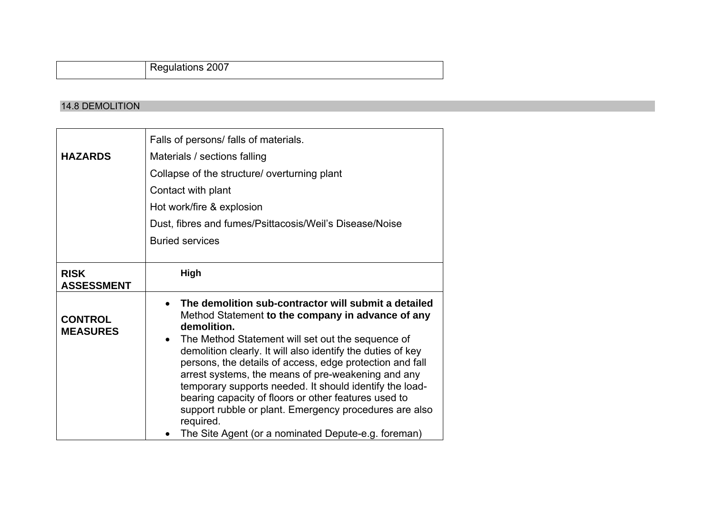Regulations 2007

#### 14.8 DEMOLITION

|                                   | Falls of persons/ falls of materials.                                                                                                                                                                                                                                                                                                                                                                                                                                                                                                                                                                                        |  |  |  |  |
|-----------------------------------|------------------------------------------------------------------------------------------------------------------------------------------------------------------------------------------------------------------------------------------------------------------------------------------------------------------------------------------------------------------------------------------------------------------------------------------------------------------------------------------------------------------------------------------------------------------------------------------------------------------------------|--|--|--|--|
| <b>HAZARDS</b>                    | Materials / sections falling                                                                                                                                                                                                                                                                                                                                                                                                                                                                                                                                                                                                 |  |  |  |  |
|                                   | Collapse of the structure/ overturning plant                                                                                                                                                                                                                                                                                                                                                                                                                                                                                                                                                                                 |  |  |  |  |
|                                   | Contact with plant                                                                                                                                                                                                                                                                                                                                                                                                                                                                                                                                                                                                           |  |  |  |  |
|                                   | Hot work/fire & explosion                                                                                                                                                                                                                                                                                                                                                                                                                                                                                                                                                                                                    |  |  |  |  |
|                                   | Dust, fibres and fumes/Psittacosis/Weil's Disease/Noise                                                                                                                                                                                                                                                                                                                                                                                                                                                                                                                                                                      |  |  |  |  |
|                                   | <b>Buried services</b>                                                                                                                                                                                                                                                                                                                                                                                                                                                                                                                                                                                                       |  |  |  |  |
|                                   |                                                                                                                                                                                                                                                                                                                                                                                                                                                                                                                                                                                                                              |  |  |  |  |
| <b>RISK</b><br><b>ASSESSMENT</b>  | High                                                                                                                                                                                                                                                                                                                                                                                                                                                                                                                                                                                                                         |  |  |  |  |
| <b>CONTROL</b><br><b>MEASURES</b> | The demolition sub-contractor will submit a detailed<br>Method Statement to the company in advance of any<br>demolition.<br>The Method Statement will set out the sequence of<br>$\bullet$<br>demolition clearly. It will also identify the duties of key<br>persons, the details of access, edge protection and fall<br>arrest systems, the means of pre-weakening and any<br>temporary supports needed. It should identify the load-<br>bearing capacity of floors or other features used to<br>support rubble or plant. Emergency procedures are also<br>required.<br>The Site Agent (or a nominated Depute-e.g. foreman) |  |  |  |  |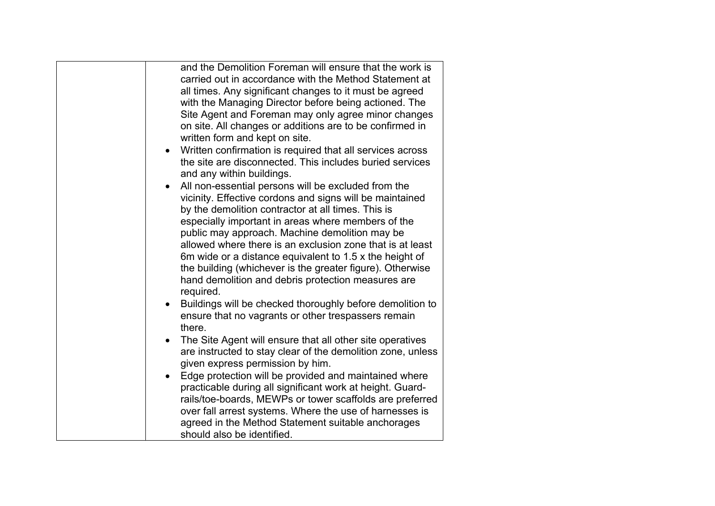| and the Demolition Foreman will ensure that the work is<br>carried out in accordance with the Method Statement at<br>all times. Any significant changes to it must be agreed<br>with the Managing Director before being actioned. The<br>Site Agent and Foreman may only agree minor changes<br>on site. All changes or additions are to be confirmed in<br>written form and kept on site.<br>Written confirmation is required that all services across<br>the site are disconnected. This includes buried services<br>and any within buildings.<br>All non-essential persons will be excluded from the<br>vicinity. Effective cordons and signs will be maintained<br>by the demolition contractor at all times. This is<br>especially important in areas where members of the<br>public may approach. Machine demolition may be<br>allowed where there is an exclusion zone that is at least<br>6m wide or a distance equivalent to 1.5 x the height of<br>the building (whichever is the greater figure). Otherwise<br>hand demolition and debris protection measures are<br>required.<br>Buildings will be checked thoroughly before demolition to<br>ensure that no vagrants or other trespassers remain<br>there.<br>The Site Agent will ensure that all other site operatives<br>are instructed to stay clear of the demolition zone, unless<br>given express permission by him.<br>Edge protection will be provided and maintained where<br>$\bullet$<br>practicable during all significant work at height. Guard- |
|----------------------------------------------------------------------------------------------------------------------------------------------------------------------------------------------------------------------------------------------------------------------------------------------------------------------------------------------------------------------------------------------------------------------------------------------------------------------------------------------------------------------------------------------------------------------------------------------------------------------------------------------------------------------------------------------------------------------------------------------------------------------------------------------------------------------------------------------------------------------------------------------------------------------------------------------------------------------------------------------------------------------------------------------------------------------------------------------------------------------------------------------------------------------------------------------------------------------------------------------------------------------------------------------------------------------------------------------------------------------------------------------------------------------------------------------------------------------------------------------------------------------------|
| rails/toe-boards, MEWPs or tower scaffolds are preferred<br>over fall arrest systems. Where the use of harnesses is<br>agreed in the Method Statement suitable anchorages<br>should also be identified.                                                                                                                                                                                                                                                                                                                                                                                                                                                                                                                                                                                                                                                                                                                                                                                                                                                                                                                                                                                                                                                                                                                                                                                                                                                                                                                    |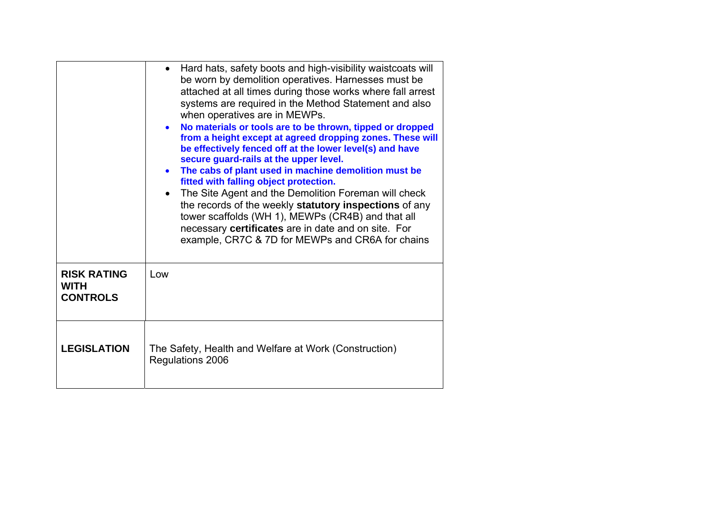|                                                      | Hard hats, safety boots and high-visibility waistcoats will<br>be worn by demolition operatives. Harnesses must be<br>attached at all times during those works where fall arrest<br>systems are required in the Method Statement and also<br>when operatives are in MEWPs.<br>No materials or tools are to be thrown, tipped or dropped<br>$\bullet$<br>from a height except at agreed dropping zones. These will<br>be effectively fenced off at the lower level(s) and have<br>secure guard-rails at the upper level.<br>The cabs of plant used in machine demolition must be<br>$\bullet$<br>fitted with falling object protection.<br>The Site Agent and the Demolition Foreman will check<br>$\bullet$<br>the records of the weekly statutory inspections of any<br>tower scaffolds (WH 1), MEWPs (CR4B) and that all<br>necessary certificates are in date and on site. For<br>example, CR7C & 7D for MEWPs and CR6A for chains |
|------------------------------------------------------|---------------------------------------------------------------------------------------------------------------------------------------------------------------------------------------------------------------------------------------------------------------------------------------------------------------------------------------------------------------------------------------------------------------------------------------------------------------------------------------------------------------------------------------------------------------------------------------------------------------------------------------------------------------------------------------------------------------------------------------------------------------------------------------------------------------------------------------------------------------------------------------------------------------------------------------|
| <b>RISK RATING</b><br><b>WITH</b><br><b>CONTROLS</b> | Low                                                                                                                                                                                                                                                                                                                                                                                                                                                                                                                                                                                                                                                                                                                                                                                                                                                                                                                                   |
| <b>LEGISLATION</b>                                   | The Safety, Health and Welfare at Work (Construction)<br>Regulations 2006                                                                                                                                                                                                                                                                                                                                                                                                                                                                                                                                                                                                                                                                                                                                                                                                                                                             |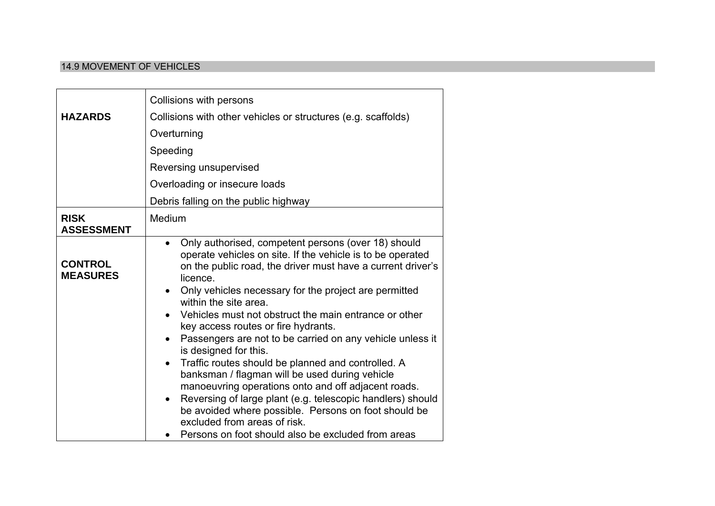### 14.9 MOVEMENT OF VEHICLES

| <b>HAZARDS</b>                    | Collisions with persons<br>Collisions with other vehicles or structures (e.g. scaffolds)<br>Overturning<br>Speeding<br>Reversing unsupervised<br>Overloading or insecure loads                                                                                                                                                                                                                                                                                                                                                                                                                                                                                                                                                                                                                                                                                                         |
|-----------------------------------|----------------------------------------------------------------------------------------------------------------------------------------------------------------------------------------------------------------------------------------------------------------------------------------------------------------------------------------------------------------------------------------------------------------------------------------------------------------------------------------------------------------------------------------------------------------------------------------------------------------------------------------------------------------------------------------------------------------------------------------------------------------------------------------------------------------------------------------------------------------------------------------|
|                                   | Debris falling on the public highway                                                                                                                                                                                                                                                                                                                                                                                                                                                                                                                                                                                                                                                                                                                                                                                                                                                   |
| <b>RISK</b><br><b>ASSESSMENT</b>  | Medium                                                                                                                                                                                                                                                                                                                                                                                                                                                                                                                                                                                                                                                                                                                                                                                                                                                                                 |
| <b>CONTROL</b><br><b>MEASURES</b> | Only authorised, competent persons (over 18) should<br>operate vehicles on site. If the vehicle is to be operated<br>on the public road, the driver must have a current driver's<br>licence.<br>Only vehicles necessary for the project are permitted<br>$\bullet$<br>within the site area.<br>Vehicles must not obstruct the main entrance or other<br>$\bullet$<br>key access routes or fire hydrants.<br>Passengers are not to be carried on any vehicle unless it<br>is designed for this.<br>Traffic routes should be planned and controlled. A<br>banksman / flagman will be used during vehicle<br>manoeuvring operations onto and off adjacent roads.<br>Reversing of large plant (e.g. telescopic handlers) should<br>$\bullet$<br>be avoided where possible. Persons on foot should be<br>excluded from areas of risk.<br>Persons on foot should also be excluded from areas |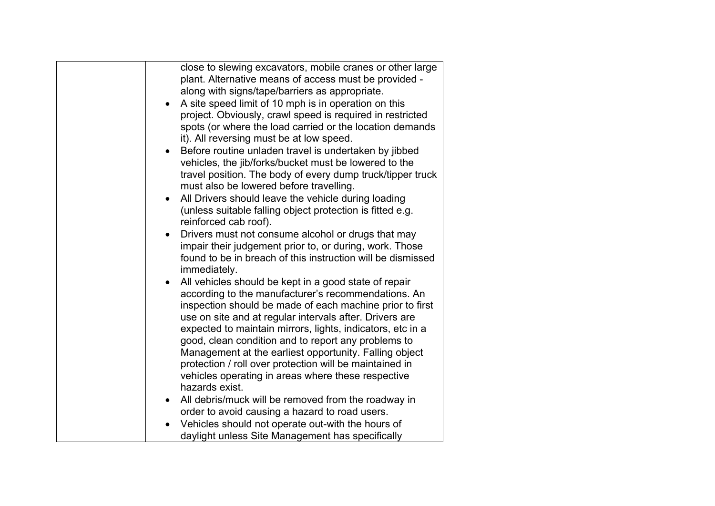| close to slewing excavators, mobile cranes or other large<br>plant. Alternative means of access must be provided -<br>along with signs/tape/barriers as appropriate.<br>A site speed limit of 10 mph is in operation on this<br>$\bullet$<br>project. Obviously, crawl speed is required in restricted<br>spots (or where the load carried or the location demands<br>it). All reversing must be at low speed.<br>Before routine unladen travel is undertaken by jibbed<br>$\bullet$<br>vehicles, the jib/forks/bucket must be lowered to the<br>travel position. The body of every dump truck/tipper truck<br>must also be lowered before travelling.<br>All Drivers should leave the vehicle during loading<br>$\bullet$<br>(unless suitable falling object protection is fitted e.g.<br>reinforced cab roof).<br>Drivers must not consume alcohol or drugs that may<br>$\bullet$ |
|-------------------------------------------------------------------------------------------------------------------------------------------------------------------------------------------------------------------------------------------------------------------------------------------------------------------------------------------------------------------------------------------------------------------------------------------------------------------------------------------------------------------------------------------------------------------------------------------------------------------------------------------------------------------------------------------------------------------------------------------------------------------------------------------------------------------------------------------------------------------------------------|
| impair their judgement prior to, or during, work. Those<br>found to be in breach of this instruction will be dismissed<br>immediately.                                                                                                                                                                                                                                                                                                                                                                                                                                                                                                                                                                                                                                                                                                                                              |
| All vehicles should be kept in a good state of repair<br>$\bullet$<br>according to the manufacturer's recommendations. An<br>inspection should be made of each machine prior to first<br>use on site and at regular intervals after. Drivers are<br>expected to maintain mirrors, lights, indicators, etc in a<br>good, clean condition and to report any problems to<br>Management at the earliest opportunity. Falling object<br>protection / roll over protection will be maintained in<br>vehicles operating in areas where these respective<br>hazards exist.                                                                                                                                                                                                                                                                                                                  |
| All debris/muck will be removed from the roadway in<br>$\bullet$                                                                                                                                                                                                                                                                                                                                                                                                                                                                                                                                                                                                                                                                                                                                                                                                                    |
| order to avoid causing a hazard to road users.<br>Vehicles should not operate out-with the hours of                                                                                                                                                                                                                                                                                                                                                                                                                                                                                                                                                                                                                                                                                                                                                                                 |
| daylight unless Site Management has specifically                                                                                                                                                                                                                                                                                                                                                                                                                                                                                                                                                                                                                                                                                                                                                                                                                                    |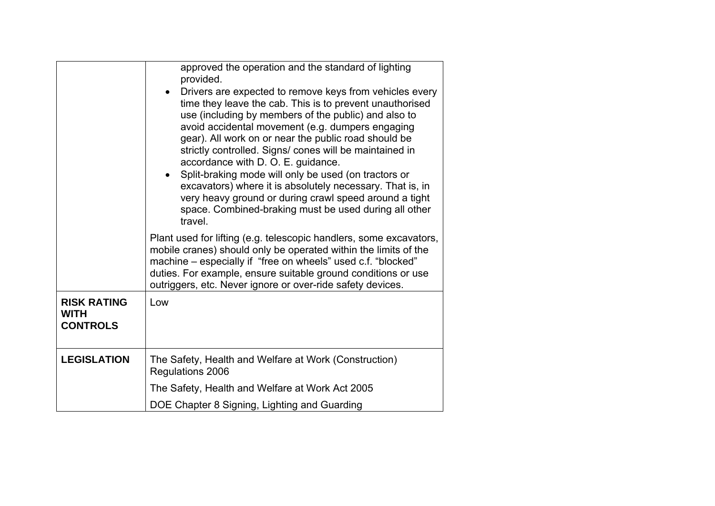|                                                      | approved the operation and the standard of lighting<br>provided.<br>Drivers are expected to remove keys from vehicles every<br>time they leave the cab. This is to prevent unauthorised<br>use (including by members of the public) and also to<br>avoid accidental movement (e.g. dumpers engaging<br>gear). All work on or near the public road should be<br>strictly controlled. Signs/ cones will be maintained in<br>accordance with D. O. E. guidance.<br>Split-braking mode will only be used (on tractors or |
|------------------------------------------------------|----------------------------------------------------------------------------------------------------------------------------------------------------------------------------------------------------------------------------------------------------------------------------------------------------------------------------------------------------------------------------------------------------------------------------------------------------------------------------------------------------------------------|
|                                                      | excavators) where it is absolutely necessary. That is, in<br>very heavy ground or during crawl speed around a tight<br>space. Combined-braking must be used during all other<br>travel.                                                                                                                                                                                                                                                                                                                              |
|                                                      | Plant used for lifting (e.g. telescopic handlers, some excavators,<br>mobile cranes) should only be operated within the limits of the<br>machine - especially if "free on wheels" used c.f. "blocked"<br>duties. For example, ensure suitable ground conditions or use<br>outriggers, etc. Never ignore or over-ride safety devices.                                                                                                                                                                                 |
| <b>RISK RATING</b><br><b>WITH</b><br><b>CONTROLS</b> | Low                                                                                                                                                                                                                                                                                                                                                                                                                                                                                                                  |
| <b>LEGISLATION</b>                                   | The Safety, Health and Welfare at Work (Construction)<br>Regulations 2006                                                                                                                                                                                                                                                                                                                                                                                                                                            |
|                                                      | The Safety, Health and Welfare at Work Act 2005                                                                                                                                                                                                                                                                                                                                                                                                                                                                      |
|                                                      | DOE Chapter 8 Signing, Lighting and Guarding                                                                                                                                                                                                                                                                                                                                                                                                                                                                         |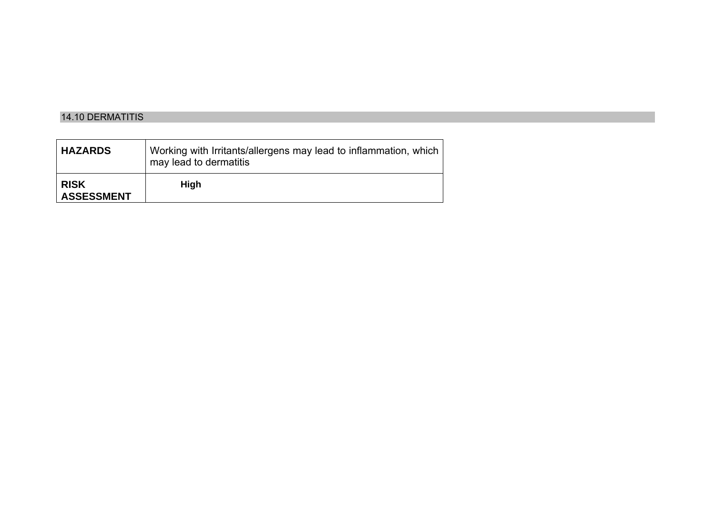### 14.10 DERMATITIS

| <b>HAZARDS</b>                   | Working with Irritants/allergens may lead to inflammation, which<br>may lead to dermatitis |
|----------------------------------|--------------------------------------------------------------------------------------------|
| <b>RISK</b><br><b>ASSESSMENT</b> | High                                                                                       |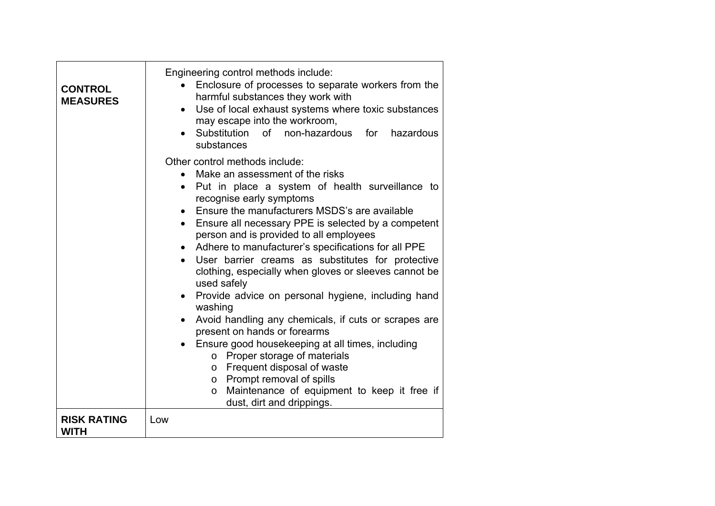| <b>CONTROL</b><br><b>MEASURES</b> | Engineering control methods include:<br>Enclosure of processes to separate workers from the<br>$\bullet$<br>harmful substances they work with<br>Use of local exhaust systems where toxic substances<br>$\bullet$<br>may escape into the workroom,<br>Substitution of non-hazardous for<br>hazardous<br>substances                                                                                                                                                                                                                                                                                                                                                                                                                                                                                                                                                                                                                                                                                          |
|-----------------------------------|-------------------------------------------------------------------------------------------------------------------------------------------------------------------------------------------------------------------------------------------------------------------------------------------------------------------------------------------------------------------------------------------------------------------------------------------------------------------------------------------------------------------------------------------------------------------------------------------------------------------------------------------------------------------------------------------------------------------------------------------------------------------------------------------------------------------------------------------------------------------------------------------------------------------------------------------------------------------------------------------------------------|
|                                   | Other control methods include:<br>Make an assessment of the risks<br>$\bullet$<br>Put in place a system of health surveillance to<br>$\bullet$<br>recognise early symptoms<br>Ensure the manufacturers MSDS's are available<br>$\bullet$<br>Ensure all necessary PPE is selected by a competent<br>$\bullet$<br>person and is provided to all employees<br>Adhere to manufacturer's specifications for all PPE<br>User barrier creams as substitutes for protective<br>$\bullet$<br>clothing, especially when gloves or sleeves cannot be<br>used safely<br>Provide advice on personal hygiene, including hand<br>$\bullet$<br>washing<br>Avoid handling any chemicals, if cuts or scrapes are<br>$\bullet$<br>present on hands or forearms<br>Ensure good housekeeping at all times, including<br>$\bullet$<br>o Proper storage of materials<br>o Frequent disposal of waste<br>Prompt removal of spills<br>$\circ$<br>Maintenance of equipment to keep it free if<br>$\circ$<br>dust, dirt and drippings. |
| <b>RISK RATING</b><br><b>WITH</b> | Low                                                                                                                                                                                                                                                                                                                                                                                                                                                                                                                                                                                                                                                                                                                                                                                                                                                                                                                                                                                                         |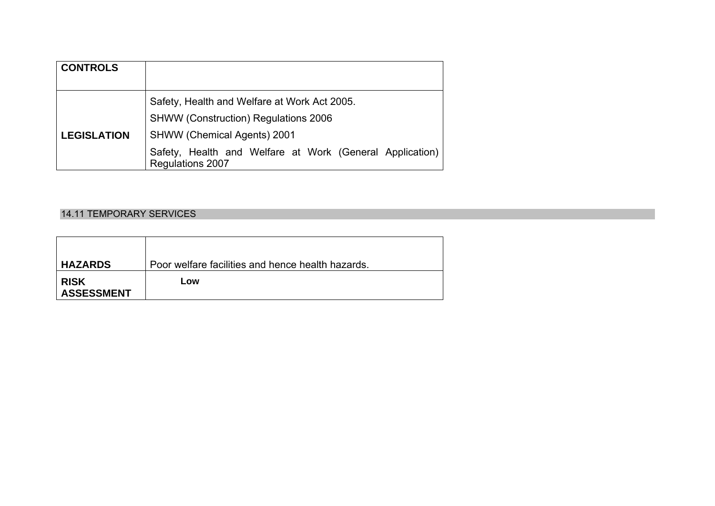| <b>CONTROLS</b>    |                                                                                     |
|--------------------|-------------------------------------------------------------------------------------|
|                    | Safety, Health and Welfare at Work Act 2005.                                        |
|                    | <b>SHWW (Construction) Regulations 2006</b>                                         |
| <b>LEGISLATION</b> | <b>SHWW (Chemical Agents) 2001</b>                                                  |
|                    | Safety, Health and Welfare at Work (General Application)<br><b>Regulations 2007</b> |

### 14.11 TEMPORARY SERVICES

| <b>HAZARDS</b>                   | Poor welfare facilities and hence health hazards. |
|----------------------------------|---------------------------------------------------|
| <b>RISK</b><br><b>ASSESSMENT</b> | Low                                               |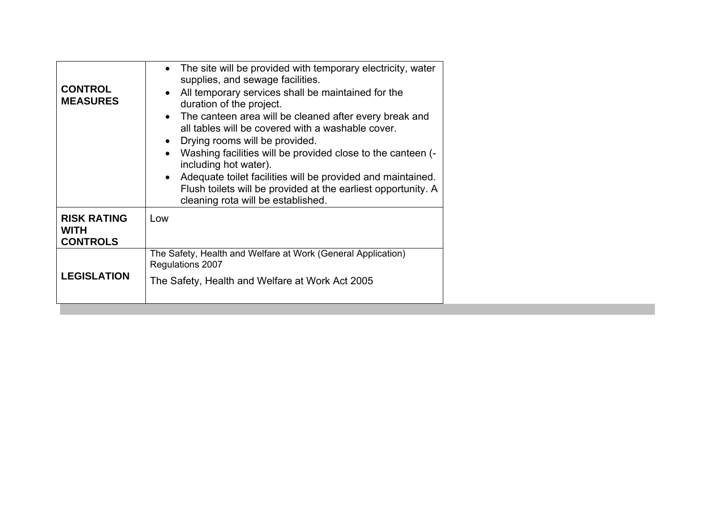| <b>CONTROL</b><br><b>MEASURES</b>                    | The site will be provided with temporary electricity, water<br>$\bullet$<br>supplies, and sewage facilities.<br>All temporary services shall be maintained for the<br>duration of the project.<br>• The canteen area will be cleaned after every break and<br>all tables will be covered with a washable cover.<br>Drying rooms will be provided.<br>Washing facilities will be provided close to the canteen (-<br>including hot water).<br>• Adequate toilet facilities will be provided and maintained.<br>Flush toilets will be provided at the earliest opportunity. A<br>cleaning rota will be established. |
|------------------------------------------------------|-------------------------------------------------------------------------------------------------------------------------------------------------------------------------------------------------------------------------------------------------------------------------------------------------------------------------------------------------------------------------------------------------------------------------------------------------------------------------------------------------------------------------------------------------------------------------------------------------------------------|
| <b>RISK RATING</b><br><b>WITH</b><br><b>CONTROLS</b> | Low                                                                                                                                                                                                                                                                                                                                                                                                                                                                                                                                                                                                               |
| <b>LEGISLATION</b>                                   | The Safety, Health and Welfare at Work (General Application)<br>Regulations 2007<br>The Safety, Health and Welfare at Work Act 2005                                                                                                                                                                                                                                                                                                                                                                                                                                                                               |
|                                                      |                                                                                                                                                                                                                                                                                                                                                                                                                                                                                                                                                                                                                   |

the control of the control of the control of the control of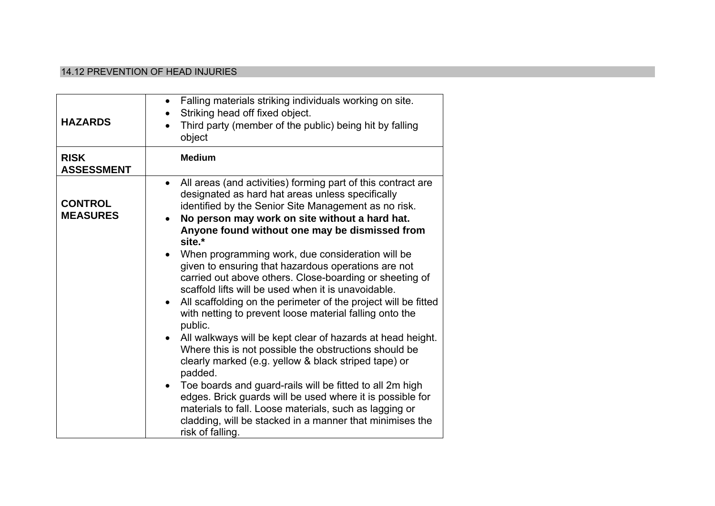### 14.12 PREVENTION OF HEAD INJURIES

| <b>HAZARDS</b>                    | Falling materials striking individuals working on site.<br>$\bullet$<br>Striking head off fixed object.<br>Third party (member of the public) being hit by falling<br>object                                                                                                                                                                                                                                                                                                                                                                                                                                                                                                                                                                                                                                                                                                                                                                                                                                                                                                                                                                                                                           |
|-----------------------------------|--------------------------------------------------------------------------------------------------------------------------------------------------------------------------------------------------------------------------------------------------------------------------------------------------------------------------------------------------------------------------------------------------------------------------------------------------------------------------------------------------------------------------------------------------------------------------------------------------------------------------------------------------------------------------------------------------------------------------------------------------------------------------------------------------------------------------------------------------------------------------------------------------------------------------------------------------------------------------------------------------------------------------------------------------------------------------------------------------------------------------------------------------------------------------------------------------------|
| <b>RISK</b><br><b>ASSESSMENT</b>  | <b>Medium</b>                                                                                                                                                                                                                                                                                                                                                                                                                                                                                                                                                                                                                                                                                                                                                                                                                                                                                                                                                                                                                                                                                                                                                                                          |
| <b>CONTROL</b><br><b>MEASURES</b> | All areas (and activities) forming part of this contract are<br>$\bullet$<br>designated as hard hat areas unless specifically<br>identified by the Senior Site Management as no risk.<br>No person may work on site without a hard hat.<br>$\bullet$<br>Anyone found without one may be dismissed from<br>site.*<br>When programming work, due consideration will be<br>$\bullet$<br>given to ensuring that hazardous operations are not<br>carried out above others. Close-boarding or sheeting of<br>scaffold lifts will be used when it is unavoidable.<br>All scaffolding on the perimeter of the project will be fitted<br>$\bullet$<br>with netting to prevent loose material falling onto the<br>public.<br>All walkways will be kept clear of hazards at head height.<br>$\bullet$<br>Where this is not possible the obstructions should be<br>clearly marked (e.g. yellow & black striped tape) or<br>padded.<br>Toe boards and guard-rails will be fitted to all 2m high<br>$\bullet$<br>edges. Brick guards will be used where it is possible for<br>materials to fall. Loose materials, such as lagging or<br>cladding, will be stacked in a manner that minimises the<br>risk of falling. |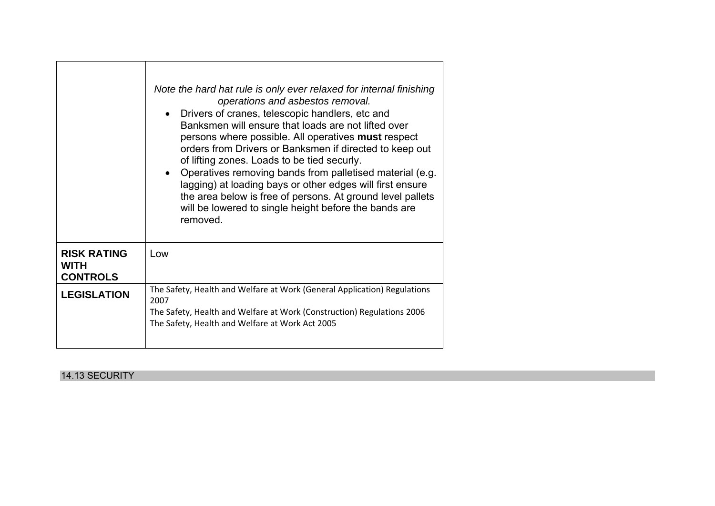|                                                      | Note the hard hat rule is only ever relaxed for internal finishing<br>operations and asbestos removal.<br>Drivers of cranes, telescopic handlers, etc and<br>Banksmen will ensure that loads are not lifted over<br>persons where possible. All operatives must respect<br>orders from Drivers or Banksmen if directed to keep out<br>of lifting zones. Loads to be tied securly.<br>Operatives removing bands from palletised material (e.g.<br>lagging) at loading bays or other edges will first ensure<br>the area below is free of persons. At ground level pallets<br>will be lowered to single height before the bands are<br>removed. |
|------------------------------------------------------|-----------------------------------------------------------------------------------------------------------------------------------------------------------------------------------------------------------------------------------------------------------------------------------------------------------------------------------------------------------------------------------------------------------------------------------------------------------------------------------------------------------------------------------------------------------------------------------------------------------------------------------------------|
| <b>RISK RATING</b><br><b>WITH</b><br><b>CONTROLS</b> | Low                                                                                                                                                                                                                                                                                                                                                                                                                                                                                                                                                                                                                                           |
| <b>LEGISLATION</b>                                   | The Safety, Health and Welfare at Work (General Application) Regulations<br>2007<br>The Safety, Health and Welfare at Work (Construction) Regulations 2006<br>The Safety, Health and Welfare at Work Act 2005                                                                                                                                                                                                                                                                                                                                                                                                                                 |

# 14.13 SECURITY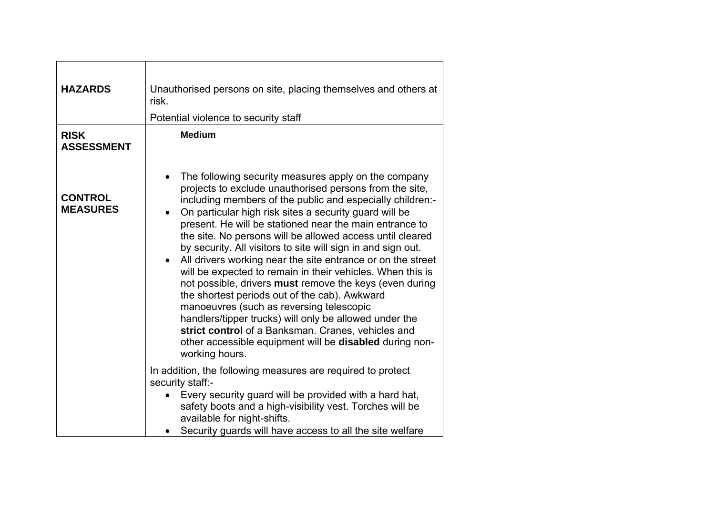| <b>HAZARDS</b><br><b>RISK</b><br><b>ASSESSMENT</b> | Unauthorised persons on site, placing themselves and others at<br>risk.<br>Potential violence to security staff<br><b>Medium</b>                                                                                                                                                                                                                                                                                                                                                                                                                                                                                                                                                                                                                                                                                                                                                                                                                                                                                                                                                                                                                    |
|----------------------------------------------------|-----------------------------------------------------------------------------------------------------------------------------------------------------------------------------------------------------------------------------------------------------------------------------------------------------------------------------------------------------------------------------------------------------------------------------------------------------------------------------------------------------------------------------------------------------------------------------------------------------------------------------------------------------------------------------------------------------------------------------------------------------------------------------------------------------------------------------------------------------------------------------------------------------------------------------------------------------------------------------------------------------------------------------------------------------------------------------------------------------------------------------------------------------|
| <b>CONTROL</b><br><b>MEASURES</b>                  | The following security measures apply on the company<br>$\bullet$<br>projects to exclude unauthorised persons from the site,<br>including members of the public and especially children:-<br>On particular high risk sites a security guard will be<br>present. He will be stationed near the main entrance to<br>the site. No persons will be allowed access until cleared<br>by security. All visitors to site will sign in and sign out.<br>All drivers working near the site entrance or on the street<br>$\bullet$<br>will be expected to remain in their vehicles. When this is<br>not possible, drivers must remove the keys (even during<br>the shortest periods out of the cab). Awkward<br>manoeuvres (such as reversing telescopic<br>handlers/tipper trucks) will only be allowed under the<br>strict control of a Banksman. Cranes, vehicles and<br>other accessible equipment will be disabled during non-<br>working hours.<br>In addition, the following measures are required to protect<br>security staff:-<br>Every security guard will be provided with a hard hat,<br>safety boots and a high-visibility vest. Torches will be |
|                                                    | available for night-shifts.<br>Security guards will have access to all the site welfare                                                                                                                                                                                                                                                                                                                                                                                                                                                                                                                                                                                                                                                                                                                                                                                                                                                                                                                                                                                                                                                             |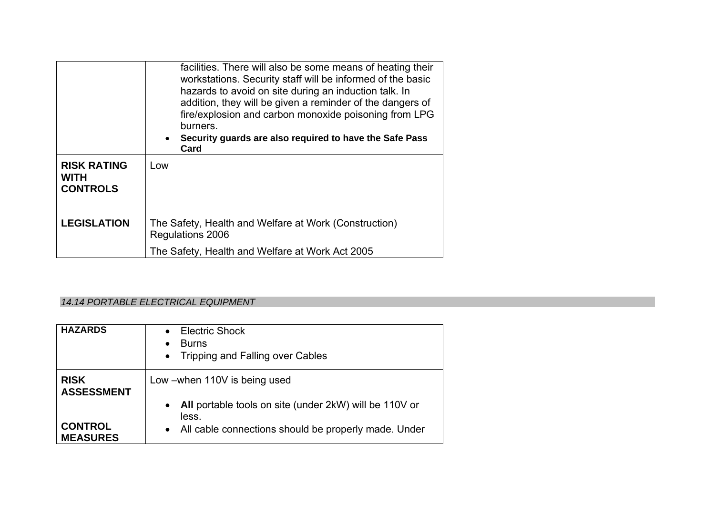| <b>RISK RATING</b><br><b>WITH</b><br><b>CONTROLS</b> | facilities. There will also be some means of heating their<br>workstations. Security staff will be informed of the basic<br>hazards to avoid on site during an induction talk. In<br>addition, they will be given a reminder of the dangers of<br>fire/explosion and carbon monoxide poisoning from LPG<br>burners.<br>Security guards are also required to have the Safe Pass<br>$\bullet$<br>Card<br>Low |
|------------------------------------------------------|------------------------------------------------------------------------------------------------------------------------------------------------------------------------------------------------------------------------------------------------------------------------------------------------------------------------------------------------------------------------------------------------------------|
| <b>LEGISLATION</b>                                   | The Safety, Health and Welfare at Work (Construction)<br>Regulations 2006                                                                                                                                                                                                                                                                                                                                  |
|                                                      | The Safety, Health and Welfare at Work Act 2005                                                                                                                                                                                                                                                                                                                                                            |

# *14.14 PORTABLE ELECTRICAL EQUIPMENT*

| <b>HAZARDS</b>                    | <b>Electric Shock</b><br>$\bullet$<br><b>Burns</b><br>٠<br><b>Tripping and Falling over Cables</b><br>$\bullet$                                   |
|-----------------------------------|---------------------------------------------------------------------------------------------------------------------------------------------------|
| <b>RISK</b><br><b>ASSESSMENT</b>  | Low – when 110V is being used                                                                                                                     |
| <b>CONTROL</b><br><b>MEASURES</b> | All portable tools on site (under 2kW) will be 110V or<br>$\bullet$<br>less.<br>All cable connections should be properly made. Under<br>$\bullet$ |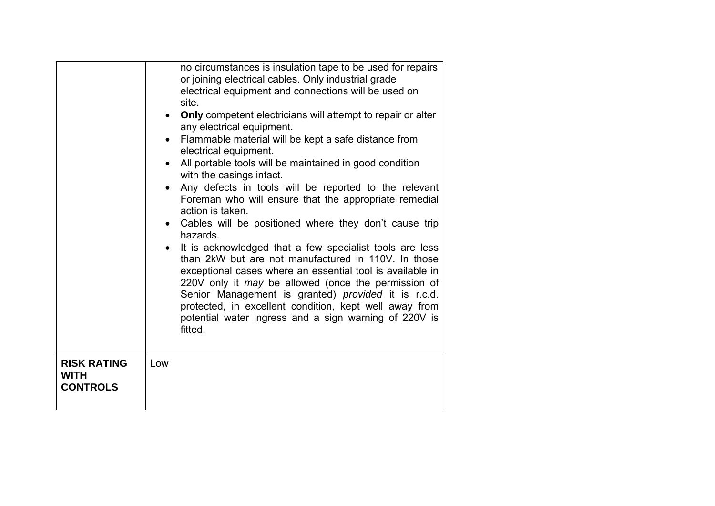|                                                      | no circumstances is insulation tape to be used for repairs<br>or joining electrical cables. Only industrial grade<br>electrical equipment and connections will be used on<br>site.<br>Only competent electricians will attempt to repair or alter<br>$\bullet$<br>any electrical equipment.<br>Flammable material will be kept a safe distance from<br>$\bullet$<br>electrical equipment.<br>All portable tools will be maintained in good condition<br>$\bullet$<br>with the casings intact.<br>Any defects in tools will be reported to the relevant<br>$\bullet$<br>Foreman who will ensure that the appropriate remedial<br>action is taken.<br>Cables will be positioned where they don't cause trip<br>$\bullet$<br>hazards.<br>It is acknowledged that a few specialist tools are less<br>than 2kW but are not manufactured in 110V. In those<br>exceptional cases where an essential tool is available in<br>220V only it <i>may</i> be allowed (once the permission of<br>Senior Management is granted) provided it is r.c.d.<br>protected, in excellent condition, kept well away from<br>potential water ingress and a sign warning of 220V is<br>fitted. |
|------------------------------------------------------|----------------------------------------------------------------------------------------------------------------------------------------------------------------------------------------------------------------------------------------------------------------------------------------------------------------------------------------------------------------------------------------------------------------------------------------------------------------------------------------------------------------------------------------------------------------------------------------------------------------------------------------------------------------------------------------------------------------------------------------------------------------------------------------------------------------------------------------------------------------------------------------------------------------------------------------------------------------------------------------------------------------------------------------------------------------------------------------------------------------------------------------------------------------------|
| <b>RISK RATING</b><br><b>WITH</b><br><b>CONTROLS</b> | Low                                                                                                                                                                                                                                                                                                                                                                                                                                                                                                                                                                                                                                                                                                                                                                                                                                                                                                                                                                                                                                                                                                                                                                  |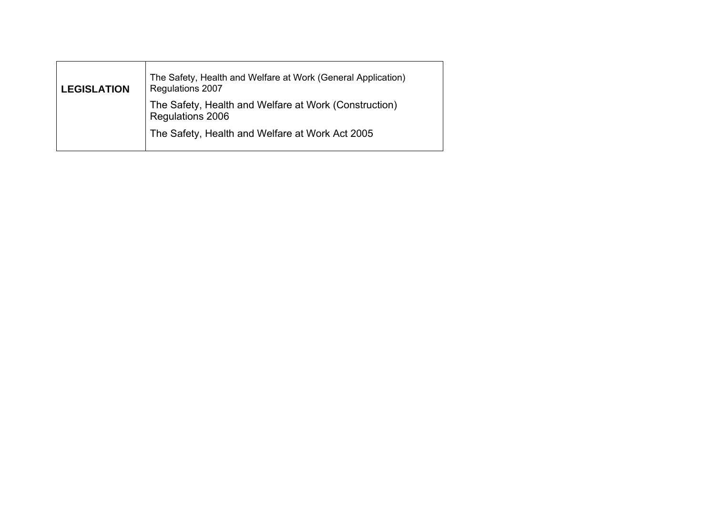| <b>LEGISLATION</b> | The Safety, Health and Welfare at Work (General Application)<br><b>Regulations 2007</b> |
|--------------------|-----------------------------------------------------------------------------------------|
|                    | The Safety, Health and Welfare at Work (Construction)<br>Regulations 2006               |
|                    | The Safety, Health and Welfare at Work Act 2005                                         |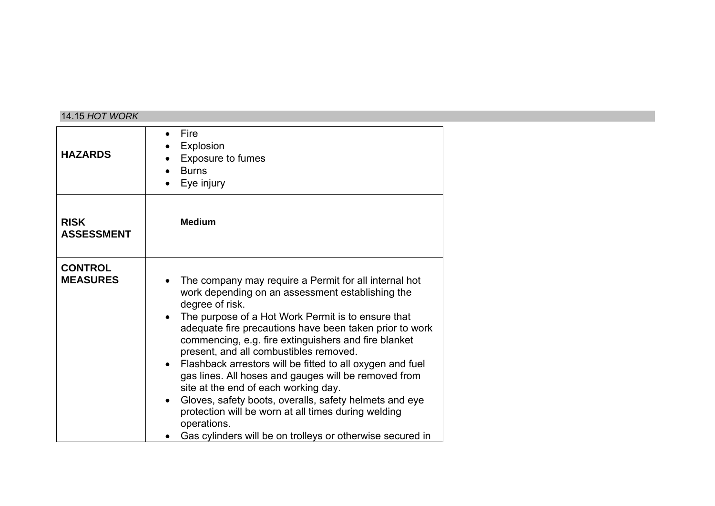### 14.15 *HOT WORK*

| <b>HAZARDS</b>                    | Fire<br>$\bullet$<br>Explosion<br><b>Exposure to fumes</b><br><b>Burns</b><br>Eye injury                                                                                                                                                                                                                                                                                                                                                                                                                                                                                                                                                                                                                                            |
|-----------------------------------|-------------------------------------------------------------------------------------------------------------------------------------------------------------------------------------------------------------------------------------------------------------------------------------------------------------------------------------------------------------------------------------------------------------------------------------------------------------------------------------------------------------------------------------------------------------------------------------------------------------------------------------------------------------------------------------------------------------------------------------|
| <b>RISK</b><br><b>ASSESSMENT</b>  | <b>Medium</b>                                                                                                                                                                                                                                                                                                                                                                                                                                                                                                                                                                                                                                                                                                                       |
| <b>CONTROL</b><br><b>MEASURES</b> | The company may require a Permit for all internal hot<br>work depending on an assessment establishing the<br>degree of risk.<br>The purpose of a Hot Work Permit is to ensure that<br>adequate fire precautions have been taken prior to work<br>commencing, e.g. fire extinguishers and fire blanket<br>present, and all combustibles removed.<br>Flashback arrestors will be fitted to all oxygen and fuel<br>$\bullet$<br>gas lines. All hoses and gauges will be removed from<br>site at the end of each working day.<br>Gloves, safety boots, overalls, safety helmets and eye<br>$\bullet$<br>protection will be worn at all times during welding<br>operations.<br>Gas cylinders will be on trolleys or otherwise secured in |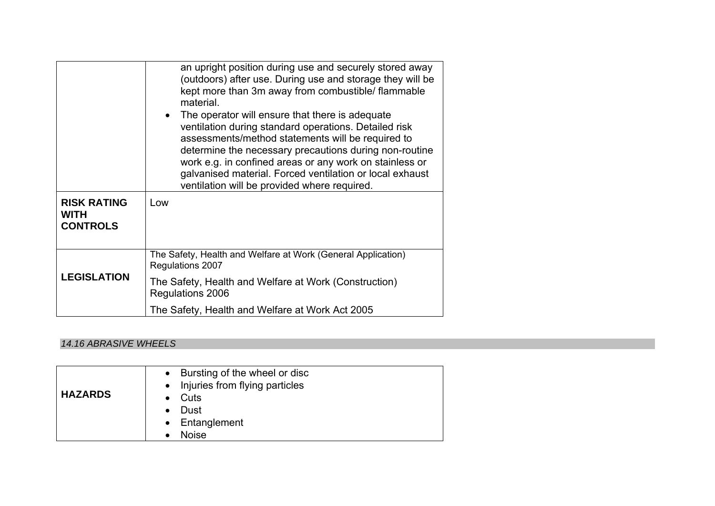|                                               | an upright position during use and securely stored away<br>(outdoors) after use. During use and storage they will be<br>kept more than 3m away from combustible/ flammable<br>material.<br>The operator will ensure that there is adequate                                                                                                  |
|-----------------------------------------------|---------------------------------------------------------------------------------------------------------------------------------------------------------------------------------------------------------------------------------------------------------------------------------------------------------------------------------------------|
|                                               | ventilation during standard operations. Detailed risk<br>assessments/method statements will be required to<br>determine the necessary precautions during non-routine<br>work e.g. in confined areas or any work on stainless or<br>galvanised material. Forced ventilation or local exhaust<br>ventilation will be provided where required. |
| <b>RISK RATING</b><br>WITH<br><b>CONTROLS</b> | Low                                                                                                                                                                                                                                                                                                                                         |
| <b>LEGISLATION</b>                            | The Safety, Health and Welfare at Work (General Application)<br>Regulations 2007                                                                                                                                                                                                                                                            |
|                                               | The Safety, Health and Welfare at Work (Construction)<br>Regulations 2006                                                                                                                                                                                                                                                                   |
|                                               | The Safety, Health and Welfare at Work Act 2005                                                                                                                                                                                                                                                                                             |

# *14.16 ABRASIVE WHEELS*

| <b>HAZARDS</b> | • Bursting of the wheel or disc<br>• Injuries from flying particles<br>$\bullet$ Cuts<br>• Dust<br>• Entanglement<br><b>Noise</b> |
|----------------|-----------------------------------------------------------------------------------------------------------------------------------|
|----------------|-----------------------------------------------------------------------------------------------------------------------------------|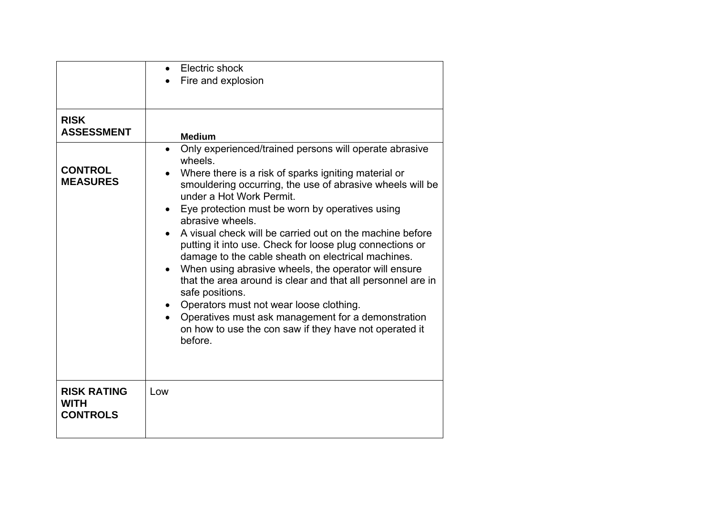|                                               | Electric shock<br>$\bullet$<br>Fire and explosion                                                                                                                                                                                                                                                                                                                                                                                                                                                                                                                                                                                                                                                                                                                                                                              |
|-----------------------------------------------|--------------------------------------------------------------------------------------------------------------------------------------------------------------------------------------------------------------------------------------------------------------------------------------------------------------------------------------------------------------------------------------------------------------------------------------------------------------------------------------------------------------------------------------------------------------------------------------------------------------------------------------------------------------------------------------------------------------------------------------------------------------------------------------------------------------------------------|
|                                               |                                                                                                                                                                                                                                                                                                                                                                                                                                                                                                                                                                                                                                                                                                                                                                                                                                |
| <b>RISK</b><br><b>ASSESSMENT</b>              | <b>Medium</b>                                                                                                                                                                                                                                                                                                                                                                                                                                                                                                                                                                                                                                                                                                                                                                                                                  |
| <b>CONTROL</b><br><b>MEASURES</b>             | Only experienced/trained persons will operate abrasive<br>$\bullet$<br>wheels.<br>Where there is a risk of sparks igniting material or<br>smouldering occurring, the use of abrasive wheels will be<br>under a Hot Work Permit.<br>Eye protection must be worn by operatives using<br>$\bullet$<br>abrasive wheels.<br>A visual check will be carried out on the machine before<br>putting it into use. Check for loose plug connections or<br>damage to the cable sheath on electrical machines.<br>When using abrasive wheels, the operator will ensure<br>$\bullet$<br>that the area around is clear and that all personnel are in<br>safe positions.<br>Operators must not wear loose clothing.<br>Operatives must ask management for a demonstration<br>on how to use the con saw if they have not operated it<br>before. |
| <b>RISK RATING</b><br>WITH<br><b>CONTROLS</b> | Low                                                                                                                                                                                                                                                                                                                                                                                                                                                                                                                                                                                                                                                                                                                                                                                                                            |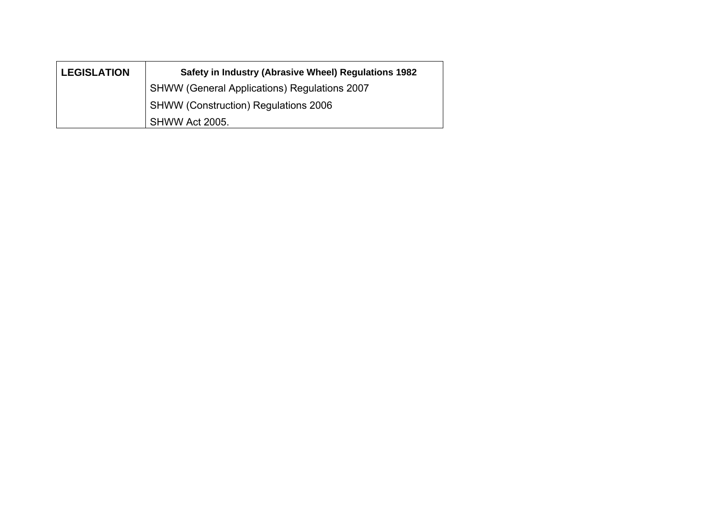| <b>LEGISLATION</b> | Safety in Industry (Abrasive Wheel) Regulations 1982 |
|--------------------|------------------------------------------------------|
|                    | <b>SHWW (General Applications) Regulations 2007</b>  |
|                    | SHWW (Construction) Regulations 2006                 |
|                    | SHWW Act 2005.                                       |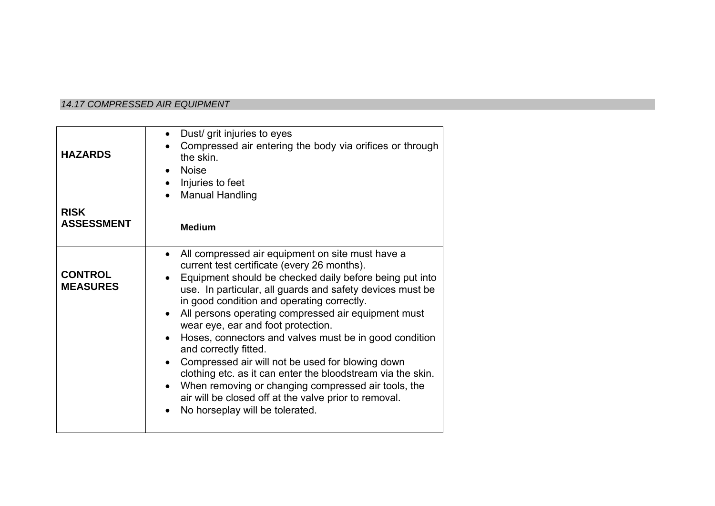# *14.17 COMPRESSED AIR EQUIPMENT*

| <b>HAZARDS</b>                    | Dust/ grit injuries to eyes<br>Compressed air entering the body via orifices or through<br>the skin.<br><b>Noise</b><br>Injuries to feet<br><b>Manual Handling</b>                                                                                                                                                                                                                                                                                                                                                                                                                                                                                                                                                                                    |
|-----------------------------------|-------------------------------------------------------------------------------------------------------------------------------------------------------------------------------------------------------------------------------------------------------------------------------------------------------------------------------------------------------------------------------------------------------------------------------------------------------------------------------------------------------------------------------------------------------------------------------------------------------------------------------------------------------------------------------------------------------------------------------------------------------|
| <b>RISK</b><br><b>ASSESSMENT</b>  | <b>Medium</b>                                                                                                                                                                                                                                                                                                                                                                                                                                                                                                                                                                                                                                                                                                                                         |
| <b>CONTROL</b><br><b>MEASURES</b> | All compressed air equipment on site must have a<br>current test certificate (every 26 months).<br>Equipment should be checked daily before being put into<br>use. In particular, all guards and safety devices must be<br>in good condition and operating correctly.<br>All persons operating compressed air equipment must<br>wear eye, ear and foot protection.<br>Hoses, connectors and valves must be in good condition<br>$\bullet$<br>and correctly fitted.<br>Compressed air will not be used for blowing down<br>clothing etc. as it can enter the bloodstream via the skin.<br>When removing or changing compressed air tools, the<br>$\bullet$<br>air will be closed off at the valve prior to removal.<br>No horseplay will be tolerated. |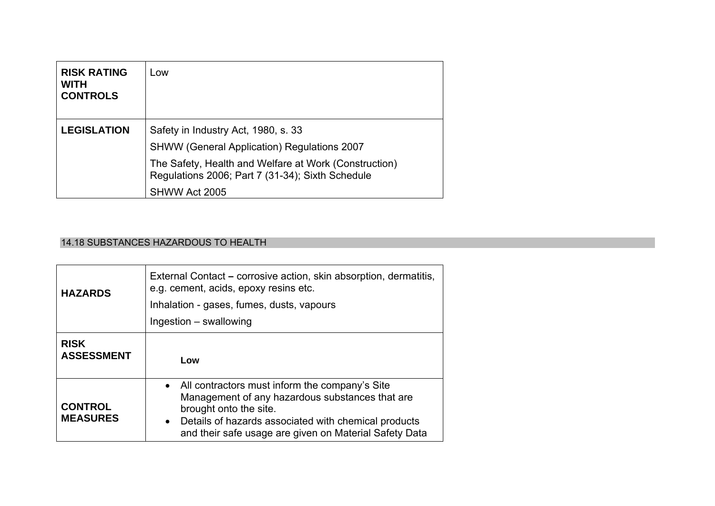| <b>RISK RATING</b><br><b>WITH</b><br><b>CONTROLS</b> | Low                                                                                                       |
|------------------------------------------------------|-----------------------------------------------------------------------------------------------------------|
| <b>LEGISLATION</b>                                   | Safety in Industry Act, 1980, s. 33                                                                       |
|                                                      | <b>SHWW (General Application) Regulations 2007</b>                                                        |
|                                                      | The Safety, Health and Welfare at Work (Construction)<br>Regulations 2006; Part 7 (31-34); Sixth Schedule |
|                                                      | SHWW Act 2005                                                                                             |

# 14.18 SUBSTANCES HAZARDOUS TO HEALTH

| <b>HAZARDS</b>                    | External Contact – corrosive action, skin absorption, dermatitis,<br>e.g. cement, acids, epoxy resins etc.<br>Inhalation - gases, fumes, dusts, vapours<br>Ingestion – swallowing                                                                            |
|-----------------------------------|--------------------------------------------------------------------------------------------------------------------------------------------------------------------------------------------------------------------------------------------------------------|
| <b>RISK</b><br><b>ASSESSMENT</b>  | Low                                                                                                                                                                                                                                                          |
| <b>CONTROL</b><br><b>MEASURES</b> | • All contractors must inform the company's Site<br>Management of any hazardous substances that are<br>brought onto the site.<br>Details of hazards associated with chemical products<br>$\bullet$<br>and their safe usage are given on Material Safety Data |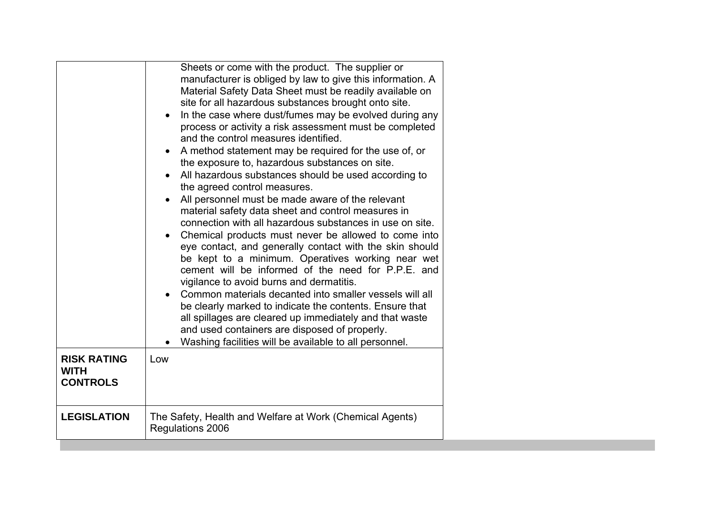|                                                      | Sheets or come with the product. The supplier or<br>manufacturer is obliged by law to give this information. A<br>Material Safety Data Sheet must be readily available on<br>site for all hazardous substances brought onto site.<br>In the case where dust/fumes may be evolved during any<br>$\bullet$<br>process or activity a risk assessment must be completed<br>and the control measures identified.<br>A method statement may be required for the use of, or<br>the exposure to, hazardous substances on site.<br>All hazardous substances should be used according to<br>$\bullet$<br>the agreed control measures.<br>All personnel must be made aware of the relevant<br>material safety data sheet and control measures in<br>connection with all hazardous substances in use on site.<br>Chemical products must never be allowed to come into<br>eye contact, and generally contact with the skin should<br>be kept to a minimum. Operatives working near wet<br>cement will be informed of the need for P.P.E. and<br>vigilance to avoid burns and dermatitis.<br>Common materials decanted into smaller vessels will all<br>be clearly marked to indicate the contents. Ensure that<br>all spillages are cleared up immediately and that waste<br>and used containers are disposed of properly.<br>Washing facilities will be available to all personnel. |
|------------------------------------------------------|-------------------------------------------------------------------------------------------------------------------------------------------------------------------------------------------------------------------------------------------------------------------------------------------------------------------------------------------------------------------------------------------------------------------------------------------------------------------------------------------------------------------------------------------------------------------------------------------------------------------------------------------------------------------------------------------------------------------------------------------------------------------------------------------------------------------------------------------------------------------------------------------------------------------------------------------------------------------------------------------------------------------------------------------------------------------------------------------------------------------------------------------------------------------------------------------------------------------------------------------------------------------------------------------------------------------------------------------------------------------------|
| <b>RISK RATING</b><br><b>WITH</b><br><b>CONTROLS</b> | Low                                                                                                                                                                                                                                                                                                                                                                                                                                                                                                                                                                                                                                                                                                                                                                                                                                                                                                                                                                                                                                                                                                                                                                                                                                                                                                                                                                     |
| <b>LEGISLATION</b>                                   | The Safety, Health and Welfare at Work (Chemical Agents)<br>Regulations 2006                                                                                                                                                                                                                                                                                                                                                                                                                                                                                                                                                                                                                                                                                                                                                                                                                                                                                                                                                                                                                                                                                                                                                                                                                                                                                            |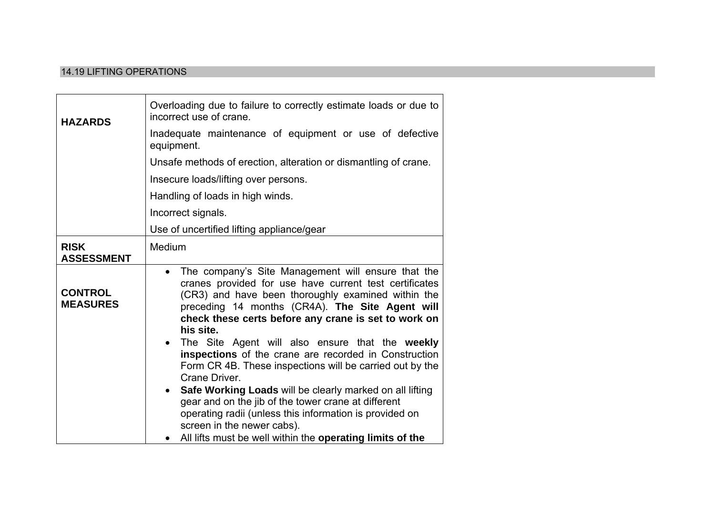### 14.19 LIFTING OPERATIONS

| <b>HAZARDS</b>                    | Overloading due to failure to correctly estimate loads or due to<br>incorrect use of crane.                                                                                                                                                                                                                                                                                                                                                                                                                                                                                                                                                                                                                                                                                                         |
|-----------------------------------|-----------------------------------------------------------------------------------------------------------------------------------------------------------------------------------------------------------------------------------------------------------------------------------------------------------------------------------------------------------------------------------------------------------------------------------------------------------------------------------------------------------------------------------------------------------------------------------------------------------------------------------------------------------------------------------------------------------------------------------------------------------------------------------------------------|
|                                   | Inadequate maintenance of equipment or use of defective<br>equipment.                                                                                                                                                                                                                                                                                                                                                                                                                                                                                                                                                                                                                                                                                                                               |
|                                   | Unsafe methods of erection, alteration or dismantling of crane.                                                                                                                                                                                                                                                                                                                                                                                                                                                                                                                                                                                                                                                                                                                                     |
|                                   | Insecure loads/lifting over persons.                                                                                                                                                                                                                                                                                                                                                                                                                                                                                                                                                                                                                                                                                                                                                                |
|                                   | Handling of loads in high winds.                                                                                                                                                                                                                                                                                                                                                                                                                                                                                                                                                                                                                                                                                                                                                                    |
|                                   | Incorrect signals.                                                                                                                                                                                                                                                                                                                                                                                                                                                                                                                                                                                                                                                                                                                                                                                  |
|                                   | Use of uncertified lifting appliance/gear                                                                                                                                                                                                                                                                                                                                                                                                                                                                                                                                                                                                                                                                                                                                                           |
| <b>RISK</b><br><b>ASSESSMENT</b>  | Medium                                                                                                                                                                                                                                                                                                                                                                                                                                                                                                                                                                                                                                                                                                                                                                                              |
| <b>CONTROL</b><br><b>MEASURES</b> | The company's Site Management will ensure that the<br>$\bullet$<br>cranes provided for use have current test certificates<br>(CR3) and have been thoroughly examined within the<br>preceding 14 months (CR4A). The Site Agent will<br>check these certs before any crane is set to work on<br>his site.<br>The Site Agent will also ensure that the weekly<br>$\bullet$<br>inspections of the crane are recorded in Construction<br>Form CR 4B. These inspections will be carried out by the<br>Crane Driver.<br>Safe Working Loads will be clearly marked on all lifting<br>$\bullet$<br>gear and on the jib of the tower crane at different<br>operating radii (unless this information is provided on<br>screen in the newer cabs).<br>All lifts must be well within the operating limits of the |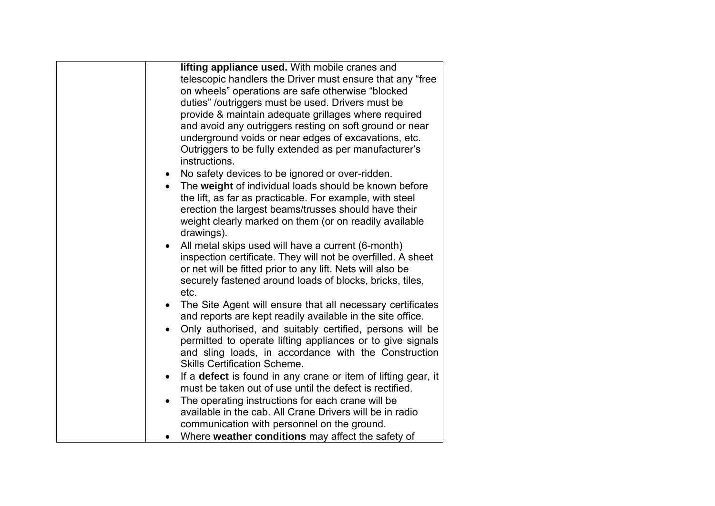| lifting appliance used. With mobile cranes and                             |
|----------------------------------------------------------------------------|
| telescopic handlers the Driver must ensure that any "free                  |
| on wheels" operations are safe otherwise "blocked                          |
| duties" /outriggers must be used. Drivers must be                          |
| provide & maintain adequate grillages where required                       |
| and avoid any outriggers resting on soft ground or near                    |
| underground voids or near edges of excavations, etc.                       |
| Outriggers to be fully extended as per manufacturer's                      |
| instructions.                                                              |
| No safety devices to be ignored or over-ridden.<br>$\bullet$               |
| The weight of individual loads should be known before                      |
| the lift, as far as practicable. For example, with steel                   |
| erection the largest beams/trusses should have their                       |
| weight clearly marked on them (or on readily available                     |
| drawings).                                                                 |
| All metal skips used will have a current (6-month)                         |
| inspection certificate. They will not be overfilled. A sheet               |
| or net will be fitted prior to any lift. Nets will also be                 |
| securely fastened around loads of blocks, bricks, tiles,                   |
| etc.                                                                       |
| The Site Agent will ensure that all necessary certificates<br>$\bullet$    |
| and reports are kept readily available in the site office.                 |
| Only authorised, and suitably certified, persons will be                   |
| permitted to operate lifting appliances or to give signals                 |
| and sling loads, in accordance with the Construction                       |
| <b>Skills Certification Scheme.</b>                                        |
| If a defect is found in any crane or item of lifting gear, it<br>$\bullet$ |
| must be taken out of use until the defect is rectified.                    |
| The operating instructions for each crane will be                          |
| $\bullet$<br>available in the cab. All Crane Drivers will be in radio      |
|                                                                            |
| communication with personnel on the ground.                                |
| Where weather conditions may affect the safety of                          |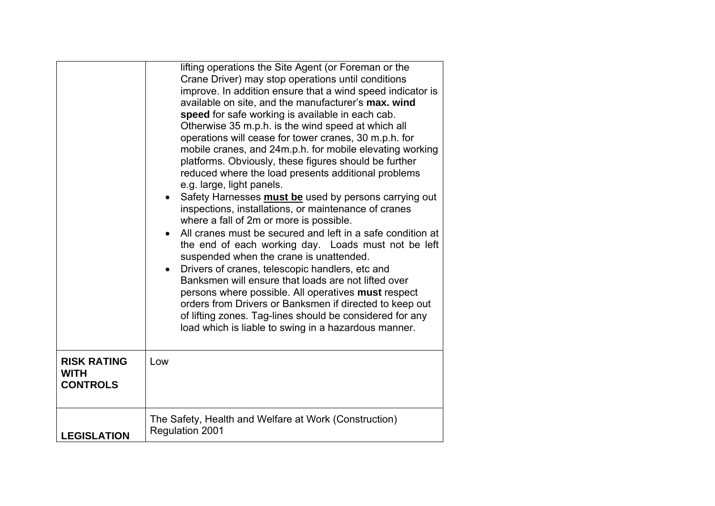|                                                      | lifting operations the Site Agent (or Foreman or the<br>Crane Driver) may stop operations until conditions<br>improve. In addition ensure that a wind speed indicator is<br>available on site, and the manufacturer's max. wind<br>speed for safe working is available in each cab.<br>Otherwise 35 m.p.h. is the wind speed at which all<br>operations will cease for tower cranes, 30 m.p.h. for<br>mobile cranes, and 24m.p.h. for mobile elevating working<br>platforms. Obviously, these figures should be further<br>reduced where the load presents additional problems<br>e.g. large, light panels.<br>Safety Harnesses must be used by persons carrying out<br>$\bullet$<br>inspections, installations, or maintenance of cranes<br>where a fall of 2m or more is possible.<br>All cranes must be secured and left in a safe condition at<br>$\bullet$<br>the end of each working day. Loads must not be left<br>suspended when the crane is unattended.<br>Drivers of cranes, telescopic handlers, etc and<br>$\bullet$<br>Banksmen will ensure that loads are not lifted over<br>persons where possible. All operatives must respect<br>orders from Drivers or Banksmen if directed to keep out<br>of lifting zones. Tag-lines should be considered for any<br>load which is liable to swing in a hazardous manner. |
|------------------------------------------------------|--------------------------------------------------------------------------------------------------------------------------------------------------------------------------------------------------------------------------------------------------------------------------------------------------------------------------------------------------------------------------------------------------------------------------------------------------------------------------------------------------------------------------------------------------------------------------------------------------------------------------------------------------------------------------------------------------------------------------------------------------------------------------------------------------------------------------------------------------------------------------------------------------------------------------------------------------------------------------------------------------------------------------------------------------------------------------------------------------------------------------------------------------------------------------------------------------------------------------------------------------------------------------------------------------------------------------------|
| <b>RISK RATING</b><br><b>WITH</b><br><b>CONTROLS</b> | Low                                                                                                                                                                                                                                                                                                                                                                                                                                                                                                                                                                                                                                                                                                                                                                                                                                                                                                                                                                                                                                                                                                                                                                                                                                                                                                                            |
| <b>LEGISLATION</b>                                   | The Safety, Health and Welfare at Work (Construction)<br>Regulation 2001                                                                                                                                                                                                                                                                                                                                                                                                                                                                                                                                                                                                                                                                                                                                                                                                                                                                                                                                                                                                                                                                                                                                                                                                                                                       |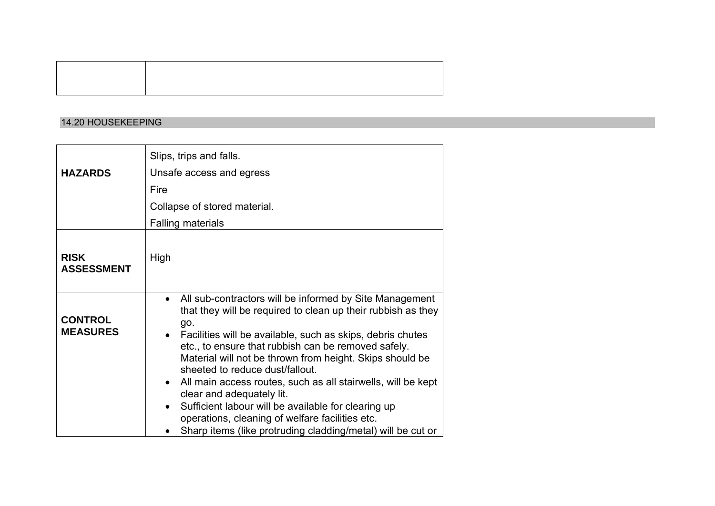#### 14.20 HOUSEKEEPING

|                                   | Slips, trips and falls.                                                                                                                                                                                                                                                                                                                                                                                                                                                                                                                                                                                                                 |
|-----------------------------------|-----------------------------------------------------------------------------------------------------------------------------------------------------------------------------------------------------------------------------------------------------------------------------------------------------------------------------------------------------------------------------------------------------------------------------------------------------------------------------------------------------------------------------------------------------------------------------------------------------------------------------------------|
| <b>HAZARDS</b>                    | Unsafe access and egress                                                                                                                                                                                                                                                                                                                                                                                                                                                                                                                                                                                                                |
|                                   | Fire                                                                                                                                                                                                                                                                                                                                                                                                                                                                                                                                                                                                                                    |
|                                   | Collapse of stored material.                                                                                                                                                                                                                                                                                                                                                                                                                                                                                                                                                                                                            |
|                                   | <b>Falling materials</b>                                                                                                                                                                                                                                                                                                                                                                                                                                                                                                                                                                                                                |
| <b>RISK</b><br><b>ASSESSMENT</b>  | High                                                                                                                                                                                                                                                                                                                                                                                                                                                                                                                                                                                                                                    |
| <b>CONTROL</b><br><b>MEASURES</b> | All sub-contractors will be informed by Site Management<br>$\bullet$<br>that they will be required to clean up their rubbish as they<br>go.<br>• Facilities will be available, such as skips, debris chutes<br>etc., to ensure that rubbish can be removed safely.<br>Material will not be thrown from height. Skips should be<br>sheeted to reduce dust/fallout.<br>All main access routes, such as all stairwells, will be kept<br>clear and adequately lit.<br>Sufficient labour will be available for clearing up<br>operations, cleaning of welfare facilities etc.<br>Sharp items (like protruding cladding/metal) will be cut or |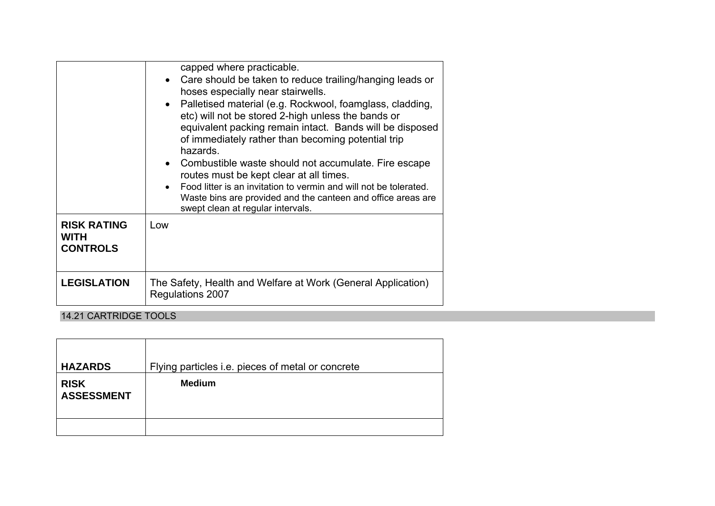|                                                      | capped where practicable.<br>• Care should be taken to reduce trailing/hanging leads or<br>hoses especially near stairwells.<br>Palletised material (e.g. Rockwool, foamglass, cladding,<br>etc) will not be stored 2-high unless the bands or<br>equivalent packing remain intact. Bands will be disposed<br>of immediately rather than becoming potential trip<br>hazards.<br>• Combustible waste should not accumulate. Fire escape<br>routes must be kept clear at all times.<br>Food litter is an invitation to vermin and will not be tolerated.<br>$\bullet$<br>Waste bins are provided and the canteen and office areas are<br>swept clean at regular intervals. |
|------------------------------------------------------|--------------------------------------------------------------------------------------------------------------------------------------------------------------------------------------------------------------------------------------------------------------------------------------------------------------------------------------------------------------------------------------------------------------------------------------------------------------------------------------------------------------------------------------------------------------------------------------------------------------------------------------------------------------------------|
| <b>RISK RATING</b><br><b>WITH</b><br><b>CONTROLS</b> | Low                                                                                                                                                                                                                                                                                                                                                                                                                                                                                                                                                                                                                                                                      |
| <b>LEGISLATION</b>                                   | The Safety, Health and Welfare at Work (General Application)<br>Regulations 2007                                                                                                                                                                                                                                                                                                                                                                                                                                                                                                                                                                                         |

14.21 CARTRIDGE TOOLS

| <b>HAZARDS</b>                   | Flying particles i.e. pieces of metal or concrete |
|----------------------------------|---------------------------------------------------|
| <b>RISK</b><br><b>ASSESSMENT</b> | <b>Medium</b>                                     |
|                                  |                                                   |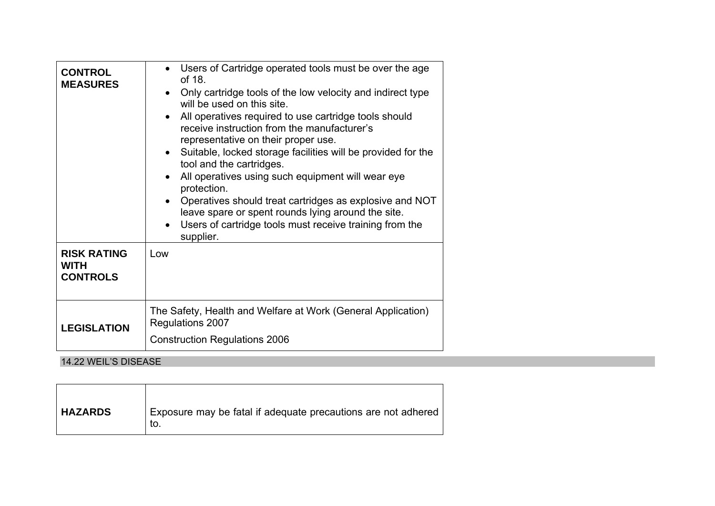| <b>CONTROL</b><br><b>MEASURES</b><br><b>RISK RATING</b><br><b>WITH</b> | Users of Cartridge operated tools must be over the age<br>of 18.<br>Only cartridge tools of the low velocity and indirect type<br>will be used on this site.<br>All operatives required to use cartridge tools should<br>$\bullet$<br>receive instruction from the manufacturer's<br>representative on their proper use.<br>Suitable, locked storage facilities will be provided for the<br>$\bullet$<br>tool and the cartridges.<br>All operatives using such equipment will wear eye<br>protection.<br>Operatives should treat cartridges as explosive and NOT<br>leave spare or spent rounds lying around the site.<br>Users of cartridge tools must receive training from the<br>supplier.<br>Low |
|------------------------------------------------------------------------|-------------------------------------------------------------------------------------------------------------------------------------------------------------------------------------------------------------------------------------------------------------------------------------------------------------------------------------------------------------------------------------------------------------------------------------------------------------------------------------------------------------------------------------------------------------------------------------------------------------------------------------------------------------------------------------------------------|
| <b>CONTROLS</b>                                                        |                                                                                                                                                                                                                                                                                                                                                                                                                                                                                                                                                                                                                                                                                                       |
| <b>LEGISLATION</b>                                                     | The Safety, Health and Welfare at Work (General Application)<br>Regulations 2007<br><b>Construction Regulations 2006</b>                                                                                                                                                                                                                                                                                                                                                                                                                                                                                                                                                                              |

# 14.22 WEIL'S DISEASE

| <b>HAZARDS</b> | Exposure may be fatal if adequate precautions are not adhered<br>to. |
|----------------|----------------------------------------------------------------------|
|                |                                                                      |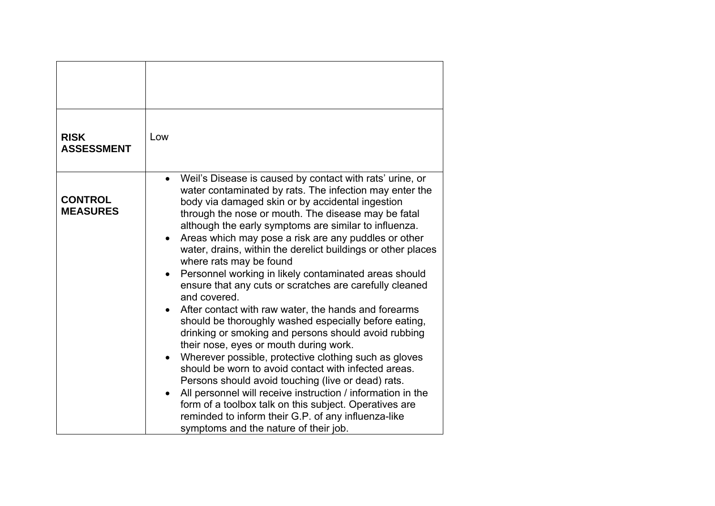| <b>RISK</b><br><b>ASSESSMENT</b>  | Low                                                                                                                                                                                                                                                                                                                                                                                                                                                                                                                                                                                                                                                                                                                                                                                                                                                                                                                                                                                                                                                                                                                                                                                                                                      |
|-----------------------------------|------------------------------------------------------------------------------------------------------------------------------------------------------------------------------------------------------------------------------------------------------------------------------------------------------------------------------------------------------------------------------------------------------------------------------------------------------------------------------------------------------------------------------------------------------------------------------------------------------------------------------------------------------------------------------------------------------------------------------------------------------------------------------------------------------------------------------------------------------------------------------------------------------------------------------------------------------------------------------------------------------------------------------------------------------------------------------------------------------------------------------------------------------------------------------------------------------------------------------------------|
| <b>CONTROL</b><br><b>MEASURES</b> | Weil's Disease is caused by contact with rats' urine, or<br>$\bullet$<br>water contaminated by rats. The infection may enter the<br>body via damaged skin or by accidental ingestion<br>through the nose or mouth. The disease may be fatal<br>although the early symptoms are similar to influenza.<br>Areas which may pose a risk are any puddles or other<br>$\bullet$<br>water, drains, within the derelict buildings or other places<br>where rats may be found<br>Personnel working in likely contaminated areas should<br>ensure that any cuts or scratches are carefully cleaned<br>and covered.<br>After contact with raw water, the hands and forearms<br>$\bullet$<br>should be thoroughly washed especially before eating,<br>drinking or smoking and persons should avoid rubbing<br>their nose, eyes or mouth during work.<br>Wherever possible, protective clothing such as gloves<br>should be worn to avoid contact with infected areas.<br>Persons should avoid touching (live or dead) rats.<br>All personnel will receive instruction / information in the<br>form of a toolbox talk on this subject. Operatives are<br>reminded to inform their G.P. of any influenza-like<br>symptoms and the nature of their job. |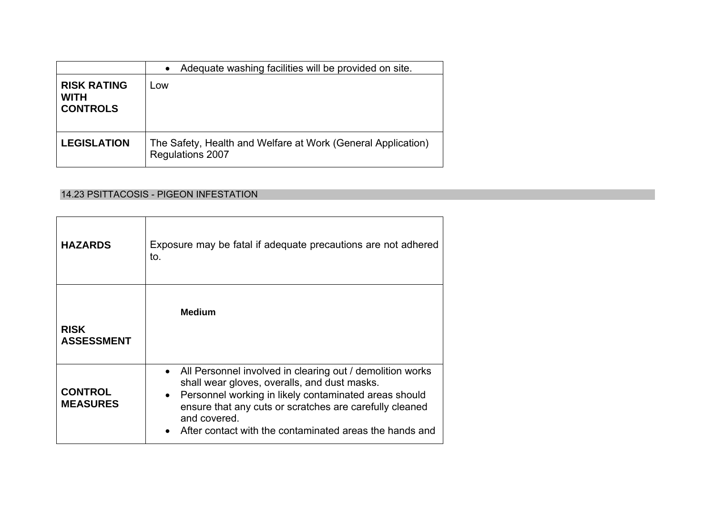|                                                      | Adequate washing facilities will be provided on site.<br>$\bullet$               |
|------------------------------------------------------|----------------------------------------------------------------------------------|
| <b>RISK RATING</b><br><b>WITH</b><br><b>CONTROLS</b> | ∟ow                                                                              |
| <b>LEGISLATION</b>                                   | The Safety, Health and Welfare at Work (General Application)<br>Regulations 2007 |

# 14.23 PSITTACOSIS - PIGEON INFESTATION

| <b>HAZARDS</b>                    | Exposure may be fatal if adequate precautions are not adhered<br>to.                                                                                                                                                                                                                                                    |
|-----------------------------------|-------------------------------------------------------------------------------------------------------------------------------------------------------------------------------------------------------------------------------------------------------------------------------------------------------------------------|
| <b>RISK</b><br><b>ASSESSMENT</b>  | <b>Medium</b>                                                                                                                                                                                                                                                                                                           |
| <b>CONTROL</b><br><b>MEASURES</b> | • All Personnel involved in clearing out / demolition works<br>shall wear gloves, overalls, and dust masks.<br>Personnel working in likely contaminated areas should<br>$\bullet$<br>ensure that any cuts or scratches are carefully cleaned<br>and covered.<br>After contact with the contaminated areas the hands and |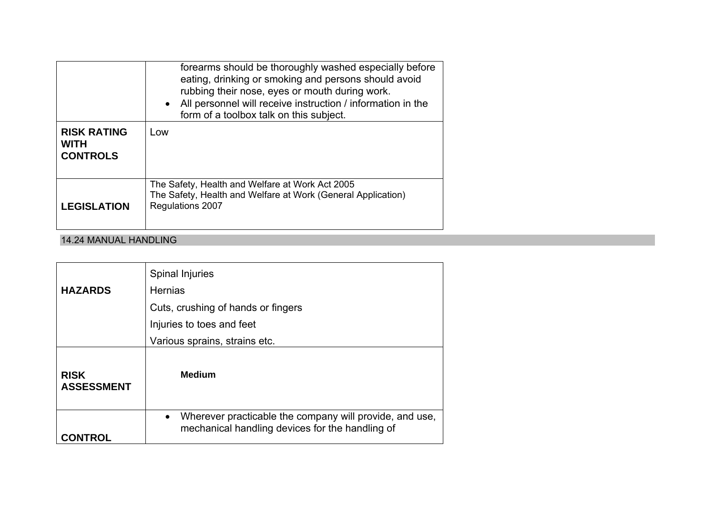|                                                      | forearms should be thoroughly washed especially before<br>eating, drinking or smoking and persons should avoid<br>rubbing their nose, eyes or mouth during work.<br>• All personnel will receive instruction / information in the<br>form of a toolbox talk on this subject. |
|------------------------------------------------------|------------------------------------------------------------------------------------------------------------------------------------------------------------------------------------------------------------------------------------------------------------------------------|
| <b>RISK RATING</b><br><b>WITH</b><br><b>CONTROLS</b> | Low                                                                                                                                                                                                                                                                          |
| <b>LEGISLATION</b>                                   | The Safety, Health and Welfare at Work Act 2005<br>The Safety, Health and Welfare at Work (General Application)<br>Regulations 2007                                                                                                                                          |

### 14.24 MANUAL HANDLING

|                                  | Spinal Injuries                                                                                                         |
|----------------------------------|-------------------------------------------------------------------------------------------------------------------------|
| <b>HAZARDS</b>                   | <b>Hernias</b>                                                                                                          |
|                                  | Cuts, crushing of hands or fingers                                                                                      |
|                                  | Injuries to toes and feet                                                                                               |
|                                  | Various sprains, strains etc.                                                                                           |
| <b>RISK</b><br><b>ASSESSMENT</b> | <b>Medium</b>                                                                                                           |
| <b>CONTROL</b>                   | Wherever practicable the company will provide, and use,<br>$\bullet$<br>mechanical handling devices for the handling of |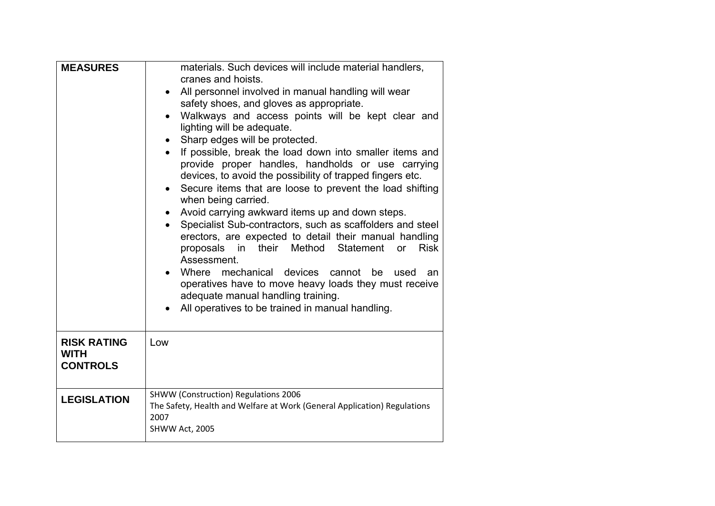| <b>MEASURES</b>                                      | materials. Such devices will include material handlers,<br>cranes and hoists.<br>All personnel involved in manual handling will wear<br>safety shoes, and gloves as appropriate.<br>Walkways and access points will be kept clear and<br>lighting will be adequate.<br>Sharp edges will be protected.<br>If possible, break the load down into smaller items and<br>provide proper handles, handholds or use carrying<br>devices, to avoid the possibility of trapped fingers etc.<br>Secure items that are loose to prevent the load shifting<br>when being carried.<br>Avoid carrying awkward items up and down steps.<br>Specialist Sub-contractors, such as scaffolders and steel<br>erectors, are expected to detail their manual handling<br>proposals in their Method Statement<br><b>Risk</b><br><b>or</b><br>Assessment.<br>Where mechanical devices cannot<br>be<br>used<br>an<br>operatives have to move heavy loads they must receive<br>adequate manual handling training.<br>All operatives to be trained in manual handling. |
|------------------------------------------------------|---------------------------------------------------------------------------------------------------------------------------------------------------------------------------------------------------------------------------------------------------------------------------------------------------------------------------------------------------------------------------------------------------------------------------------------------------------------------------------------------------------------------------------------------------------------------------------------------------------------------------------------------------------------------------------------------------------------------------------------------------------------------------------------------------------------------------------------------------------------------------------------------------------------------------------------------------------------------------------------------------------------------------------------------|
| <b>RISK RATING</b><br><b>WITH</b><br><b>CONTROLS</b> | Low                                                                                                                                                                                                                                                                                                                                                                                                                                                                                                                                                                                                                                                                                                                                                                                                                                                                                                                                                                                                                                         |
| <b>LEGISLATION</b>                                   | <b>SHWW (Construction) Regulations 2006</b><br>The Safety, Health and Welfare at Work (General Application) Regulations<br>2007<br>SHWW Act, 2005                                                                                                                                                                                                                                                                                                                                                                                                                                                                                                                                                                                                                                                                                                                                                                                                                                                                                           |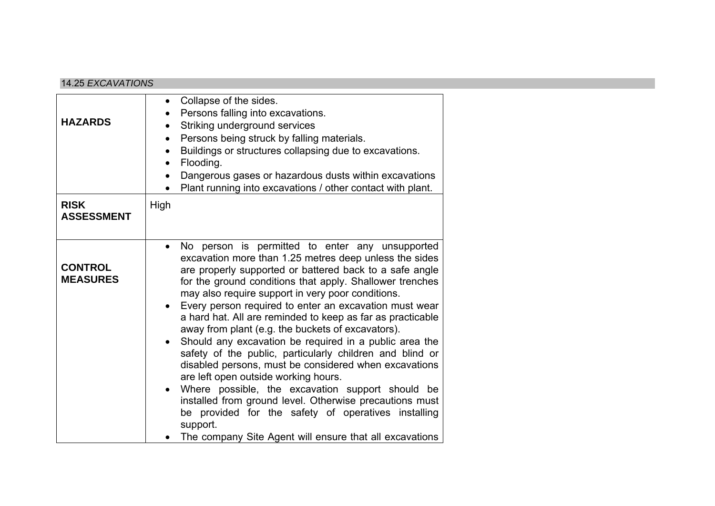### 14.25 *EXCAVATIONS*

| <b>HAZARDS</b>                    | Collapse of the sides.<br>Persons falling into excavations.<br>Striking underground services<br>Persons being struck by falling materials.<br>$\bullet$<br>Buildings or structures collapsing due to excavations.<br>Flooding.<br>$\bullet$<br>Dangerous gases or hazardous dusts within excavations<br>Plant running into excavations / other contact with plant.                                                                                                                                                                                                                                                                                                                                                                                                                                                                                                                                                                     |
|-----------------------------------|----------------------------------------------------------------------------------------------------------------------------------------------------------------------------------------------------------------------------------------------------------------------------------------------------------------------------------------------------------------------------------------------------------------------------------------------------------------------------------------------------------------------------------------------------------------------------------------------------------------------------------------------------------------------------------------------------------------------------------------------------------------------------------------------------------------------------------------------------------------------------------------------------------------------------------------|
| <b>RISK</b><br><b>ASSESSMENT</b>  | High                                                                                                                                                                                                                                                                                                                                                                                                                                                                                                                                                                                                                                                                                                                                                                                                                                                                                                                                   |
| <b>CONTROL</b><br><b>MEASURES</b> | No person is permitted to enter any unsupported<br>excavation more than 1.25 metres deep unless the sides<br>are properly supported or battered back to a safe angle<br>for the ground conditions that apply. Shallower trenches<br>may also require support in very poor conditions.<br>Every person required to enter an excavation must wear<br>a hard hat. All are reminded to keep as far as practicable<br>away from plant (e.g. the buckets of excavators).<br>Should any excavation be required in a public area the<br>safety of the public, particularly children and blind or<br>disabled persons, must be considered when excavations<br>are left open outside working hours.<br>Where possible, the excavation support should be<br>installed from ground level. Otherwise precautions must<br>be provided for the safety of operatives installing<br>support.<br>The company Site Agent will ensure that all excavations |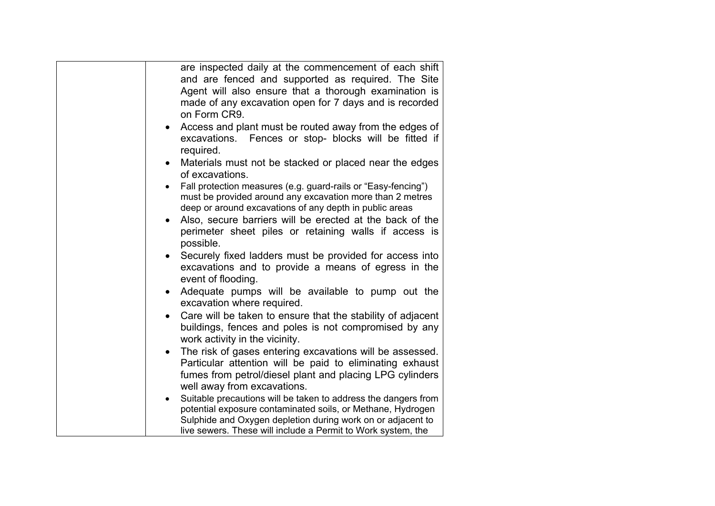| are inspected daily at the commencement of each shift<br>and are fenced and supported as required. The Site<br>Agent will also ensure that a thorough examination is<br>made of any excavation open for 7 days and is recorded<br>on Form CR9.<br>Access and plant must be routed away from the edges of |
|----------------------------------------------------------------------------------------------------------------------------------------------------------------------------------------------------------------------------------------------------------------------------------------------------------|
| excavations. Fences or stop- blocks will be fitted if<br>required.<br>Materials must not be stacked or placed near the edges<br>$\bullet$                                                                                                                                                                |
| of excavations.                                                                                                                                                                                                                                                                                          |
| Fall protection measures (e.g. guard-rails or "Easy-fencing")<br>must be provided around any excavation more than 2 metres<br>deep or around excavations of any depth in public areas<br>Also, secure barriers will be erected at the back of the<br>$\bullet$                                           |
| perimeter sheet piles or retaining walls if access is<br>possible.                                                                                                                                                                                                                                       |
| Securely fixed ladders must be provided for access into<br>excavations and to provide a means of egress in the<br>event of flooding.                                                                                                                                                                     |
| Adequate pumps will be available to pump out the<br>$\bullet$<br>excavation where required.                                                                                                                                                                                                              |
| Care will be taken to ensure that the stability of adjacent<br>$\bullet$<br>buildings, fences and poles is not compromised by any<br>work activity in the vicinity.                                                                                                                                      |
| The risk of gases entering excavations will be assessed.<br>$\bullet$<br>Particular attention will be paid to eliminating exhaust<br>fumes from petrol/diesel plant and placing LPG cylinders<br>well away from excavations.                                                                             |
| Suitable precautions will be taken to address the dangers from<br>potential exposure contaminated soils, or Methane, Hydrogen<br>Sulphide and Oxygen depletion during work on or adjacent to<br>live sewers. These will include a Permit to Work system, the                                             |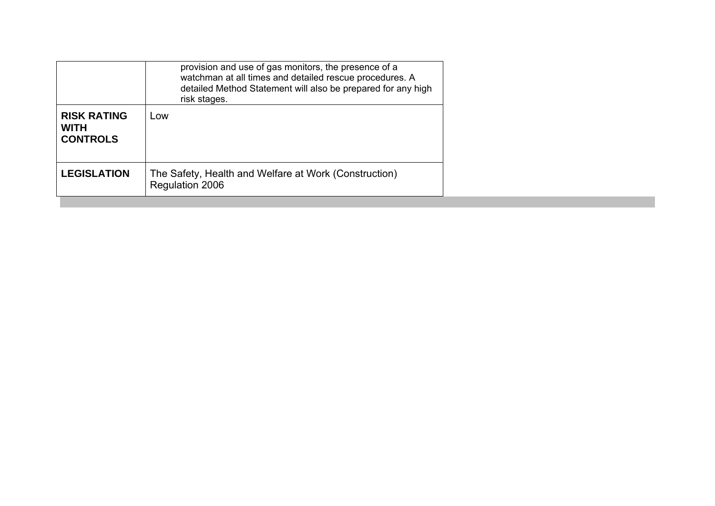|                                                      | provision and use of gas monitors, the presence of a<br>watchman at all times and detailed rescue procedures. A<br>detailed Method Statement will also be prepared for any high<br>risk stages. |
|------------------------------------------------------|-------------------------------------------------------------------------------------------------------------------------------------------------------------------------------------------------|
| <b>RISK RATING</b><br><b>WITH</b><br><b>CONTROLS</b> | Low                                                                                                                                                                                             |
| <b>LEGISLATION</b>                                   | The Safety, Health and Welfare at Work (Construction)<br>Regulation 2006                                                                                                                        |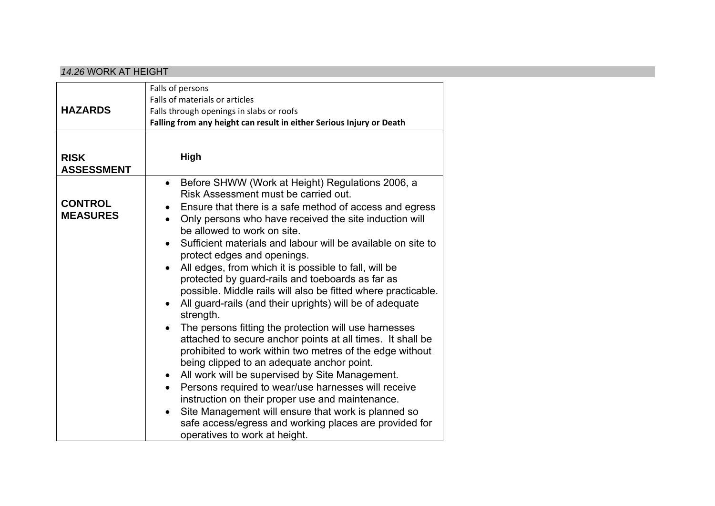#### *14.26* WORK AT HEIGHT

| <b>HAZARDS</b>                    | Falls of persons<br>Falls of materials or articles<br>Falls through openings in slabs or roofs<br>Falling from any height can result in either Serious Injury or Death                                                                                                                                                                                                                                                                                                                                                                                                                                                                                                                                                                                                                                                                                                                                                                                                                                                                                                                                                                                                                                                            |
|-----------------------------------|-----------------------------------------------------------------------------------------------------------------------------------------------------------------------------------------------------------------------------------------------------------------------------------------------------------------------------------------------------------------------------------------------------------------------------------------------------------------------------------------------------------------------------------------------------------------------------------------------------------------------------------------------------------------------------------------------------------------------------------------------------------------------------------------------------------------------------------------------------------------------------------------------------------------------------------------------------------------------------------------------------------------------------------------------------------------------------------------------------------------------------------------------------------------------------------------------------------------------------------|
| <b>RISK</b><br><b>ASSESSMENT</b>  | High                                                                                                                                                                                                                                                                                                                                                                                                                                                                                                                                                                                                                                                                                                                                                                                                                                                                                                                                                                                                                                                                                                                                                                                                                              |
| <b>CONTROL</b><br><b>MEASURES</b> | Before SHWW (Work at Height) Regulations 2006, a<br>$\bullet$<br>Risk Assessment must be carried out.<br>Ensure that there is a safe method of access and egress<br>$\bullet$<br>Only persons who have received the site induction will<br>$\bullet$<br>be allowed to work on site.<br>Sufficient materials and labour will be available on site to<br>$\bullet$<br>protect edges and openings.<br>All edges, from which it is possible to fall, will be<br>protected by guard-rails and toeboards as far as<br>possible. Middle rails will also be fitted where practicable.<br>All guard-rails (and their uprights) will be of adequate<br>$\bullet$<br>strength.<br>The persons fitting the protection will use harnesses<br>attached to secure anchor points at all times. It shall be<br>prohibited to work within two metres of the edge without<br>being clipped to an adequate anchor point.<br>All work will be supervised by Site Management.<br>$\bullet$<br>Persons required to wear/use harnesses will receive<br>instruction on their proper use and maintenance.<br>Site Management will ensure that work is planned so<br>safe access/egress and working places are provided for<br>operatives to work at height. |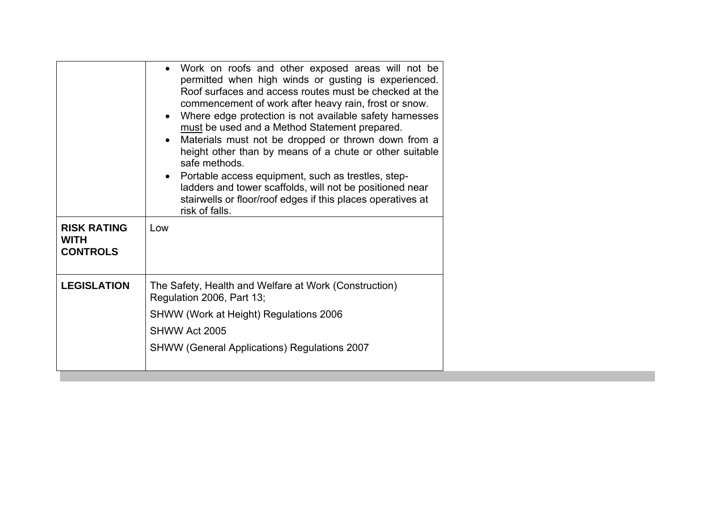| <b>RISK RATING</b><br><b>WITH</b><br><b>CONTROLS</b> | Work on roofs and other exposed areas will not be<br>permitted when high winds or gusting is experienced.<br>Roof surfaces and access routes must be checked at the<br>commencement of work after heavy rain, frost or snow.<br>Where edge protection is not available safety harnesses<br>must be used and a Method Statement prepared.<br>Materials must not be dropped or thrown down from a<br>height other than by means of a chute or other suitable<br>safe methods.<br>Portable access equipment, such as trestles, step-<br>ladders and tower scaffolds, will not be positioned near<br>stairwells or floor/roof edges if this places operatives at<br>risk of falls.<br>Low |
|------------------------------------------------------|---------------------------------------------------------------------------------------------------------------------------------------------------------------------------------------------------------------------------------------------------------------------------------------------------------------------------------------------------------------------------------------------------------------------------------------------------------------------------------------------------------------------------------------------------------------------------------------------------------------------------------------------------------------------------------------|
| <b>LEGISLATION</b>                                   | The Safety, Health and Welfare at Work (Construction)<br>Regulation 2006, Part 13;<br>SHWW (Work at Height) Regulations 2006<br>SHWW Act 2005<br><b>SHWW (General Applications) Regulations 2007</b>                                                                                                                                                                                                                                                                                                                                                                                                                                                                                  |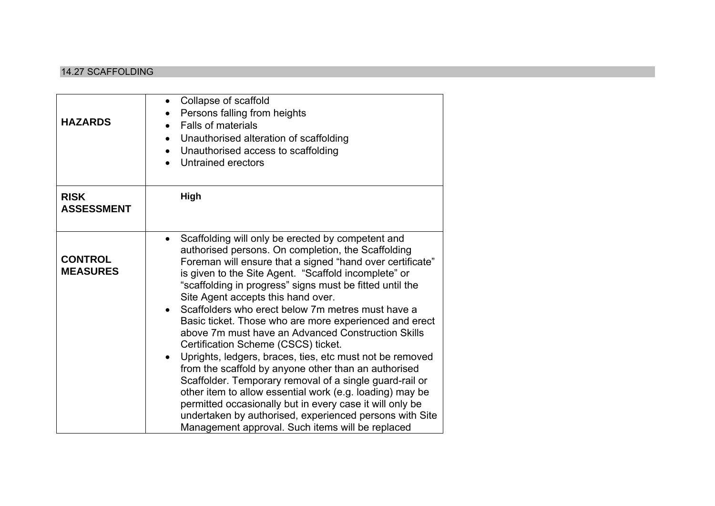#### 14.27 SCAFFOLDING

| <b>HAZARDS</b>                    | Collapse of scaffold<br>$\bullet$<br>Persons falling from heights<br><b>Falls of materials</b><br>Unauthorised alteration of scaffolding<br>$\bullet$<br>Unauthorised access to scaffolding<br>Untrained erectors                                                                                                                                                                                                                                                                                                                                                                                                                                                                                                                                                                                                                                                                                                                                                                          |
|-----------------------------------|--------------------------------------------------------------------------------------------------------------------------------------------------------------------------------------------------------------------------------------------------------------------------------------------------------------------------------------------------------------------------------------------------------------------------------------------------------------------------------------------------------------------------------------------------------------------------------------------------------------------------------------------------------------------------------------------------------------------------------------------------------------------------------------------------------------------------------------------------------------------------------------------------------------------------------------------------------------------------------------------|
| <b>RISK</b><br><b>ASSESSMENT</b>  | High                                                                                                                                                                                                                                                                                                                                                                                                                                                                                                                                                                                                                                                                                                                                                                                                                                                                                                                                                                                       |
| <b>CONTROL</b><br><b>MEASURES</b> | Scaffolding will only be erected by competent and<br>$\bullet$<br>authorised persons. On completion, the Scaffolding<br>Foreman will ensure that a signed "hand over certificate"<br>is given to the Site Agent. "Scaffold incomplete" or<br>"scaffolding in progress" signs must be fitted until the<br>Site Agent accepts this hand over.<br>Scaffolders who erect below 7m metres must have a<br>Basic ticket. Those who are more experienced and erect<br>above 7m must have an Advanced Construction Skills<br>Certification Scheme (CSCS) ticket.<br>Uprights, ledgers, braces, ties, etc must not be removed<br>$\bullet$<br>from the scaffold by anyone other than an authorised<br>Scaffolder. Temporary removal of a single guard-rail or<br>other item to allow essential work (e.g. loading) may be<br>permitted occasionally but in every case it will only be<br>undertaken by authorised, experienced persons with Site<br>Management approval. Such items will be replaced |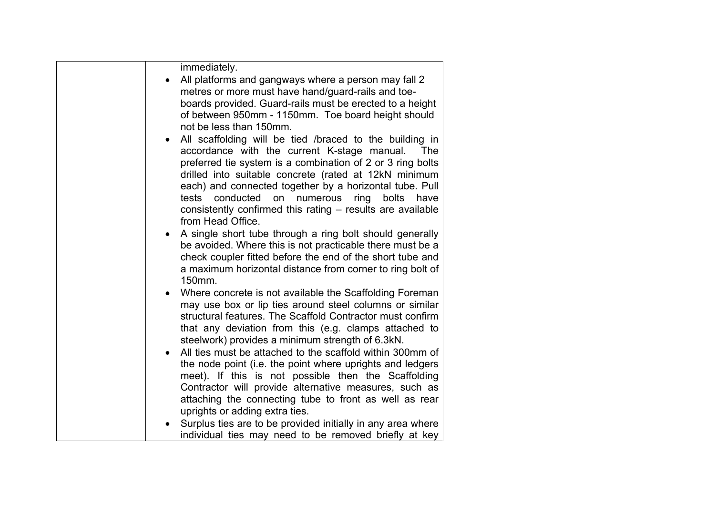| immediately.<br>All platforms and gangways where a person may fall 2<br>metres or more must have hand/guard-rails and toe-<br>boards provided. Guard-rails must be erected to a height<br>of between 950mm - 1150mm. Toe board height should<br>not be less than 150mm.<br>All scaffolding will be tied /braced to the building in<br>$\bullet$<br>accordance with the current K-stage manual.<br>The<br>preferred tie system is a combination of 2 or 3 ring bolts |
|---------------------------------------------------------------------------------------------------------------------------------------------------------------------------------------------------------------------------------------------------------------------------------------------------------------------------------------------------------------------------------------------------------------------------------------------------------------------|
| drilled into suitable concrete (rated at 12kN minimum<br>each) and connected together by a horizontal tube. Pull<br>tests conducted on<br>numerous<br>ring<br>bolts have<br>consistently confirmed this rating - results are available<br>from Head Office.                                                                                                                                                                                                         |
| A single short tube through a ring bolt should generally<br>be avoided. Where this is not practicable there must be a<br>check coupler fitted before the end of the short tube and<br>a maximum horizontal distance from corner to ring bolt of<br>150mm.                                                                                                                                                                                                           |
| Where concrete is not available the Scaffolding Foreman<br>may use box or lip ties around steel columns or similar<br>structural features. The Scaffold Contractor must confirm<br>that any deviation from this (e.g. clamps attached to<br>steelwork) provides a minimum strength of 6.3kN.                                                                                                                                                                        |
| All ties must be attached to the scaffold within 300mm of<br>the node point (i.e. the point where uprights and ledgers<br>meet). If this is not possible then the Scaffolding<br>Contractor will provide alternative measures, such as<br>attaching the connecting tube to front as well as rear<br>uprights or adding extra ties.                                                                                                                                  |
| Surplus ties are to be provided initially in any area where<br>individual ties may need to be removed briefly at key                                                                                                                                                                                                                                                                                                                                                |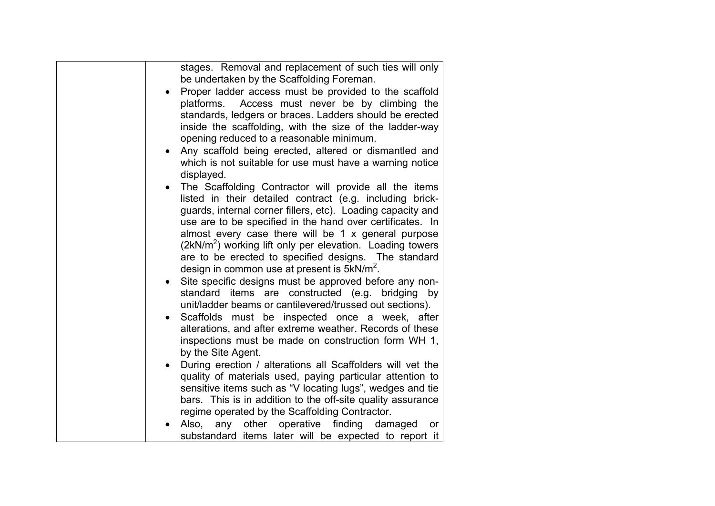| stages. Removal and replacement of such ties will only<br>be undertaken by the Scaffolding Foreman.<br>Proper ladder access must be provided to the scaffold<br>Access must never be by climbing the<br>platforms.<br>standards, ledgers or braces. Ladders should be erected<br>inside the scaffolding, with the size of the ladder-way<br>opening reduced to a reasonable minimum.<br>Any scaffold being erected, altered or dismantled and<br>$\bullet$<br>which is not suitable for use must have a warning notice<br>displayed.                                                                                                                                                                                                                                                                                                                  |
|-------------------------------------------------------------------------------------------------------------------------------------------------------------------------------------------------------------------------------------------------------------------------------------------------------------------------------------------------------------------------------------------------------------------------------------------------------------------------------------------------------------------------------------------------------------------------------------------------------------------------------------------------------------------------------------------------------------------------------------------------------------------------------------------------------------------------------------------------------|
| The Scaffolding Contractor will provide all the items<br>$\bullet$<br>listed in their detailed contract (e.g. including brick-<br>guards, internal corner fillers, etc). Loading capacity and<br>use are to be specified in the hand over certificates. In<br>almost every case there will be 1 x general purpose<br>$(2kN/m2)$ working lift only per elevation. Loading towers<br>are to be erected to specified designs. The standard<br>design in common use at present is $5kN/m^2$ .<br>Site specific designs must be approved before any non-<br>$\bullet$<br>standard items are constructed (e.g. bridging by<br>unit/ladder beams or cantilevered/trussed out sections).<br>Scaffolds must be inspected once a week, after<br>alterations, and after extreme weather. Records of these<br>inspections must be made on construction form WH 1, |
| by the Site Agent.<br>During erection / alterations all Scaffolders will vet the<br>$\bullet$<br>quality of materials used, paying particular attention to<br>sensitive items such as "V locating lugs", wedges and tie<br>bars. This is in addition to the off-site quality assurance<br>regime operated by the Scaffolding Contractor.<br>any other operative<br>finding<br>Also,<br>damaged<br><b>or</b><br>substandard items later will be expected to report it                                                                                                                                                                                                                                                                                                                                                                                  |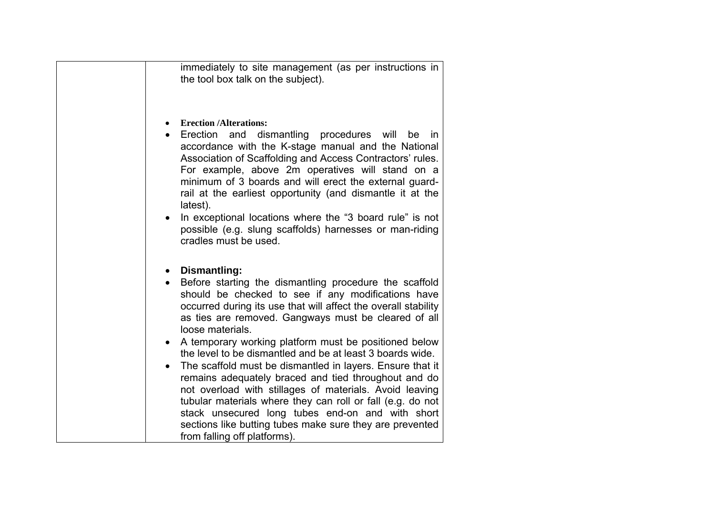| immediately to site management (as per instructions in<br>the tool box talk on the subject).                                                                                                                                                                                                                                                                                                                                                                                                                                                                                                                                                                                                                                                                                                                                          |
|---------------------------------------------------------------------------------------------------------------------------------------------------------------------------------------------------------------------------------------------------------------------------------------------------------------------------------------------------------------------------------------------------------------------------------------------------------------------------------------------------------------------------------------------------------------------------------------------------------------------------------------------------------------------------------------------------------------------------------------------------------------------------------------------------------------------------------------|
| <b>Erection /Alterations:</b><br>$\bullet$<br>Erection<br>dismantling<br>procedures will<br>and<br>be<br>in.<br>$\bullet$<br>accordance with the K-stage manual and the National<br>Association of Scaffolding and Access Contractors' rules.<br>For example, above 2m operatives will stand on a<br>minimum of 3 boards and will erect the external guard-<br>rail at the earliest opportunity (and dismantle it at the<br>latest).<br>In exceptional locations where the "3 board rule" is not<br>$\bullet$<br>possible (e.g. slung scaffolds) harnesses or man-riding<br>cradles must be used.                                                                                                                                                                                                                                     |
| Dismantling:<br>$\bullet$<br>Before starting the dismantling procedure the scaffold<br>should be checked to see if any modifications have<br>occurred during its use that will affect the overall stability<br>as ties are removed. Gangways must be cleared of all<br>loose materials.<br>A temporary working platform must be positioned below<br>$\bullet$<br>the level to be dismantled and be at least 3 boards wide.<br>The scaffold must be dismantled in layers. Ensure that it<br>$\bullet$<br>remains adequately braced and tied throughout and do<br>not overload with stillages of materials. Avoid leaving<br>tubular materials where they can roll or fall (e.g. do not<br>stack unsecured long tubes end-on and with short<br>sections like butting tubes make sure they are prevented<br>from falling off platforms). |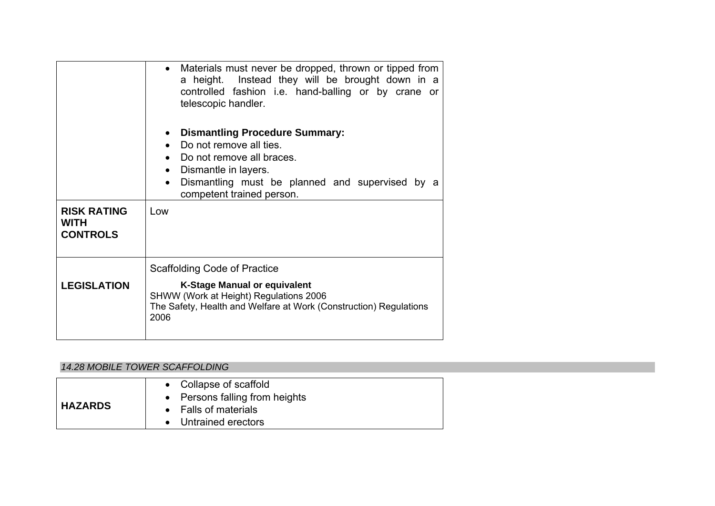|                                                      | • Materials must never be dropped, thrown or tipped from<br>a height. Instead they will be brought down in a<br>controlled fashion i.e. hand-balling or by crane or<br>telescopic handler.                                                   |
|------------------------------------------------------|----------------------------------------------------------------------------------------------------------------------------------------------------------------------------------------------------------------------------------------------|
|                                                      | <b>Dismantling Procedure Summary:</b><br>Do not remove all ties.<br>Do not remove all braces.<br>$\bullet$<br>Dismantle in layers.<br>$\bullet$<br>Dismantling must be planned and supervised by a<br>$\bullet$<br>competent trained person. |
| <b>RISK RATING</b><br><b>WITH</b><br><b>CONTROLS</b> | Low                                                                                                                                                                                                                                          |
|                                                      | Scaffolding Code of Practice                                                                                                                                                                                                                 |
| <b>LEGISLATION</b>                                   | <b>K-Stage Manual or equivalent</b><br>SHWW (Work at Height) Regulations 2006<br>The Safety, Health and Welfare at Work (Construction) Regulations<br>2006                                                                                   |

## *14.28 MOBILE TOWER SCAFFOLDING*

| • Collapse of scaffold<br>• Persons falling from heights<br><b>HAZARDS</b><br>• Falls of materials<br>• Untrained erectors |  |
|----------------------------------------------------------------------------------------------------------------------------|--|
|----------------------------------------------------------------------------------------------------------------------------|--|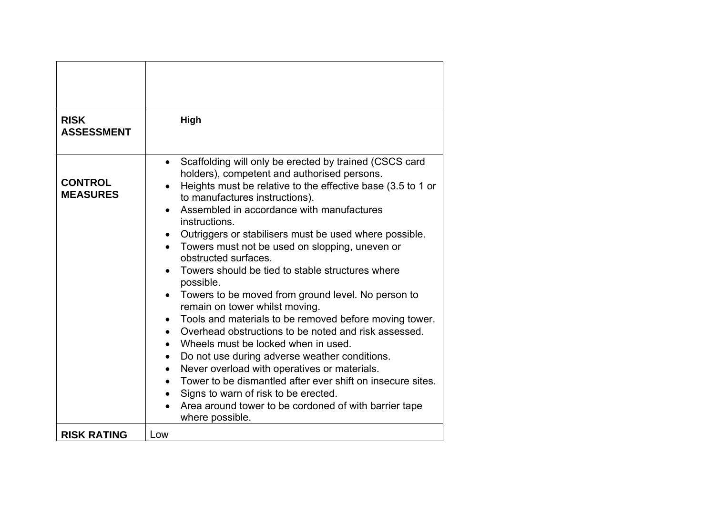| <b>RISK</b><br><b>ASSESSMENT</b>  | High                                                                                                                                                                                                                                                                                                                                                                                                                                                                                                                                                                                                                                                                                                                                                                                                                                                                                                                                                                                                                                                                                                                               |
|-----------------------------------|------------------------------------------------------------------------------------------------------------------------------------------------------------------------------------------------------------------------------------------------------------------------------------------------------------------------------------------------------------------------------------------------------------------------------------------------------------------------------------------------------------------------------------------------------------------------------------------------------------------------------------------------------------------------------------------------------------------------------------------------------------------------------------------------------------------------------------------------------------------------------------------------------------------------------------------------------------------------------------------------------------------------------------------------------------------------------------------------------------------------------------|
| <b>CONTROL</b><br><b>MEASURES</b> | Scaffolding will only be erected by trained (CSCS card<br>$\bullet$<br>holders), competent and authorised persons.<br>Heights must be relative to the effective base (3.5 to 1 or<br>to manufactures instructions).<br>Assembled in accordance with manufactures<br>$\bullet$<br>instructions.<br>Outriggers or stabilisers must be used where possible.<br>Towers must not be used on slopping, uneven or<br>obstructed surfaces.<br>Towers should be tied to stable structures where<br>possible.<br>Towers to be moved from ground level. No person to<br>remain on tower whilst moving.<br>Tools and materials to be removed before moving tower.<br>$\bullet$<br>Overhead obstructions to be noted and risk assessed.<br>$\bullet$<br>Wheels must be locked when in used.<br>$\bullet$<br>Do not use during adverse weather conditions.<br>$\bullet$<br>Never overload with operatives or materials.<br>$\bullet$<br>Tower to be dismantled after ever shift on insecure sites.<br>$\bullet$<br>Signs to warn of risk to be erected.<br>$\bullet$<br>Area around tower to be cordoned of with barrier tape<br>where possible. |
| <b>RISK RATING</b>                | Low                                                                                                                                                                                                                                                                                                                                                                                                                                                                                                                                                                                                                                                                                                                                                                                                                                                                                                                                                                                                                                                                                                                                |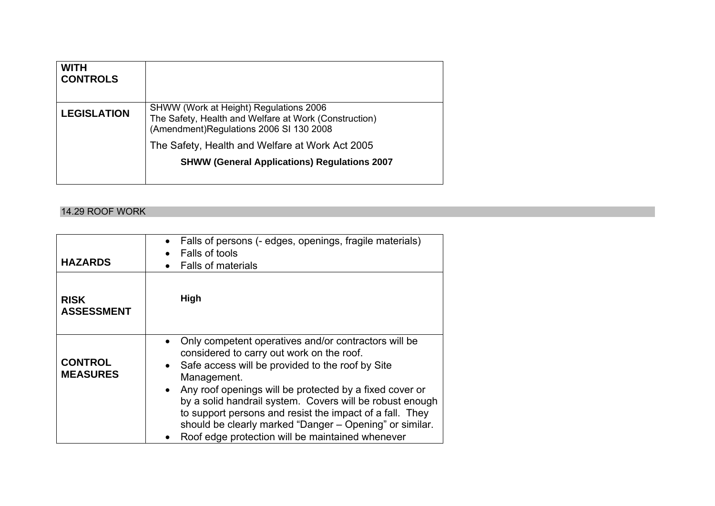| <b>WITH</b><br><b>CONTROLS</b> |                                                                                                                                            |
|--------------------------------|--------------------------------------------------------------------------------------------------------------------------------------------|
| <b>LEGISLATION</b>             | SHWW (Work at Height) Regulations 2006<br>The Safety, Health and Welfare at Work (Construction)<br>(Amendment)Regulations 2006 SI 130 2008 |
|                                | The Safety, Health and Welfare at Work Act 2005                                                                                            |
|                                | <b>SHWW (General Applications) Regulations 2007</b>                                                                                        |

#### 14.29 ROOF WORK

| <b>HAZARDS</b>                    | Falls of persons (- edges, openings, fragile materials)<br>$\bullet$<br>Falls of tools<br><b>Falls of materials</b>                                                                                                                                                                                                                                                                                                                                                                 |
|-----------------------------------|-------------------------------------------------------------------------------------------------------------------------------------------------------------------------------------------------------------------------------------------------------------------------------------------------------------------------------------------------------------------------------------------------------------------------------------------------------------------------------------|
| <b>RISK</b><br><b>ASSESSMENT</b>  | High                                                                                                                                                                                                                                                                                                                                                                                                                                                                                |
| <b>CONTROL</b><br><b>MEASURES</b> | Only competent operatives and/or contractors will be<br>considered to carry out work on the roof.<br>Safe access will be provided to the roof by Site<br>Management.<br>Any roof openings will be protected by a fixed cover or<br>$\bullet$<br>by a solid handrail system. Covers will be robust enough<br>to support persons and resist the impact of a fall. They<br>should be clearly marked "Danger - Opening" or similar.<br>Roof edge protection will be maintained whenever |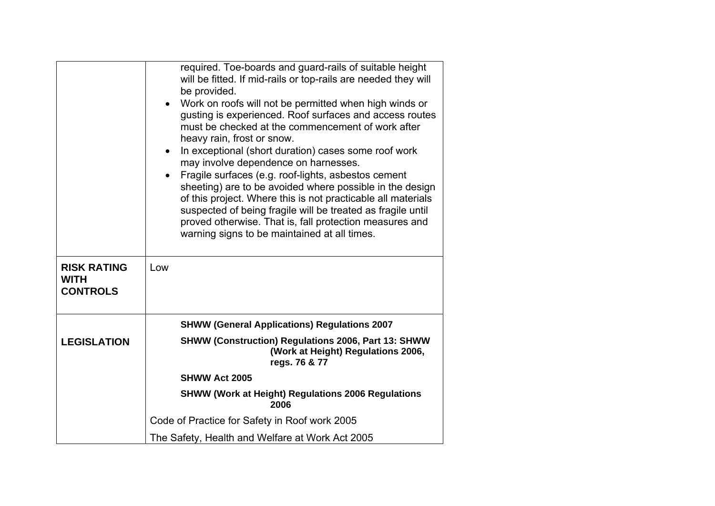|                                                      | required. Toe-boards and guard-rails of suitable height<br>will be fitted. If mid-rails or top-rails are needed they will<br>be provided.<br>Work on roofs will not be permitted when high winds or<br>$\bullet$<br>gusting is experienced. Roof surfaces and access routes<br>must be checked at the commencement of work after<br>heavy rain, frost or snow.<br>In exceptional (short duration) cases some roof work<br>$\bullet$<br>may involve dependence on harnesses.<br>Fragile surfaces (e.g. roof-lights, asbestos cement<br>sheeting) are to be avoided where possible in the design<br>of this project. Where this is not practicable all materials<br>suspected of being fragile will be treated as fragile until<br>proved otherwise. That is, fall protection measures and<br>warning signs to be maintained at all times. |
|------------------------------------------------------|------------------------------------------------------------------------------------------------------------------------------------------------------------------------------------------------------------------------------------------------------------------------------------------------------------------------------------------------------------------------------------------------------------------------------------------------------------------------------------------------------------------------------------------------------------------------------------------------------------------------------------------------------------------------------------------------------------------------------------------------------------------------------------------------------------------------------------------|
| <b>RISK RATING</b><br><b>WITH</b><br><b>CONTROLS</b> | Low                                                                                                                                                                                                                                                                                                                                                                                                                                                                                                                                                                                                                                                                                                                                                                                                                                      |
|                                                      | <b>SHWW (General Applications) Regulations 2007</b>                                                                                                                                                                                                                                                                                                                                                                                                                                                                                                                                                                                                                                                                                                                                                                                      |
| <b>LEGISLATION</b>                                   | <b>SHWW (Construction) Regulations 2006, Part 13: SHWW</b><br>(Work at Height) Regulations 2006,<br>regs. 76 & 77                                                                                                                                                                                                                                                                                                                                                                                                                                                                                                                                                                                                                                                                                                                        |
|                                                      | <b>SHWW Act 2005</b>                                                                                                                                                                                                                                                                                                                                                                                                                                                                                                                                                                                                                                                                                                                                                                                                                     |
|                                                      | <b>SHWW (Work at Height) Regulations 2006 Regulations</b><br>2006                                                                                                                                                                                                                                                                                                                                                                                                                                                                                                                                                                                                                                                                                                                                                                        |
|                                                      | Code of Practice for Safety in Roof work 2005                                                                                                                                                                                                                                                                                                                                                                                                                                                                                                                                                                                                                                                                                                                                                                                            |
|                                                      | The Safety, Health and Welfare at Work Act 2005                                                                                                                                                                                                                                                                                                                                                                                                                                                                                                                                                                                                                                                                                                                                                                                          |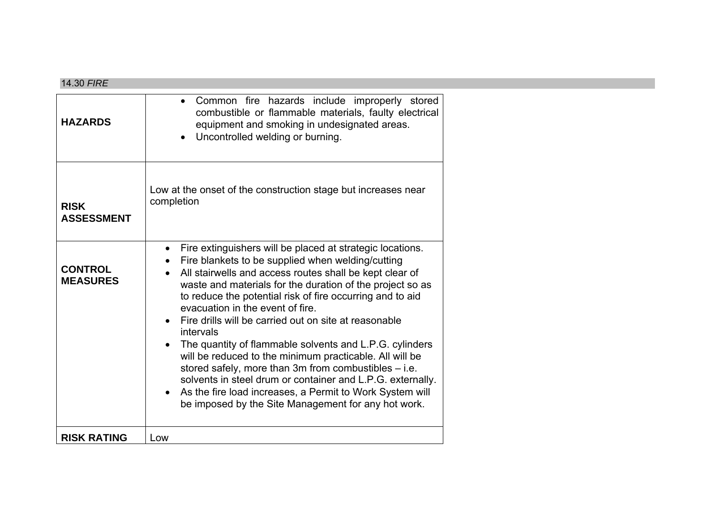#### 14.30 *FIRE*

| <b>HAZARDS</b>                    | Common fire hazards include improperly stored<br>combustible or flammable materials, faulty electrical<br>equipment and smoking in undesignated areas.<br>Uncontrolled welding or burning.<br>$\bullet$                                                                                                                                                                                                                                                                                                                                                                                                                                                                                                                                                                                                |
|-----------------------------------|--------------------------------------------------------------------------------------------------------------------------------------------------------------------------------------------------------------------------------------------------------------------------------------------------------------------------------------------------------------------------------------------------------------------------------------------------------------------------------------------------------------------------------------------------------------------------------------------------------------------------------------------------------------------------------------------------------------------------------------------------------------------------------------------------------|
| <b>RISK</b><br><b>ASSESSMENT</b>  | Low at the onset of the construction stage but increases near<br>completion                                                                                                                                                                                                                                                                                                                                                                                                                                                                                                                                                                                                                                                                                                                            |
| <b>CONTROL</b><br><b>MEASURES</b> | Fire extinguishers will be placed at strategic locations.<br>$\bullet$<br>Fire blankets to be supplied when welding/cutting<br>All stairwells and access routes shall be kept clear of<br>waste and materials for the duration of the project so as<br>to reduce the potential risk of fire occurring and to aid<br>evacuation in the event of fire.<br>Fire drills will be carried out on site at reasonable<br>intervals<br>The quantity of flammable solvents and L.P.G. cylinders<br>will be reduced to the minimum practicable. All will be<br>stored safely, more than 3m from combustibles - i.e.<br>solvents in steel drum or container and L.P.G. externally.<br>As the fire load increases, a Permit to Work System will<br>$\bullet$<br>be imposed by the Site Management for any hot work. |
| <b>RISK RATING</b>                | Low                                                                                                                                                                                                                                                                                                                                                                                                                                                                                                                                                                                                                                                                                                                                                                                                    |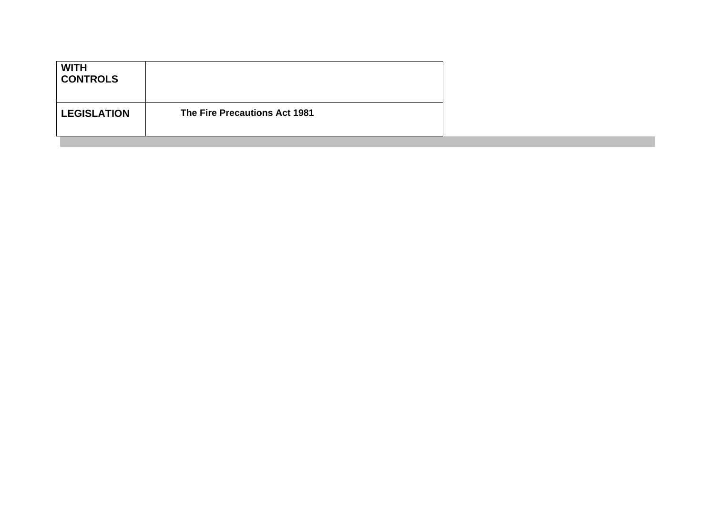| <b>WITH</b><br><b>CONTROLS</b> |                               |
|--------------------------------|-------------------------------|
| <b>LEGISLATION</b>             | The Fire Precautions Act 1981 |
|                                |                               |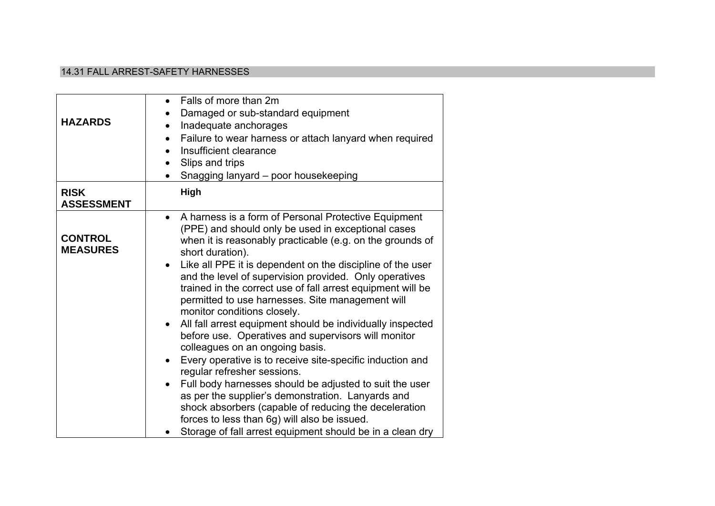#### 14.31 FALL ARREST-SAFETY HARNESSES

| <b>HAZARDS</b>                    | Falls of more than 2m<br>$\bullet$<br>Damaged or sub-standard equipment<br>Inadequate anchorages<br>$\bullet$<br>Failure to wear harness or attach lanyard when required<br>$\bullet$<br>Insufficient clearance<br>$\bullet$<br>Slips and trips<br>$\bullet$<br>Snagging lanyard - poor housekeeping                                                                                                                                                                                                                                                                                                                                                                                                                                                                                                                                                                                                                                                                                                                                                   |
|-----------------------------------|--------------------------------------------------------------------------------------------------------------------------------------------------------------------------------------------------------------------------------------------------------------------------------------------------------------------------------------------------------------------------------------------------------------------------------------------------------------------------------------------------------------------------------------------------------------------------------------------------------------------------------------------------------------------------------------------------------------------------------------------------------------------------------------------------------------------------------------------------------------------------------------------------------------------------------------------------------------------------------------------------------------------------------------------------------|
| <b>RISK</b><br><b>ASSESSMENT</b>  | <b>High</b>                                                                                                                                                                                                                                                                                                                                                                                                                                                                                                                                                                                                                                                                                                                                                                                                                                                                                                                                                                                                                                            |
| <b>CONTROL</b><br><b>MEASURES</b> | A harness is a form of Personal Protective Equipment<br>$\bullet$<br>(PPE) and should only be used in exceptional cases<br>when it is reasonably practicable (e.g. on the grounds of<br>short duration).<br>Like all PPE it is dependent on the discipline of the user<br>and the level of supervision provided. Only operatives<br>trained in the correct use of fall arrest equipment will be<br>permitted to use harnesses. Site management will<br>monitor conditions closely.<br>All fall arrest equipment should be individually inspected<br>$\bullet$<br>before use. Operatives and supervisors will monitor<br>colleagues on an ongoing basis.<br>Every operative is to receive site-specific induction and<br>$\bullet$<br>regular refresher sessions.<br>Full body harnesses should be adjusted to suit the user<br>as per the supplier's demonstration. Lanyards and<br>shock absorbers (capable of reducing the deceleration<br>forces to less than 6g) will also be issued.<br>Storage of fall arrest equipment should be in a clean dry |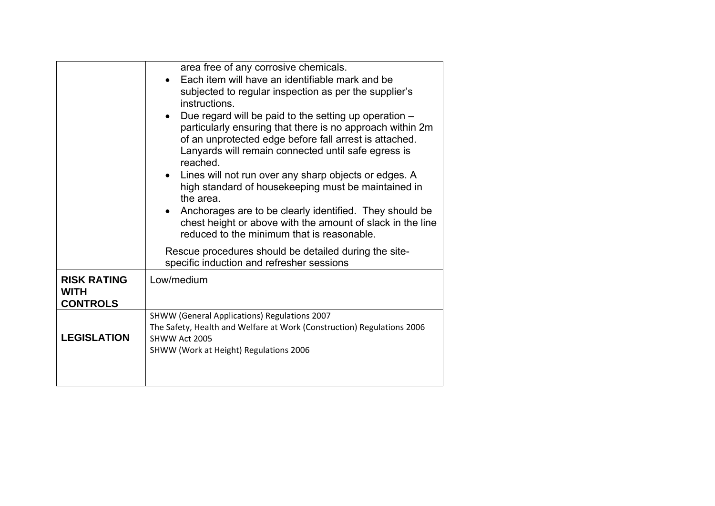|                                                      | area free of any corrosive chemicals.<br>Each item will have an identifiable mark and be<br>subjected to regular inspection as per the supplier's<br>instructions.<br>Due regard will be paid to the setting up operation -<br>$\bullet$<br>particularly ensuring that there is no approach within 2m<br>of an unprotected edge before fall arrest is attached.<br>Lanyards will remain connected until safe egress is<br>reached.<br>Lines will not run over any sharp objects or edges. A<br>$\bullet$<br>high standard of housekeeping must be maintained in<br>the area.<br>Anchorages are to be clearly identified. They should be<br>$\bullet$<br>chest height or above with the amount of slack in the line<br>reduced to the minimum that is reasonable. |
|------------------------------------------------------|------------------------------------------------------------------------------------------------------------------------------------------------------------------------------------------------------------------------------------------------------------------------------------------------------------------------------------------------------------------------------------------------------------------------------------------------------------------------------------------------------------------------------------------------------------------------------------------------------------------------------------------------------------------------------------------------------------------------------------------------------------------|
|                                                      | Rescue procedures should be detailed during the site-<br>specific induction and refresher sessions                                                                                                                                                                                                                                                                                                                                                                                                                                                                                                                                                                                                                                                               |
| <b>RISK RATING</b><br><b>WITH</b><br><b>CONTROLS</b> | Low/medium                                                                                                                                                                                                                                                                                                                                                                                                                                                                                                                                                                                                                                                                                                                                                       |
| <b>LEGISLATION</b>                                   | SHWW (General Applications) Regulations 2007<br>The Safety, Health and Welfare at Work (Construction) Regulations 2006<br>SHWW Act 2005<br>SHWW (Work at Height) Regulations 2006                                                                                                                                                                                                                                                                                                                                                                                                                                                                                                                                                                                |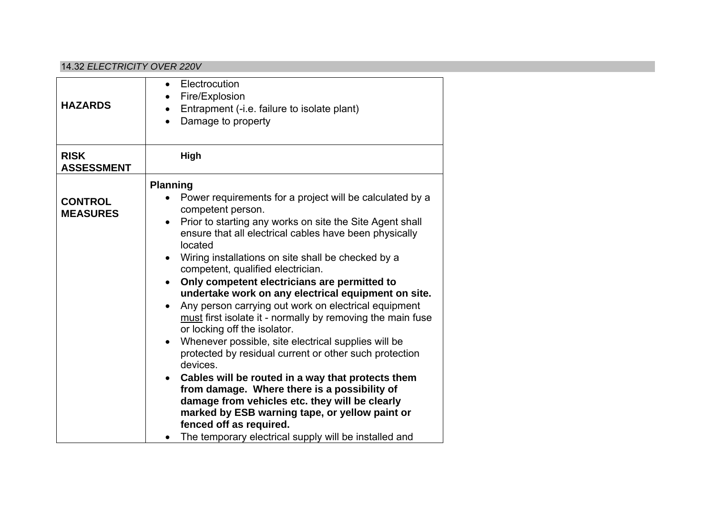#### 14.32 *ELECTRICITY OVER 220V*

| Electrocution<br>$\bullet$<br>Fire/Explosion<br>Entrapment (-i.e. failure to isolate plant)<br>Damage to property                                                                                                                                                                                                                                                                                                                                                                                                                                                                                                                                                                                                                                                                                                                                                                                                                                                                                        |
|----------------------------------------------------------------------------------------------------------------------------------------------------------------------------------------------------------------------------------------------------------------------------------------------------------------------------------------------------------------------------------------------------------------------------------------------------------------------------------------------------------------------------------------------------------------------------------------------------------------------------------------------------------------------------------------------------------------------------------------------------------------------------------------------------------------------------------------------------------------------------------------------------------------------------------------------------------------------------------------------------------|
| High                                                                                                                                                                                                                                                                                                                                                                                                                                                                                                                                                                                                                                                                                                                                                                                                                                                                                                                                                                                                     |
| <b>Planning</b>                                                                                                                                                                                                                                                                                                                                                                                                                                                                                                                                                                                                                                                                                                                                                                                                                                                                                                                                                                                          |
| Power requirements for a project will be calculated by a<br>competent person.<br>Prior to starting any works on site the Site Agent shall<br>$\bullet$<br>ensure that all electrical cables have been physically<br>located<br>Wiring installations on site shall be checked by a<br>$\bullet$<br>competent, qualified electrician.<br>Only competent electricians are permitted to<br>$\bullet$<br>undertake work on any electrical equipment on site.<br>Any person carrying out work on electrical equipment<br>$\bullet$<br>must first isolate it - normally by removing the main fuse<br>or locking off the isolator.<br>Whenever possible, site electrical supplies will be<br>$\bullet$<br>protected by residual current or other such protection<br>devices.<br>Cables will be routed in a way that protects them<br>from damage. Where there is a possibility of<br>damage from vehicles etc. they will be clearly<br>marked by ESB warning tape, or yellow paint or<br>fenced off as required. |
| The temporary electrical supply will be installed and                                                                                                                                                                                                                                                                                                                                                                                                                                                                                                                                                                                                                                                                                                                                                                                                                                                                                                                                                    |
|                                                                                                                                                                                                                                                                                                                                                                                                                                                                                                                                                                                                                                                                                                                                                                                                                                                                                                                                                                                                          |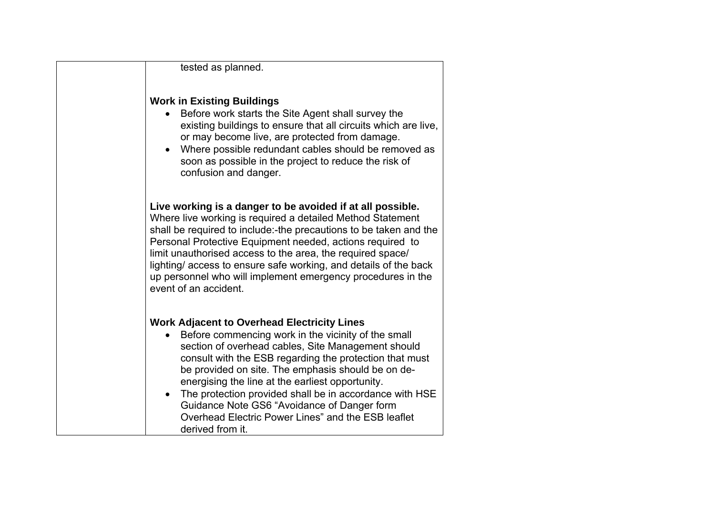| tested as planned.                                                                                                                                                                                                                                                                                                                                                                                                                                                                                                       |
|--------------------------------------------------------------------------------------------------------------------------------------------------------------------------------------------------------------------------------------------------------------------------------------------------------------------------------------------------------------------------------------------------------------------------------------------------------------------------------------------------------------------------|
| <b>Work in Existing Buildings</b><br>Before work starts the Site Agent shall survey the<br>existing buildings to ensure that all circuits which are live,<br>or may become live, are protected from damage.<br>Where possible redundant cables should be removed as<br>soon as possible in the project to reduce the risk of<br>confusion and danger.                                                                                                                                                                    |
| Live working is a danger to be avoided if at all possible.<br>Where live working is required a detailed Method Statement<br>shall be required to include:-the precautions to be taken and the<br>Personal Protective Equipment needed, actions required to<br>limit unauthorised access to the area, the required space/<br>lighting/access to ensure safe working, and details of the back<br>up personnel who will implement emergency procedures in the<br>event of an accident.                                      |
| <b>Work Adjacent to Overhead Electricity Lines</b><br>Before commencing work in the vicinity of the small<br>section of overhead cables, Site Management should<br>consult with the ESB regarding the protection that must<br>be provided on site. The emphasis should be on de-<br>energising the line at the earliest opportunity.<br>The protection provided shall be in accordance with HSE<br>Guidance Note GS6 "Avoidance of Danger form<br>Overhead Electric Power Lines" and the ESB leaflet<br>derived from it. |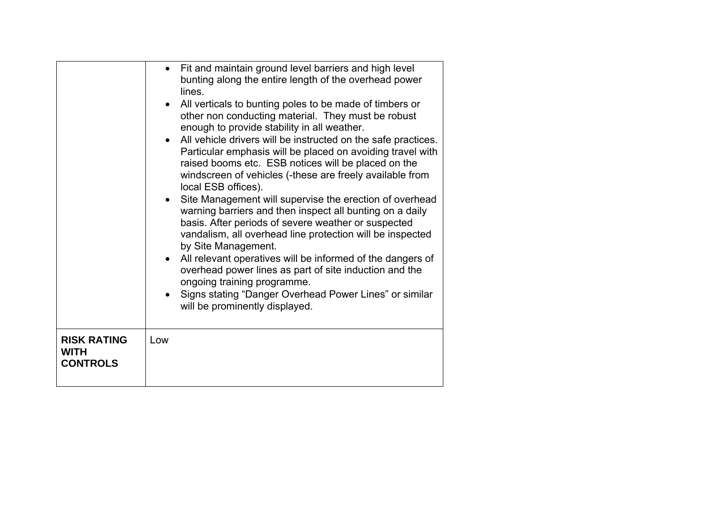|                                                      | • Fit and maintain ground level barriers and high level<br>bunting along the entire length of the overhead power<br>lines.<br>All verticals to bunting poles to be made of timbers or<br>other non conducting material. They must be robust<br>enough to provide stability in all weather.<br>• All vehicle drivers will be instructed on the safe practices.<br>Particular emphasis will be placed on avoiding travel with<br>raised booms etc. ESB notices will be placed on the<br>windscreen of vehicles (-these are freely available from<br>local ESB offices).<br>Site Management will supervise the erection of overhead<br>warning barriers and then inspect all bunting on a daily<br>basis. After periods of severe weather or suspected<br>vandalism, all overhead line protection will be inspected<br>by Site Management.<br>All relevant operatives will be informed of the dangers of<br>overhead power lines as part of site induction and the<br>ongoing training programme.<br>Signs stating "Danger Overhead Power Lines" or similar<br>will be prominently displayed. |
|------------------------------------------------------|--------------------------------------------------------------------------------------------------------------------------------------------------------------------------------------------------------------------------------------------------------------------------------------------------------------------------------------------------------------------------------------------------------------------------------------------------------------------------------------------------------------------------------------------------------------------------------------------------------------------------------------------------------------------------------------------------------------------------------------------------------------------------------------------------------------------------------------------------------------------------------------------------------------------------------------------------------------------------------------------------------------------------------------------------------------------------------------------|
| <b>RISK RATING</b><br><b>WITH</b><br><b>CONTROLS</b> | Low                                                                                                                                                                                                                                                                                                                                                                                                                                                                                                                                                                                                                                                                                                                                                                                                                                                                                                                                                                                                                                                                                        |
|                                                      |                                                                                                                                                                                                                                                                                                                                                                                                                                                                                                                                                                                                                                                                                                                                                                                                                                                                                                                                                                                                                                                                                            |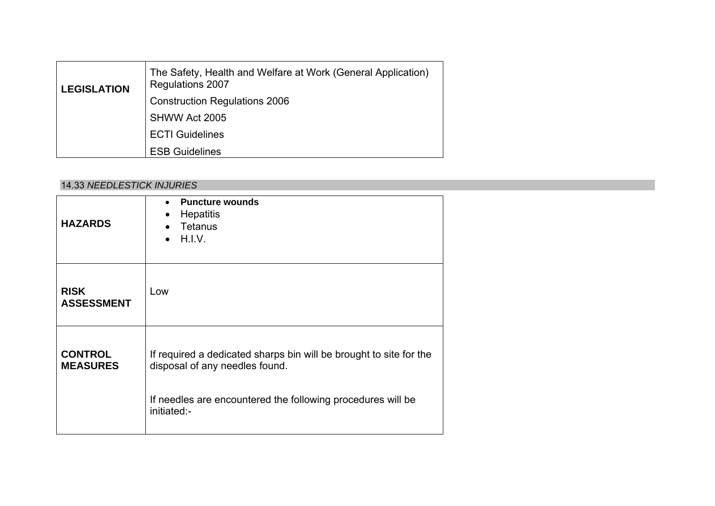| <b>LEGISLATION</b> | The Safety, Health and Welfare at Work (General Application)<br><b>Regulations 2007</b> |
|--------------------|-----------------------------------------------------------------------------------------|
|                    | <b>Construction Regulations 2006</b>                                                    |
|                    | SHWW Act 2005                                                                           |
|                    | <b>ECTI Guidelines</b>                                                                  |
|                    | <b>ESB Guidelines</b>                                                                   |

#### 14.33 *NEEDLESTICK INJURIES*

| <b>HAZARDS</b>                    | <b>Puncture wounds</b><br>$\bullet$<br><b>Hepatitis</b><br>$\bullet$<br>Tetanus<br>H.I.V.                                                                           |
|-----------------------------------|---------------------------------------------------------------------------------------------------------------------------------------------------------------------|
| <b>RISK</b><br><b>ASSESSMENT</b>  | Low                                                                                                                                                                 |
| <b>CONTROL</b><br><b>MEASURES</b> | If required a dedicated sharps bin will be brought to site for the<br>disposal of any needles found.<br>If needles are encountered the following procedures will be |
|                                   | initiated:-                                                                                                                                                         |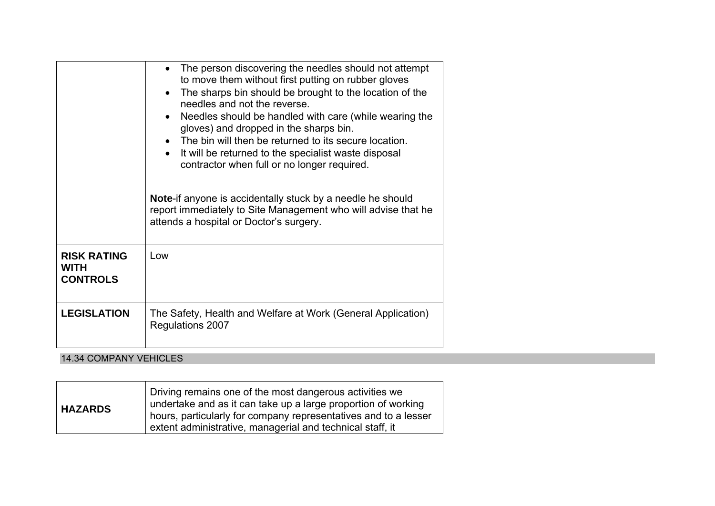|                                                      | The person discovering the needles should not attempt<br>$\bullet$<br>to move them without first putting on rubber gloves<br>The sharps bin should be brought to the location of the<br>$\bullet$<br>needles and not the reverse.<br>Needles should be handled with care (while wearing the<br>$\bullet$<br>gloves) and dropped in the sharps bin.<br>The bin will then be returned to its secure location.<br>It will be returned to the specialist waste disposal<br>$\bullet$<br>contractor when full or no longer required.<br><b>Note-if anyone is accidentally stuck by a needle he should</b><br>report immediately to Site Management who will advise that he<br>attends a hospital or Doctor's surgery. |
|------------------------------------------------------|------------------------------------------------------------------------------------------------------------------------------------------------------------------------------------------------------------------------------------------------------------------------------------------------------------------------------------------------------------------------------------------------------------------------------------------------------------------------------------------------------------------------------------------------------------------------------------------------------------------------------------------------------------------------------------------------------------------|
| <b>RISK RATING</b><br><b>WITH</b><br><b>CONTROLS</b> | Low                                                                                                                                                                                                                                                                                                                                                                                                                                                                                                                                                                                                                                                                                                              |
| <b>LEGISLATION</b>                                   | The Safety, Health and Welfare at Work (General Application)<br>Regulations 2007                                                                                                                                                                                                                                                                                                                                                                                                                                                                                                                                                                                                                                 |

## 14.34 COMPANY VEHICLES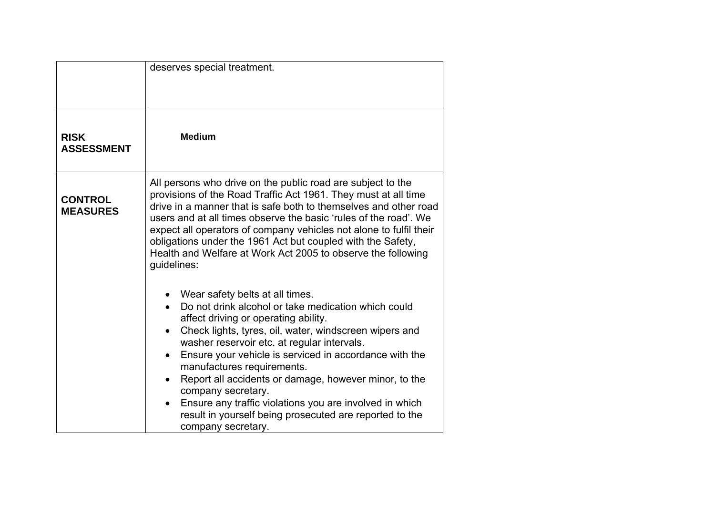|                                   | deserves special treatment.                                                                                                                                                                                                                                                                                                                                                                                                                                                                                                                                                                                                                                                                                                                                                                                                                                                                                 |
|-----------------------------------|-------------------------------------------------------------------------------------------------------------------------------------------------------------------------------------------------------------------------------------------------------------------------------------------------------------------------------------------------------------------------------------------------------------------------------------------------------------------------------------------------------------------------------------------------------------------------------------------------------------------------------------------------------------------------------------------------------------------------------------------------------------------------------------------------------------------------------------------------------------------------------------------------------------|
| <b>RISK</b><br><b>ASSESSMENT</b>  | <b>Medium</b>                                                                                                                                                                                                                                                                                                                                                                                                                                                                                                                                                                                                                                                                                                                                                                                                                                                                                               |
| <b>CONTROL</b><br><b>MEASURES</b> | All persons who drive on the public road are subject to the<br>provisions of the Road Traffic Act 1961. They must at all time<br>drive in a manner that is safe both to themselves and other road<br>users and at all times observe the basic 'rules of the road'. We<br>expect all operators of company vehicles not alone to fulfil their<br>obligations under the 1961 Act but coupled with the Safety,<br>Health and Welfare at Work Act 2005 to observe the following<br>guidelines:<br>Wear safety belts at all times.<br>Do not drink alcohol or take medication which could<br>affect driving or operating ability.<br>Check lights, tyres, oil, water, windscreen wipers and<br>washer reservoir etc. at regular intervals.<br>Ensure your vehicle is serviced in accordance with the<br>manufactures requirements.<br>Report all accidents or damage, however minor, to the<br>company secretary. |
|                                   | Ensure any traffic violations you are involved in which<br>$\bullet$<br>result in yourself being prosecuted are reported to the<br>company secretary.                                                                                                                                                                                                                                                                                                                                                                                                                                                                                                                                                                                                                                                                                                                                                       |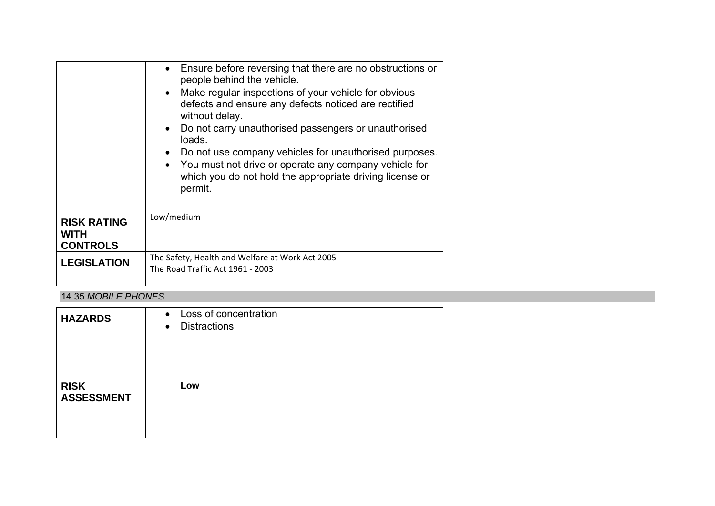|                                                      | Ensure before reversing that there are no obstructions or<br>$\bullet$<br>people behind the vehicle.<br>• Make regular inspections of your vehicle for obvious<br>defects and ensure any defects noticed are rectified<br>without delay.<br>Do not carry unauthorised passengers or unauthorised<br>$\bullet$<br>loads.<br>Do not use company vehicles for unauthorised purposes.<br>• You must not drive or operate any company vehicle for<br>which you do not hold the appropriate driving license or<br>permit. |
|------------------------------------------------------|---------------------------------------------------------------------------------------------------------------------------------------------------------------------------------------------------------------------------------------------------------------------------------------------------------------------------------------------------------------------------------------------------------------------------------------------------------------------------------------------------------------------|
| <b>RISK RATING</b><br><b>WITH</b><br><b>CONTROLS</b> | Low/medium                                                                                                                                                                                                                                                                                                                                                                                                                                                                                                          |
| <b>LEGISLATION</b>                                   | The Safety, Health and Welfare at Work Act 2005<br>The Road Traffic Act 1961 - 2003                                                                                                                                                                                                                                                                                                                                                                                                                                 |

#### 14.35 *MOBILE PHONES*

| <b>HAZARDS</b>                   | • Loss of concentration<br><b>Distractions</b><br>$\bullet$ |
|----------------------------------|-------------------------------------------------------------|
| <b>RISK</b><br><b>ASSESSMENT</b> | Low                                                         |
|                                  |                                                             |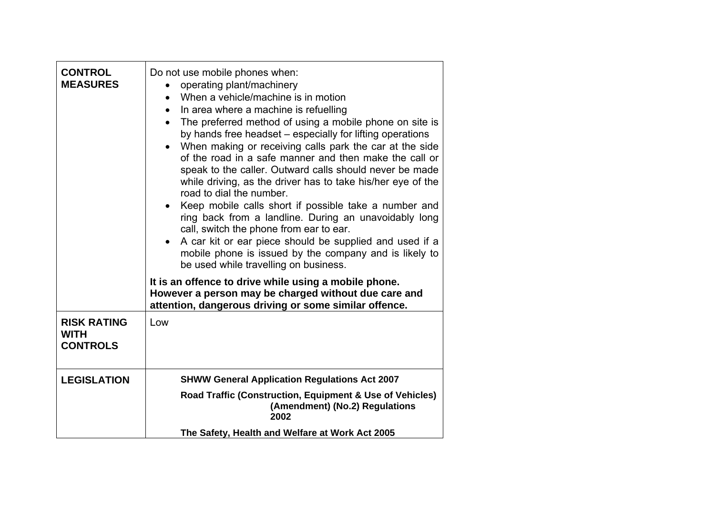| <b>CONTROL</b><br><b>MEASURES</b>                    | Do not use mobile phones when:<br>operating plant/machinery<br>When a vehicle/machine is in motion<br>In area where a machine is refuelling<br>$\bullet$<br>The preferred method of using a mobile phone on site is<br>$\bullet$<br>by hands free headset - especially for lifting operations<br>When making or receiving calls park the car at the side<br>$\bullet$<br>of the road in a safe manner and then make the call or<br>speak to the caller. Outward calls should never be made<br>while driving, as the driver has to take his/her eye of the<br>road to dial the number.<br>• Keep mobile calls short if possible take a number and<br>ring back from a landline. During an unavoidably long<br>call, switch the phone from ear to ear.<br>A car kit or ear piece should be supplied and used if a<br>$\bullet$<br>mobile phone is issued by the company and is likely to<br>be used while travelling on business. |
|------------------------------------------------------|---------------------------------------------------------------------------------------------------------------------------------------------------------------------------------------------------------------------------------------------------------------------------------------------------------------------------------------------------------------------------------------------------------------------------------------------------------------------------------------------------------------------------------------------------------------------------------------------------------------------------------------------------------------------------------------------------------------------------------------------------------------------------------------------------------------------------------------------------------------------------------------------------------------------------------|
|                                                      | It is an offence to drive while using a mobile phone.<br>However a person may be charged without due care and<br>attention, dangerous driving or some similar offence.                                                                                                                                                                                                                                                                                                                                                                                                                                                                                                                                                                                                                                                                                                                                                          |
| <b>RISK RATING</b><br><b>WITH</b><br><b>CONTROLS</b> | Low                                                                                                                                                                                                                                                                                                                                                                                                                                                                                                                                                                                                                                                                                                                                                                                                                                                                                                                             |
| <b>LEGISLATION</b>                                   | <b>SHWW General Application Regulations Act 2007</b>                                                                                                                                                                                                                                                                                                                                                                                                                                                                                                                                                                                                                                                                                                                                                                                                                                                                            |
|                                                      | Road Traffic (Construction, Equipment & Use of Vehicles)<br>(Amendment) (No.2) Regulations<br>2002                                                                                                                                                                                                                                                                                                                                                                                                                                                                                                                                                                                                                                                                                                                                                                                                                              |
|                                                      | The Safety, Health and Welfare at Work Act 2005                                                                                                                                                                                                                                                                                                                                                                                                                                                                                                                                                                                                                                                                                                                                                                                                                                                                                 |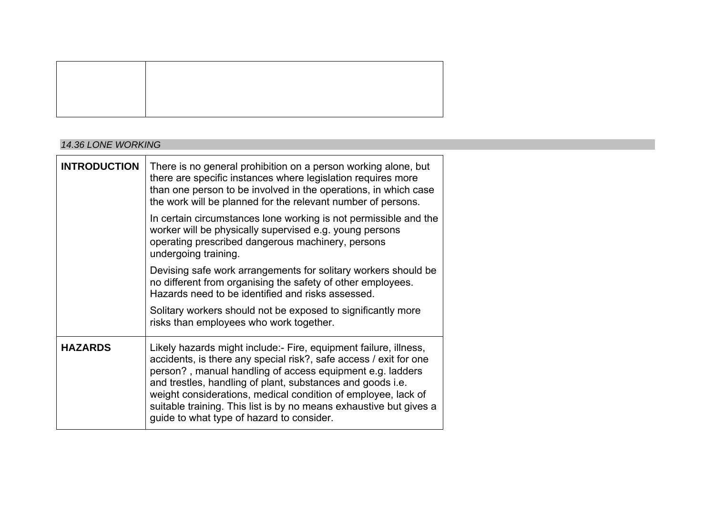#### *14.36 LONE WORKING*

| <b>INTRODUCTION</b> | There is no general prohibition on a person working alone, but<br>there are specific instances where legislation requires more<br>than one person to be involved in the operations, in which case<br>the work will be planned for the relevant number of persons.                                                                                                                                                                                    |
|---------------------|------------------------------------------------------------------------------------------------------------------------------------------------------------------------------------------------------------------------------------------------------------------------------------------------------------------------------------------------------------------------------------------------------------------------------------------------------|
|                     | In certain circumstances lone working is not permissible and the<br>worker will be physically supervised e.g. young persons<br>operating prescribed dangerous machinery, persons<br>undergoing training.                                                                                                                                                                                                                                             |
|                     | Devising safe work arrangements for solitary workers should be<br>no different from organising the safety of other employees.<br>Hazards need to be identified and risks assessed.                                                                                                                                                                                                                                                                   |
|                     | Solitary workers should not be exposed to significantly more<br>risks than employees who work together.                                                                                                                                                                                                                                                                                                                                              |
| <b>HAZARDS</b>      | Likely hazards might include:- Fire, equipment failure, illness,<br>accidents, is there any special risk?, safe access / exit for one<br>person?, manual handling of access equipment e.g. ladders<br>and trestles, handling of plant, substances and goods i.e.<br>weight considerations, medical condition of employee, lack of<br>suitable training. This list is by no means exhaustive but gives a<br>guide to what type of hazard to consider. |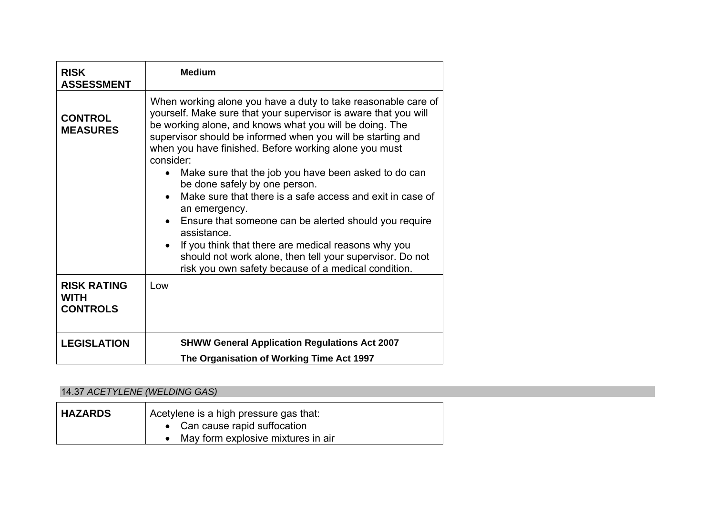| <b>RISK</b><br><b>ASSESSMENT</b>                     | <b>Medium</b>                                                                                                                                                                                                                                                                                                                                                                                                                                                                                                                                                                                                                                                                                                                                                                                    |
|------------------------------------------------------|--------------------------------------------------------------------------------------------------------------------------------------------------------------------------------------------------------------------------------------------------------------------------------------------------------------------------------------------------------------------------------------------------------------------------------------------------------------------------------------------------------------------------------------------------------------------------------------------------------------------------------------------------------------------------------------------------------------------------------------------------------------------------------------------------|
| <b>CONTROL</b><br><b>MEASURES</b>                    | When working alone you have a duty to take reasonable care of<br>yourself. Make sure that your supervisor is aware that you will<br>be working alone, and knows what you will be doing. The<br>supervisor should be informed when you will be starting and<br>when you have finished. Before working alone you must<br>consider:<br>Make sure that the job you have been asked to do can<br>$\bullet$<br>be done safely by one person.<br>Make sure that there is a safe access and exit in case of<br>$\bullet$<br>an emergency.<br>Ensure that someone can be alerted should you require<br>$\bullet$<br>assistance.<br>If you think that there are medical reasons why you<br>should not work alone, then tell your supervisor. Do not<br>risk you own safety because of a medical condition. |
| <b>RISK RATING</b><br><b>WITH</b><br><b>CONTROLS</b> | Low                                                                                                                                                                                                                                                                                                                                                                                                                                                                                                                                                                                                                                                                                                                                                                                              |
| <b>LEGISLATION</b>                                   | <b>SHWW General Application Regulations Act 2007</b><br>The Organisation of Working Time Act 1997                                                                                                                                                                                                                                                                                                                                                                                                                                                                                                                                                                                                                                                                                                |

# 14.37 *ACETYLENE (WELDING GAS)*

| <b>HAZARDS</b> | Acetylene is a high pressure gas that: |
|----------------|----------------------------------------|
|                | • Can cause rapid suffocation          |
|                | May form explosive mixtures in air     |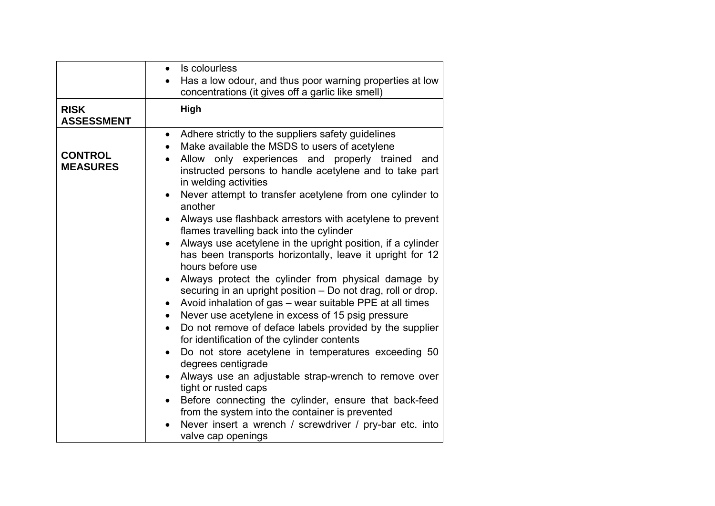| Has a low odour, and thus poor warning properties at low<br>concentrations (it gives off a garlic like smell)<br><b>RISK</b><br><b>High</b><br><b>ASSESSMENT</b><br>Adhere strictly to the suppliers safety guidelines<br>$\bullet$<br>Make available the MSDS to users of acetylene<br><b>CONTROL</b><br>Allow only experiences and properly trained<br>and<br><b>MEASURES</b><br>instructed persons to handle acetylene and to take part<br>in welding activities<br>Never attempt to transfer acetylene from one cylinder to<br>another<br>Always use flashback arrestors with acetylene to prevent<br>flames travelling back into the cylinder<br>Always use acetylene in the upright position, if a cylinder<br>$\bullet$<br>has been transports horizontally, leave it upright for 12<br>hours before use<br>Always protect the cylinder from physical damage by<br>$\bullet$<br>securing in an upright position - Do not drag, roll or drop.<br>Avoid inhalation of gas - wear suitable PPE at all times<br>Never use acetylene in excess of 15 psig pressure<br>$\bullet$<br>Do not remove of deface labels provided by the supplier<br>for identification of the cylinder contents<br>Do not store acetylene in temperatures exceeding 50<br>$\bullet$<br>degrees centigrade<br>Always use an adjustable strap-wrench to remove over<br>tight or rusted caps<br>Before connecting the cylinder, ensure that back-feed<br>from the system into the container is prevented<br>Never insert a wrench / screwdriver / pry-bar etc. into | Is colourless<br>$\bullet$ |
|----------------------------------------------------------------------------------------------------------------------------------------------------------------------------------------------------------------------------------------------------------------------------------------------------------------------------------------------------------------------------------------------------------------------------------------------------------------------------------------------------------------------------------------------------------------------------------------------------------------------------------------------------------------------------------------------------------------------------------------------------------------------------------------------------------------------------------------------------------------------------------------------------------------------------------------------------------------------------------------------------------------------------------------------------------------------------------------------------------------------------------------------------------------------------------------------------------------------------------------------------------------------------------------------------------------------------------------------------------------------------------------------------------------------------------------------------------------------------------------------------------------------------------------------|----------------------------|
|                                                                                                                                                                                                                                                                                                                                                                                                                                                                                                                                                                                                                                                                                                                                                                                                                                                                                                                                                                                                                                                                                                                                                                                                                                                                                                                                                                                                                                                                                                                                              |                            |
|                                                                                                                                                                                                                                                                                                                                                                                                                                                                                                                                                                                                                                                                                                                                                                                                                                                                                                                                                                                                                                                                                                                                                                                                                                                                                                                                                                                                                                                                                                                                              |                            |
|                                                                                                                                                                                                                                                                                                                                                                                                                                                                                                                                                                                                                                                                                                                                                                                                                                                                                                                                                                                                                                                                                                                                                                                                                                                                                                                                                                                                                                                                                                                                              |                            |
|                                                                                                                                                                                                                                                                                                                                                                                                                                                                                                                                                                                                                                                                                                                                                                                                                                                                                                                                                                                                                                                                                                                                                                                                                                                                                                                                                                                                                                                                                                                                              | valve cap openings         |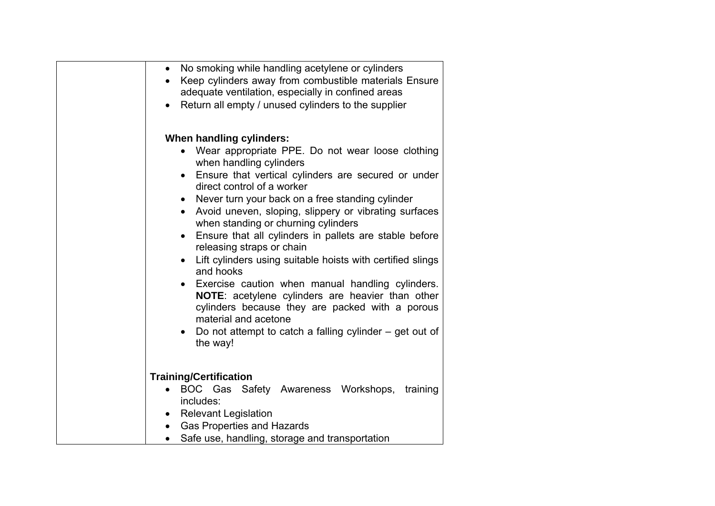| No smoking while handling acetylene or cylinders<br>$\bullet$                     |  |
|-----------------------------------------------------------------------------------|--|
| Keep cylinders away from combustible materials Ensure<br>$\bullet$                |  |
| adequate ventilation, especially in confined areas                                |  |
| Return all empty / unused cylinders to the supplier<br>$\bullet$                  |  |
|                                                                                   |  |
| When handling cylinders:                                                          |  |
| Wear appropriate PPE. Do not wear loose clothing<br>when handling cylinders       |  |
| Ensure that vertical cylinders are secured or under<br>direct control of a worker |  |
| Never turn your back on a free standing cylinder<br>$\bullet$                     |  |
| Avoid uneven, sloping, slippery or vibrating surfaces                             |  |
| when standing or churning cylinders                                               |  |
| Ensure that all cylinders in pallets are stable before<br>$\bullet$               |  |
| releasing straps or chain                                                         |  |
| Lift cylinders using suitable hoists with certified slings<br>and hooks           |  |
| Exercise caution when manual handling cylinders.                                  |  |
| NOTE: acetylene cylinders are heavier than other                                  |  |
| cylinders because they are packed with a porous                                   |  |
| material and acetone                                                              |  |
| Do not attempt to catch a falling cylinder $-$ get out of<br>the way!             |  |
|                                                                                   |  |
|                                                                                   |  |
| <b>Training/Certification</b>                                                     |  |
| BOC Gas<br>Safety Awareness Workshops, training<br>includes:                      |  |
| <b>Relevant Legislation</b><br>$\bullet$                                          |  |
| <b>Gas Properties and Hazards</b><br>$\bullet$                                    |  |
| Safe use, handling, storage and transportation                                    |  |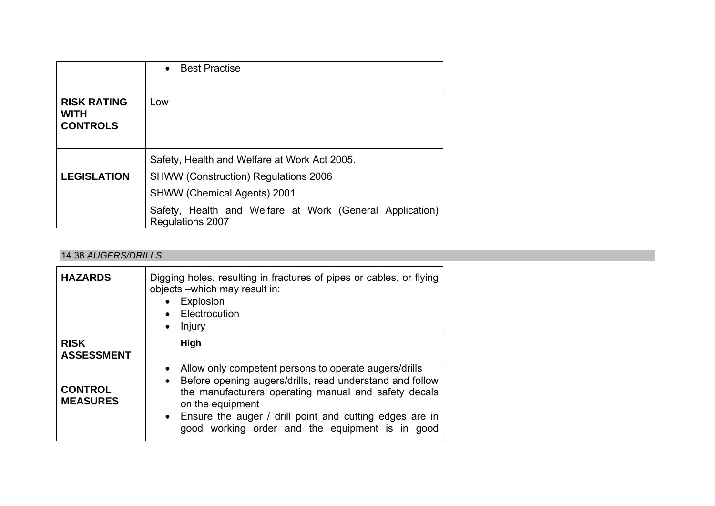|                                                      | <b>Best Practise</b><br>$\bullet$                                                                                                 |
|------------------------------------------------------|-----------------------------------------------------------------------------------------------------------------------------------|
| <b>RISK RATING</b><br><b>WITH</b><br><b>CONTROLS</b> | Low                                                                                                                               |
| <b>LEGISLATION</b>                                   | Safety, Health and Welfare at Work Act 2005.<br><b>SHWW (Construction) Regulations 2006</b><br><b>SHWW (Chemical Agents) 2001</b> |
|                                                      | Safety, Health and Welfare at Work (General Application)<br><b>Regulations 2007</b>                                               |

### 14.38 *AUGERS/DRILLS*

| <b>HAZARDS</b>                    | Digging holes, resulting in fractures of pipes or cables, or flying<br>objects - which may result in:<br>• Explosion<br>Electrocution<br>Injury<br>$\bullet$                                                                                                                                                                            |
|-----------------------------------|-----------------------------------------------------------------------------------------------------------------------------------------------------------------------------------------------------------------------------------------------------------------------------------------------------------------------------------------|
| <b>RISK</b><br><b>ASSESSMENT</b>  | High                                                                                                                                                                                                                                                                                                                                    |
| <b>CONTROL</b><br><b>MEASURES</b> | Allow only competent persons to operate augers/drills<br>$\bullet$<br>Before opening augers/drills, read understand and follow<br>$\bullet$<br>the manufacturers operating manual and safety decals<br>on the equipment<br>• Ensure the auger / drill point and cutting edges are in<br>good working order and the equipment is in good |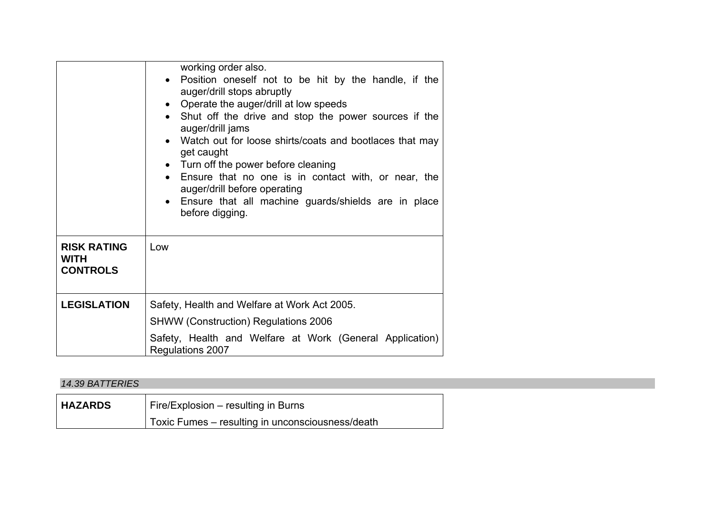|                                                      | working order also.<br>• Position oneself not to be hit by the handle, if the<br>auger/drill stops abruptly<br>• Operate the auger/drill at low speeds<br>• Shut off the drive and stop the power sources if the<br>auger/drill jams<br>• Watch out for loose shirts/coats and bootlaces that may<br>get caught<br>• Turn off the power before cleaning<br>Ensure that no one is in contact with, or near, the<br>auger/drill before operating<br>Ensure that all machine guards/shields are in place<br>before digging. |
|------------------------------------------------------|--------------------------------------------------------------------------------------------------------------------------------------------------------------------------------------------------------------------------------------------------------------------------------------------------------------------------------------------------------------------------------------------------------------------------------------------------------------------------------------------------------------------------|
| <b>RISK RATING</b><br><b>WITH</b><br><b>CONTROLS</b> | Low                                                                                                                                                                                                                                                                                                                                                                                                                                                                                                                      |
| <b>LEGISLATION</b>                                   | Safety, Health and Welfare at Work Act 2005.                                                                                                                                                                                                                                                                                                                                                                                                                                                                             |
|                                                      | <b>SHWW (Construction) Regulations 2006</b>                                                                                                                                                                                                                                                                                                                                                                                                                                                                              |
|                                                      | Safety, Health and Welfare at Work (General Application)<br>Regulations 2007                                                                                                                                                                                                                                                                                                                                                                                                                                             |

### *14.39 BATTERIES*

| <b>HAZARDS</b> | Fire/Explosion – resulting in Burns              |
|----------------|--------------------------------------------------|
|                | Toxic Fumes – resulting in unconsciousness/death |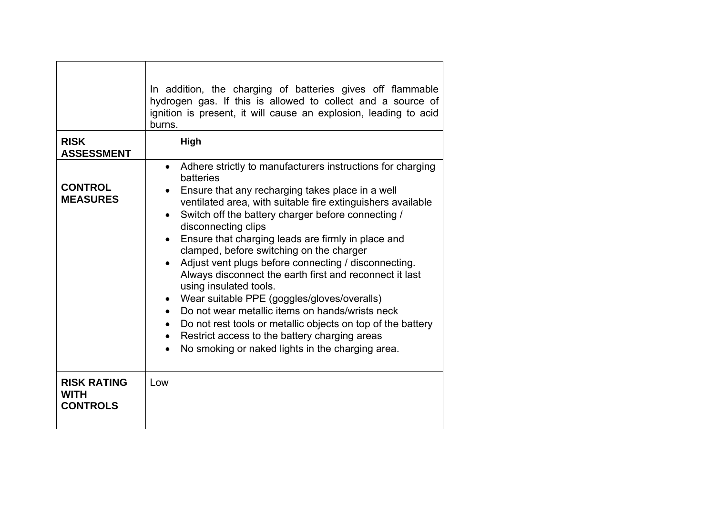|                                                      | In addition, the charging of batteries gives off flammable<br>hydrogen gas. If this is allowed to collect and a source of<br>ignition is present, it will cause an explosion, leading to acid<br>burns.                                                                                                                                                                                                                                                                                                                                                                                                                                                                                                                                                                                                                                          |
|------------------------------------------------------|--------------------------------------------------------------------------------------------------------------------------------------------------------------------------------------------------------------------------------------------------------------------------------------------------------------------------------------------------------------------------------------------------------------------------------------------------------------------------------------------------------------------------------------------------------------------------------------------------------------------------------------------------------------------------------------------------------------------------------------------------------------------------------------------------------------------------------------------------|
| <b>RISK</b><br><b>ASSESSMENT</b>                     | High                                                                                                                                                                                                                                                                                                                                                                                                                                                                                                                                                                                                                                                                                                                                                                                                                                             |
| <b>CONTROL</b><br><b>MEASURES</b>                    | Adhere strictly to manufacturers instructions for charging<br>$\bullet$<br>batteries<br>Ensure that any recharging takes place in a well<br>ventilated area, with suitable fire extinguishers available<br>Switch off the battery charger before connecting /<br>$\bullet$<br>disconnecting clips<br>Ensure that charging leads are firmly in place and<br>clamped, before switching on the charger<br>Adjust vent plugs before connecting / disconnecting.<br>Always disconnect the earth first and reconnect it last<br>using insulated tools.<br>Wear suitable PPE (goggles/gloves/overalls)<br>$\bullet$<br>Do not wear metallic items on hands/wrists neck<br>$\bullet$<br>Do not rest tools or metallic objects on top of the battery<br>Restrict access to the battery charging areas<br>No smoking or naked lights in the charging area. |
| <b>RISK RATING</b><br><b>WITH</b><br><b>CONTROLS</b> | Low                                                                                                                                                                                                                                                                                                                                                                                                                                                                                                                                                                                                                                                                                                                                                                                                                                              |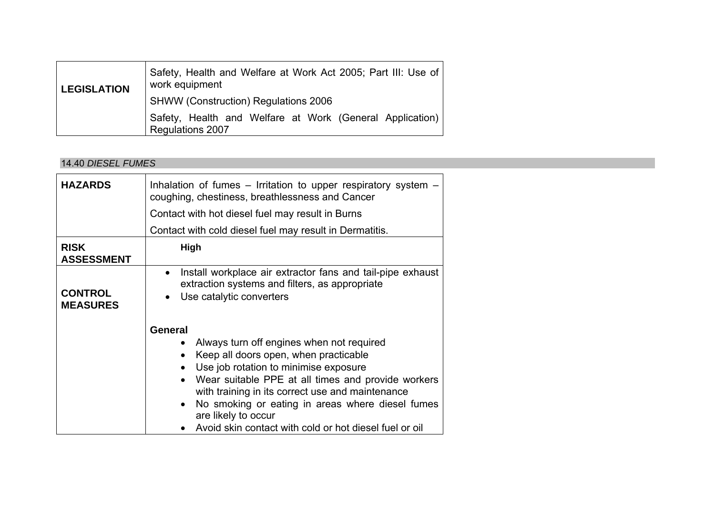| <b>LEGISLATION</b> | Safety, Health and Welfare at Work Act 2005; Part III: Use of<br>work equipment |
|--------------------|---------------------------------------------------------------------------------|
|                    | <b>SHWW (Construction) Regulations 2006</b>                                     |
|                    | Safety, Health and Welfare at Work (General Application)<br>Regulations 2007    |

#### 14.40 *DIESEL FUMES*

| <b>HAZARDS</b>                    | Inhalation of fumes $-$ Irritation to upper respiratory system $-$<br>coughing, chestiness, breathlessness and Cancer                                                                                                                                                                                                                                                                                                                                         |  |  |  |  |  |  |  |
|-----------------------------------|---------------------------------------------------------------------------------------------------------------------------------------------------------------------------------------------------------------------------------------------------------------------------------------------------------------------------------------------------------------------------------------------------------------------------------------------------------------|--|--|--|--|--|--|--|
|                                   | Contact with hot diesel fuel may result in Burns                                                                                                                                                                                                                                                                                                                                                                                                              |  |  |  |  |  |  |  |
|                                   | Contact with cold diesel fuel may result in Dermatitis.                                                                                                                                                                                                                                                                                                                                                                                                       |  |  |  |  |  |  |  |
| <b>RISK</b><br><b>ASSESSMENT</b>  | High                                                                                                                                                                                                                                                                                                                                                                                                                                                          |  |  |  |  |  |  |  |
| <b>CONTROL</b><br><b>MEASURES</b> | Install workplace air extractor fans and tail-pipe exhaust<br>$\bullet$<br>extraction systems and filters, as appropriate<br>Use catalytic converters                                                                                                                                                                                                                                                                                                         |  |  |  |  |  |  |  |
|                                   | <b>General</b><br>Always turn off engines when not required<br>$\bullet$<br>Keep all doors open, when practicable<br>$\bullet$<br>Use job rotation to minimise exposure<br>$\bullet$<br>Wear suitable PPE at all times and provide workers<br>$\bullet$<br>with training in its correct use and maintenance<br>No smoking or eating in areas where diesel fumes<br>$\bullet$<br>are likely to occur<br>Avoid skin contact with cold or hot diesel fuel or oil |  |  |  |  |  |  |  |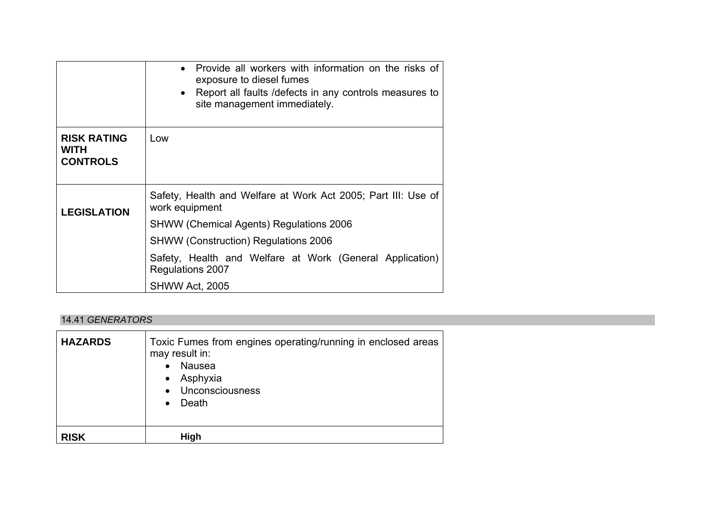|                                                      | Provide all workers with information on the risks of<br>$\bullet$<br>exposure to diesel fumes<br>Report all faults / defects in any controls measures to<br>$\bullet$<br>site management immediately. |  |  |  |  |  |
|------------------------------------------------------|-------------------------------------------------------------------------------------------------------------------------------------------------------------------------------------------------------|--|--|--|--|--|
| <b>RISK RATING</b><br><b>WITH</b><br><b>CONTROLS</b> | Low                                                                                                                                                                                                   |  |  |  |  |  |
| <b>LEGISLATION</b>                                   | Safety, Health and Welfare at Work Act 2005; Part III: Use of<br>work equipment                                                                                                                       |  |  |  |  |  |
|                                                      | <b>SHWW (Chemical Agents) Regulations 2006</b>                                                                                                                                                        |  |  |  |  |  |
|                                                      | <b>SHWW (Construction) Regulations 2006</b>                                                                                                                                                           |  |  |  |  |  |
|                                                      | Safety, Health and Welfare at Work (General Application)<br>Regulations 2007                                                                                                                          |  |  |  |  |  |
|                                                      | SHWW Act, 2005                                                                                                                                                                                        |  |  |  |  |  |

#### 14.41 *GENERATORS*

| <b>HAZARDS</b> | Toxic Fumes from engines operating/running in enclosed areas<br>may result in:<br>Nausea<br>$\bullet$<br>• Asphyxia<br>• Unconsciousness<br>Death<br>$\bullet$ |
|----------------|----------------------------------------------------------------------------------------------------------------------------------------------------------------|
| <b>RISK</b>    | <b>High</b>                                                                                                                                                    |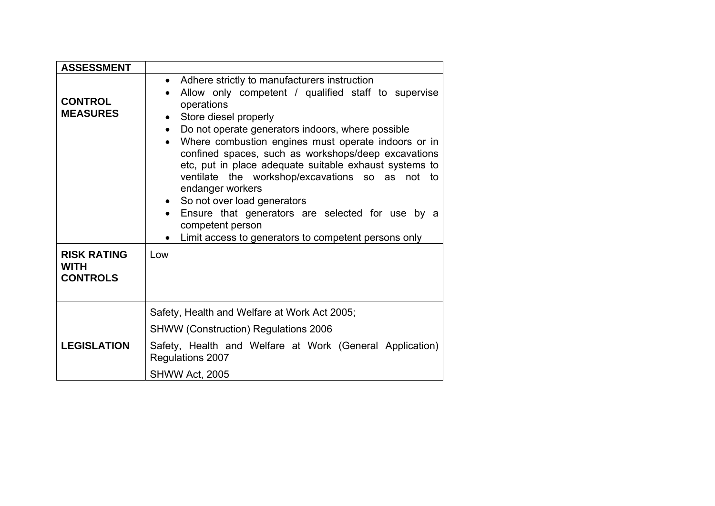| <b>ASSESSMENT</b>                                    |                                                                                                                                                                                                                                                                                                                                                                                                                                                                                                                                                                                                                                                          |
|------------------------------------------------------|----------------------------------------------------------------------------------------------------------------------------------------------------------------------------------------------------------------------------------------------------------------------------------------------------------------------------------------------------------------------------------------------------------------------------------------------------------------------------------------------------------------------------------------------------------------------------------------------------------------------------------------------------------|
| <b>CONTROL</b><br><b>MEASURES</b>                    | • Adhere strictly to manufacturers instruction<br>Allow only competent / qualified staff to supervise<br>$\bullet$<br>operations<br>Store diesel properly<br>$\bullet$<br>Do not operate generators indoors, where possible<br>$\bullet$<br>Where combustion engines must operate indoors or in<br>confined spaces, such as workshops/deep excavations<br>etc, put in place adequate suitable exhaust systems to<br>ventilate the workshop/excavations so as not to<br>endanger workers<br>• So not over load generators<br>Ensure that generators are selected for use by a<br>competent person<br>Limit access to generators to competent persons only |
| <b>RISK RATING</b><br><b>WITH</b><br><b>CONTROLS</b> | Low                                                                                                                                                                                                                                                                                                                                                                                                                                                                                                                                                                                                                                                      |
|                                                      | Safety, Health and Welfare at Work Act 2005;                                                                                                                                                                                                                                                                                                                                                                                                                                                                                                                                                                                                             |
|                                                      | <b>SHWW (Construction) Regulations 2006</b>                                                                                                                                                                                                                                                                                                                                                                                                                                                                                                                                                                                                              |
| <b>LEGISLATION</b>                                   | Safety, Health and Welfare at Work (General Application)<br>Regulations 2007                                                                                                                                                                                                                                                                                                                                                                                                                                                                                                                                                                             |
|                                                      | SHWW Act, 2005                                                                                                                                                                                                                                                                                                                                                                                                                                                                                                                                                                                                                                           |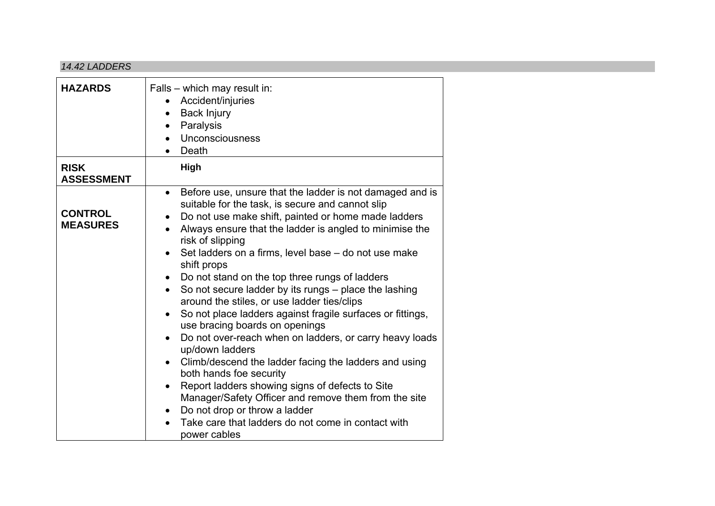#### *14.42 LADDERS*

| <b>HAZARDS</b>                    | Falls – which may result in:<br>Accident/injuries<br><b>Back Injury</b><br>$\bullet$<br>Paralysis<br>$\bullet$<br>Unconsciousness<br>$\bullet$<br>Death                                                                                                                                                                                                                                                                                                                                                                                                                                                                                                                                                                                                                                                                                                                                                                                                                                                                                                                                      |
|-----------------------------------|----------------------------------------------------------------------------------------------------------------------------------------------------------------------------------------------------------------------------------------------------------------------------------------------------------------------------------------------------------------------------------------------------------------------------------------------------------------------------------------------------------------------------------------------------------------------------------------------------------------------------------------------------------------------------------------------------------------------------------------------------------------------------------------------------------------------------------------------------------------------------------------------------------------------------------------------------------------------------------------------------------------------------------------------------------------------------------------------|
| <b>RISK</b><br><b>ASSESSMENT</b>  | High                                                                                                                                                                                                                                                                                                                                                                                                                                                                                                                                                                                                                                                                                                                                                                                                                                                                                                                                                                                                                                                                                         |
| <b>CONTROL</b><br><b>MEASURES</b> | Before use, unsure that the ladder is not damaged and is<br>$\bullet$<br>suitable for the task, is secure and cannot slip<br>Do not use make shift, painted or home made ladders<br>$\bullet$<br>Always ensure that the ladder is angled to minimise the<br>$\bullet$<br>risk of slipping<br>Set ladders on a firms, level base – do not use make<br>shift props<br>Do not stand on the top three rungs of ladders<br>$\bullet$<br>So not secure ladder by its rungs - place the lashing<br>$\bullet$<br>around the stiles, or use ladder ties/clips<br>So not place ladders against fragile surfaces or fittings,<br>$\bullet$<br>use bracing boards on openings<br>Do not over-reach when on ladders, or carry heavy loads<br>$\bullet$<br>up/down ladders<br>Climb/descend the ladder facing the ladders and using<br>$\bullet$<br>both hands foe security<br>Report ladders showing signs of defects to Site<br>$\bullet$<br>Manager/Safety Officer and remove them from the site<br>Do not drop or throw a ladder<br>Take care that ladders do not come in contact with<br>power cables |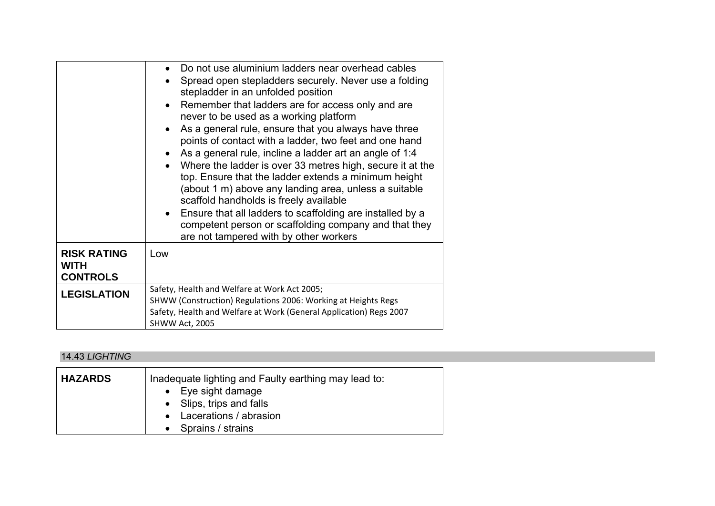|                                                      | • Do not use aluminium ladders near overhead cables<br>Spread open stepladders securely. Never use a folding<br>stepladder in an unfolded position<br>• Remember that ladders are for access only and are<br>never to be used as a working platform<br>As a general rule, ensure that you always have three<br>points of contact with a ladder, two feet and one hand<br>As a general rule, incline a ladder art an angle of 1:4<br>Where the ladder is over 33 metres high, secure it at the<br>top. Ensure that the ladder extends a minimum height<br>(about 1 m) above any landing area, unless a suitable<br>scaffold handholds is freely available<br>Ensure that all ladders to scaffolding are installed by a<br>$\bullet$<br>competent person or scaffolding company and that they<br>are not tampered with by other workers |
|------------------------------------------------------|---------------------------------------------------------------------------------------------------------------------------------------------------------------------------------------------------------------------------------------------------------------------------------------------------------------------------------------------------------------------------------------------------------------------------------------------------------------------------------------------------------------------------------------------------------------------------------------------------------------------------------------------------------------------------------------------------------------------------------------------------------------------------------------------------------------------------------------|
| <b>RISK RATING</b><br><b>WITH</b><br><b>CONTROLS</b> | Low                                                                                                                                                                                                                                                                                                                                                                                                                                                                                                                                                                                                                                                                                                                                                                                                                                   |
| <b>LEGISLATION</b>                                   | Safety, Health and Welfare at Work Act 2005;<br>SHWW (Construction) Regulations 2006: Working at Heights Regs<br>Safety, Health and Welfare at Work (General Application) Regs 2007<br>SHWW Act, 2005                                                                                                                                                                                                                                                                                                                                                                                                                                                                                                                                                                                                                                 |

#### 14.43 *LIGHTING*

| <b>HAZARDS</b> | Inadequate lighting and Faulty earthing may lead to:<br>$\bullet$ Eye sight damage<br>• Slips, trips and falls |
|----------------|----------------------------------------------------------------------------------------------------------------|
|                | • Lacerations / abrasion                                                                                       |
|                | • Sprains / strains                                                                                            |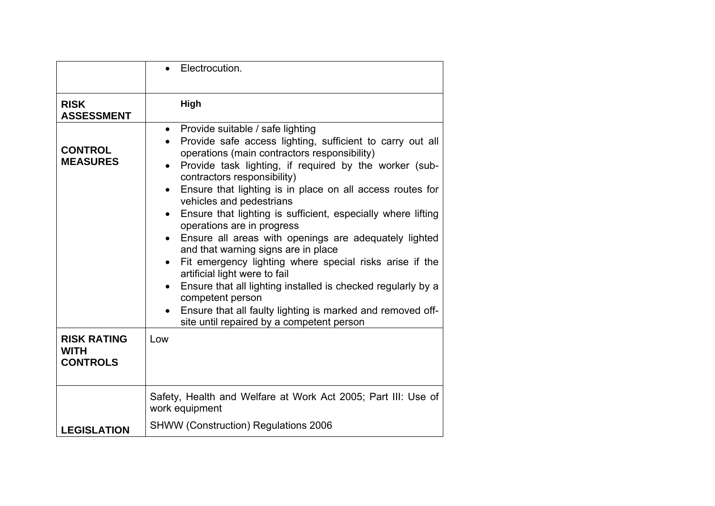|                                                      | Electrocution.                                                                                                                                                                                                                                                                                                                                                                                                                                                                                                                                                                                                                                                                                                                                                                                                                                                                              |
|------------------------------------------------------|---------------------------------------------------------------------------------------------------------------------------------------------------------------------------------------------------------------------------------------------------------------------------------------------------------------------------------------------------------------------------------------------------------------------------------------------------------------------------------------------------------------------------------------------------------------------------------------------------------------------------------------------------------------------------------------------------------------------------------------------------------------------------------------------------------------------------------------------------------------------------------------------|
| <b>RISK</b><br><b>ASSESSMENT</b>                     | High                                                                                                                                                                                                                                                                                                                                                                                                                                                                                                                                                                                                                                                                                                                                                                                                                                                                                        |
| <b>CONTROL</b><br><b>MEASURES</b>                    | • Provide suitable / safe lighting<br>Provide safe access lighting, sufficient to carry out all<br>operations (main contractors responsibility)<br>Provide task lighting, if required by the worker (sub-<br>$\bullet$<br>contractors responsibility)<br>Ensure that lighting is in place on all access routes for<br>$\bullet$<br>vehicles and pedestrians<br>Ensure that lighting is sufficient, especially where lifting<br>$\bullet$<br>operations are in progress<br>Ensure all areas with openings are adequately lighted<br>$\bullet$<br>and that warning signs are in place<br>Fit emergency lighting where special risks arise if the<br>artificial light were to fail<br>Ensure that all lighting installed is checked regularly by a<br>$\bullet$<br>competent person<br>Ensure that all faulty lighting is marked and removed off-<br>site until repaired by a competent person |
| <b>RISK RATING</b><br><b>WITH</b><br><b>CONTROLS</b> | Low                                                                                                                                                                                                                                                                                                                                                                                                                                                                                                                                                                                                                                                                                                                                                                                                                                                                                         |
|                                                      | Safety, Health and Welfare at Work Act 2005; Part III: Use of<br>work equipment                                                                                                                                                                                                                                                                                                                                                                                                                                                                                                                                                                                                                                                                                                                                                                                                             |
| <b>LEGISLATION</b>                                   | <b>SHWW (Construction) Regulations 2006</b>                                                                                                                                                                                                                                                                                                                                                                                                                                                                                                                                                                                                                                                                                                                                                                                                                                                 |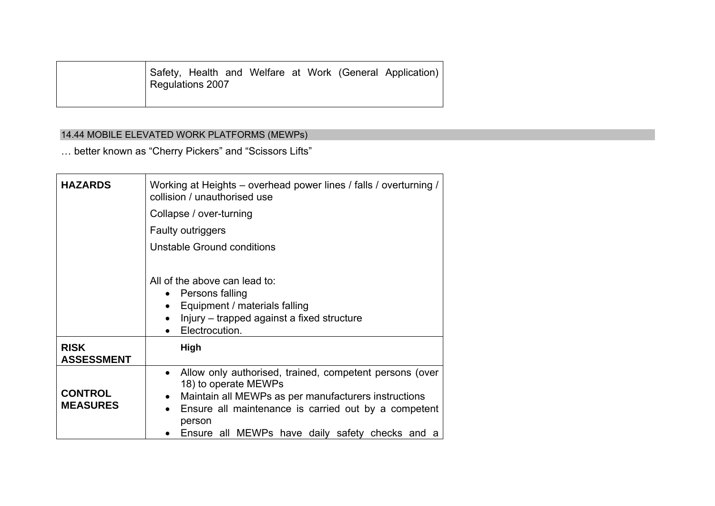| Regulations 2007 |  |  |  | Safety, Health and Welfare at Work (General Application) |
|------------------|--|--|--|----------------------------------------------------------|
|                  |  |  |  |                                                          |

## 14.44 MOBILE ELEVATED WORK PLATFORMS (MEWPs)

… better known as "Cherry Pickers" and "Scissors Lifts"

| <b>HAZARDS</b>                    | Working at Heights – overhead power lines / falls / overturning /<br>collision / unauthorised use<br>Collapse / over-turning<br><b>Faulty outriggers</b><br>Unstable Ground conditions                                                                                                              |  |  |  |  |  |  |
|-----------------------------------|-----------------------------------------------------------------------------------------------------------------------------------------------------------------------------------------------------------------------------------------------------------------------------------------------------|--|--|--|--|--|--|
|                                   | All of the above can lead to:<br>Persons falling<br>$\bullet$<br>• Equipment / materials falling<br>Injury – trapped against a fixed structure<br>$\bullet$<br>Electrocution.                                                                                                                       |  |  |  |  |  |  |
| <b>RISK</b><br><b>ASSESSMENT</b>  | High                                                                                                                                                                                                                                                                                                |  |  |  |  |  |  |
| <b>CONTROL</b><br><b>MEASURES</b> | Allow only authorised, trained, competent persons (over<br>$\bullet$<br>18) to operate MEWPs<br>Maintain all MEWPs as per manufacturers instructions<br>$\bullet$<br>Ensure all maintenance is carried out by a competent<br>$\bullet$<br>person<br>Ensure all MEWPs have daily safety checks and a |  |  |  |  |  |  |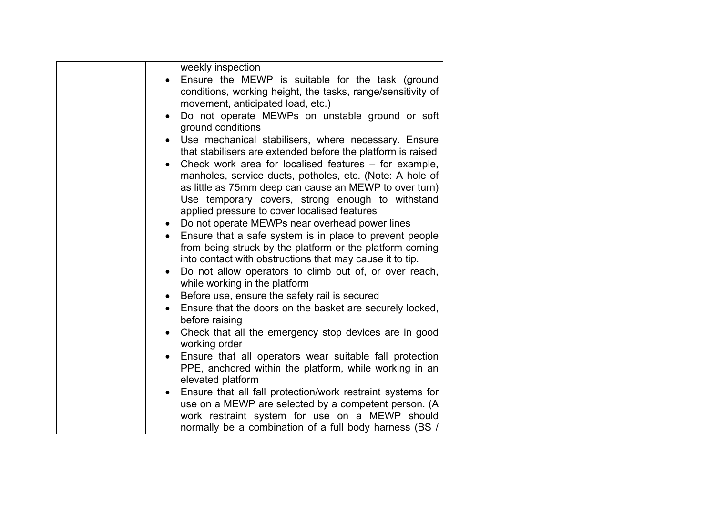| weekly inspection<br>Ensure the MEWP is suitable for the task (ground<br>conditions, working height, the tasks, range/sensitivity of<br>movement, anticipated load, etc.)<br>Do not operate MEWPs on unstable ground or soft<br>$\bullet$<br>ground conditions<br>Use mechanical stabilisers, where necessary. Ensure<br>that stabilisers are extended before the platform is raised<br>Check work area for localised features - for example,<br>manholes, service ducts, potholes, etc. (Note: A hole of<br>as little as 75mm deep can cause an MEWP to over turn)<br>Use temporary covers, strong enough to withstand<br>applied pressure to cover localised features<br>Do not operate MEWPs near overhead power lines<br>$\bullet$<br>Ensure that a safe system is in place to prevent people<br>from being struck by the platform or the platform coming<br>into contact with obstructions that may cause it to tip.<br>Do not allow operators to climb out of, or over reach,<br>$\bullet$<br>while working in the platform<br>Before use, ensure the safety rail is secured<br>$\bullet$<br>Ensure that the doors on the basket are securely locked,<br>$\bullet$<br>before raising<br>Check that all the emergency stop devices are in good<br>$\bullet$<br>working order<br>Ensure that all operators wear suitable fall protection<br>PPE, anchored within the platform, while working in an<br>elevated platform<br>Ensure that all fall protection/work restraint systems for |
|-------------------------------------------------------------------------------------------------------------------------------------------------------------------------------------------------------------------------------------------------------------------------------------------------------------------------------------------------------------------------------------------------------------------------------------------------------------------------------------------------------------------------------------------------------------------------------------------------------------------------------------------------------------------------------------------------------------------------------------------------------------------------------------------------------------------------------------------------------------------------------------------------------------------------------------------------------------------------------------------------------------------------------------------------------------------------------------------------------------------------------------------------------------------------------------------------------------------------------------------------------------------------------------------------------------------------------------------------------------------------------------------------------------------------------------------------------------------------------------------|
| use on a MEWP are selected by a competent person. (A<br>work restraint system for use on a MEWP should<br>normally be a combination of a full body harness (BS /                                                                                                                                                                                                                                                                                                                                                                                                                                                                                                                                                                                                                                                                                                                                                                                                                                                                                                                                                                                                                                                                                                                                                                                                                                                                                                                          |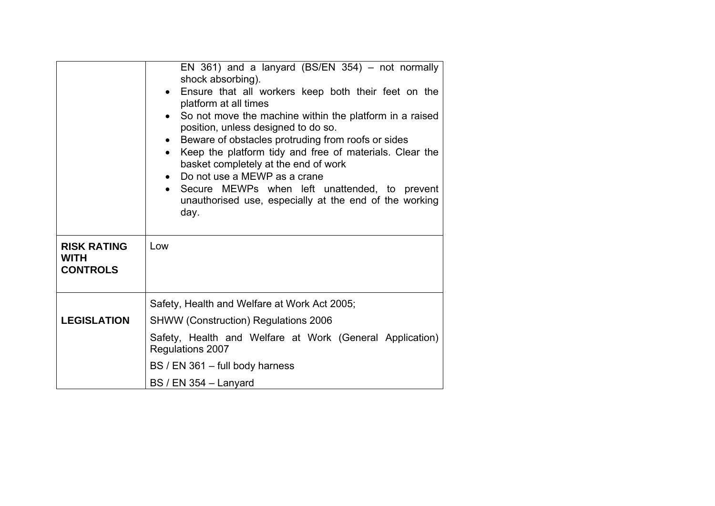|                                                      | EN 361) and a lanyard (BS/EN 354) - not normally<br>shock absorbing).<br>Ensure that all workers keep both their feet on the<br>platform at all times<br>• So not move the machine within the platform in a raised<br>position, unless designed to do so.<br>Beware of obstacles protruding from roofs or sides<br>Keep the platform tidy and free of materials. Clear the<br>$\bullet$<br>basket completely at the end of work<br>Do not use a MEWP as a crane<br>Secure MEWPs when left unattended, to prevent<br>unauthorised use, especially at the end of the working<br>day. |
|------------------------------------------------------|------------------------------------------------------------------------------------------------------------------------------------------------------------------------------------------------------------------------------------------------------------------------------------------------------------------------------------------------------------------------------------------------------------------------------------------------------------------------------------------------------------------------------------------------------------------------------------|
| <b>RISK RATING</b><br><b>WITH</b><br><b>CONTROLS</b> | Low                                                                                                                                                                                                                                                                                                                                                                                                                                                                                                                                                                                |
|                                                      | Safety, Health and Welfare at Work Act 2005;                                                                                                                                                                                                                                                                                                                                                                                                                                                                                                                                       |
| <b>LEGISLATION</b>                                   | <b>SHWW (Construction) Regulations 2006</b>                                                                                                                                                                                                                                                                                                                                                                                                                                                                                                                                        |
|                                                      | Safety, Health and Welfare at Work (General Application)<br>Regulations 2007                                                                                                                                                                                                                                                                                                                                                                                                                                                                                                       |
|                                                      | BS / EN 361 - full body harness                                                                                                                                                                                                                                                                                                                                                                                                                                                                                                                                                    |
|                                                      | BS / EN 354 - Lanyard                                                                                                                                                                                                                                                                                                                                                                                                                                                                                                                                                              |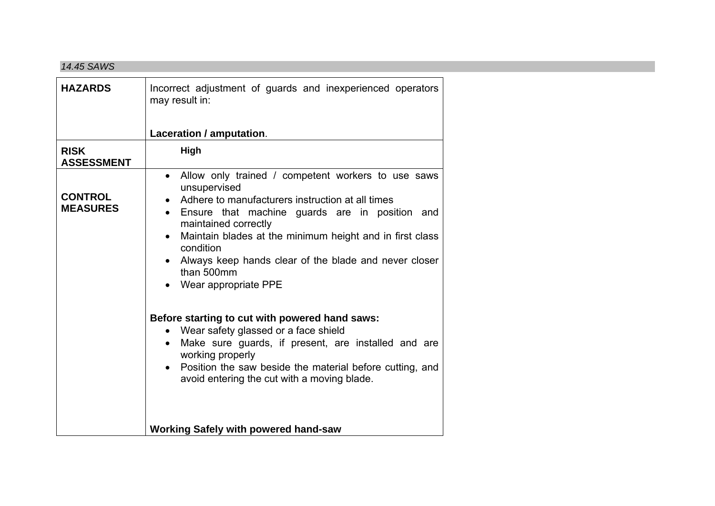#### *14.45 SAWS*

| <b>HAZARDS</b>                    | Incorrect adjustment of guards and inexperienced operators<br>may result in:                                                                                                                                                                                                                                                                                                                                                                                                                                                                                                                                                                                            |
|-----------------------------------|-------------------------------------------------------------------------------------------------------------------------------------------------------------------------------------------------------------------------------------------------------------------------------------------------------------------------------------------------------------------------------------------------------------------------------------------------------------------------------------------------------------------------------------------------------------------------------------------------------------------------------------------------------------------------|
|                                   | Laceration / amputation.                                                                                                                                                                                                                                                                                                                                                                                                                                                                                                                                                                                                                                                |
| <b>RISK</b><br><b>ASSESSMENT</b>  | High                                                                                                                                                                                                                                                                                                                                                                                                                                                                                                                                                                                                                                                                    |
| <b>CONTROL</b><br><b>MEASURES</b> | Allow only trained / competent workers to use saws<br>$\bullet$<br>unsupervised<br>Adhere to manufacturers instruction at all times<br>Ensure that machine guards are in position and<br>maintained correctly<br>Maintain blades at the minimum height and in first class<br>condition<br>Always keep hands clear of the blade and never closer<br>than 500mm<br>• Wear appropriate PPE<br>Before starting to cut with powered hand saws:<br>Wear safety glassed or a face shield<br>Make sure guards, if present, are installed and are<br>working properly<br>Position the saw beside the material before cutting, and<br>avoid entering the cut with a moving blade. |
|                                   | <b>Working Safely with powered hand-saw</b>                                                                                                                                                                                                                                                                                                                                                                                                                                                                                                                                                                                                                             |
|                                   |                                                                                                                                                                                                                                                                                                                                                                                                                                                                                                                                                                                                                                                                         |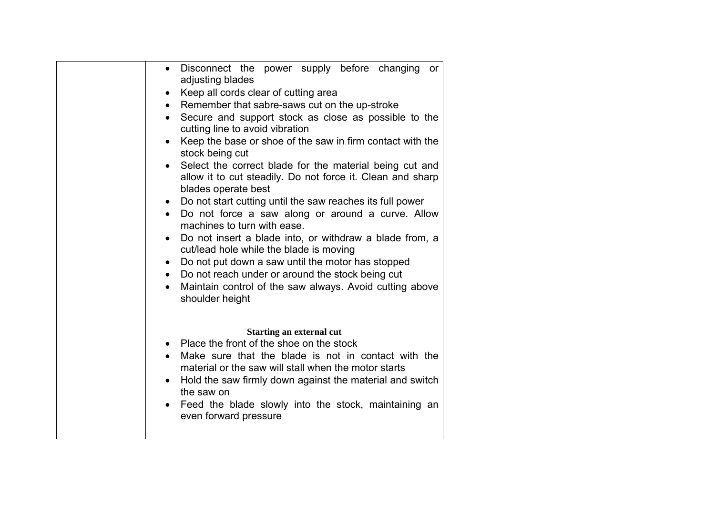| Disconnect the power supply before changing<br>or<br>$\bullet$<br>adjusting blades |
|------------------------------------------------------------------------------------|
| Keep all cords clear of cutting area<br>$\bullet$                                  |
| Remember that sabre-saws cut on the up-stroke<br>$\bullet$                         |
| Secure and support stock as close as possible to the                               |
| cutting line to avoid vibration                                                    |
| Keep the base or shoe of the saw in firm contact with the<br>$\bullet$             |
| stock being cut                                                                    |
| Select the correct blade for the material being cut and<br>$\bullet$               |
| allow it to cut steadily. Do not force it. Clean and sharp                         |
| blades operate best                                                                |
| Do not start cutting until the saw reaches its full power<br>$\bullet$             |
| Do not force a saw along or around a curve. Allow<br>$\bullet$                     |
| machines to turn with ease.                                                        |
| Do not insert a blade into, or withdraw a blade from, a<br>$\bullet$               |
| cut/lead hole while the blade is moving                                            |
| Do not put down a saw until the motor has stopped<br>$\bullet$                     |
| Do not reach under or around the stock being cut<br>$\bullet$                      |
| Maintain control of the saw always. Avoid cutting above<br>$\bullet$               |
| shoulder height                                                                    |
|                                                                                    |
| <b>Starting an external cut</b>                                                    |
| Place the front of the shoe on the stock<br>$\bullet$                              |
| Make sure that the blade is not in contact with the<br>$\bullet$                   |
| material or the saw will stall when the motor starts                               |
| Hold the saw firmly down against the material and switch                           |
| the saw on                                                                         |
| Feed the blade slowly into the stock, maintaining an                               |
| even forward pressure                                                              |
|                                                                                    |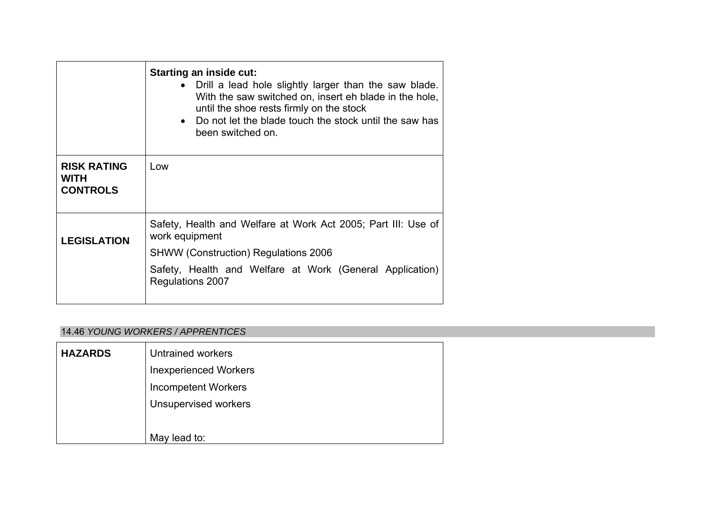|                                                      | <b>Starting an inside cut:</b><br>Drill a lead hole slightly larger than the saw blade.<br>With the saw switched on, insert eh blade in the hole,<br>until the shoe rests firmly on the stock<br>• Do not let the blade touch the stock until the saw has<br>been switched on. |
|------------------------------------------------------|--------------------------------------------------------------------------------------------------------------------------------------------------------------------------------------------------------------------------------------------------------------------------------|
| <b>RISK RATING</b><br><b>WITH</b><br><b>CONTROLS</b> | Low                                                                                                                                                                                                                                                                            |
| <b>LEGISLATION</b>                                   | Safety, Health and Welfare at Work Act 2005; Part III: Use of<br>work equipment<br><b>SHWW (Construction) Regulations 2006</b><br>Safety, Health and Welfare at Work (General Application)<br>Regulations 2007                                                                 |

## 14.46 *YOUNG WORKERS / APPRENTICES*

| <b>HAZARDS</b> | <b>Untrained workers</b>     |
|----------------|------------------------------|
|                | <b>Inexperienced Workers</b> |
|                | <b>Incompetent Workers</b>   |
|                | <b>Unsupervised workers</b>  |
|                |                              |
|                | May lead to:                 |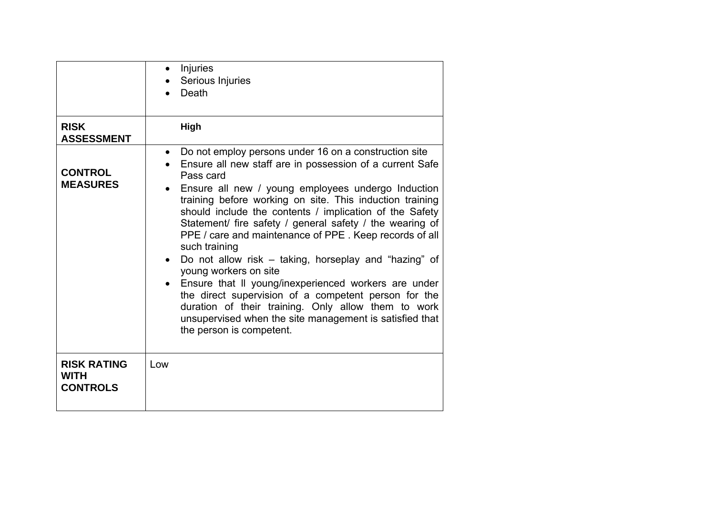|                                                      | Injuries<br>Serious Injuries<br>Death                                                                                                                                                                                                                                                                                                                                                                                                                                                                                                                                                                                                                                                                                                                                                                                                       |
|------------------------------------------------------|---------------------------------------------------------------------------------------------------------------------------------------------------------------------------------------------------------------------------------------------------------------------------------------------------------------------------------------------------------------------------------------------------------------------------------------------------------------------------------------------------------------------------------------------------------------------------------------------------------------------------------------------------------------------------------------------------------------------------------------------------------------------------------------------------------------------------------------------|
| <b>RISK</b><br><b>ASSESSMENT</b>                     | High                                                                                                                                                                                                                                                                                                                                                                                                                                                                                                                                                                                                                                                                                                                                                                                                                                        |
| <b>CONTROL</b><br><b>MEASURES</b>                    | Do not employ persons under 16 on a construction site<br>$\bullet$<br>Ensure all new staff are in possession of a current Safe<br>Pass card<br>Ensure all new / young employees undergo Induction<br>$\bullet$<br>training before working on site. This induction training<br>should include the contents / implication of the Safety<br>Statement/ fire safety / general safety / the wearing of<br>PPE / care and maintenance of PPE. Keep records of all<br>such training<br>Do not allow risk – taking, horseplay and "hazing" of<br>$\bullet$<br>young workers on site<br>• Ensure that II young/inexperienced workers are under<br>the direct supervision of a competent person for the<br>duration of their training. Only allow them to work<br>unsupervised when the site management is satisfied that<br>the person is competent. |
| <b>RISK RATING</b><br><b>WITH</b><br><b>CONTROLS</b> | Low                                                                                                                                                                                                                                                                                                                                                                                                                                                                                                                                                                                                                                                                                                                                                                                                                                         |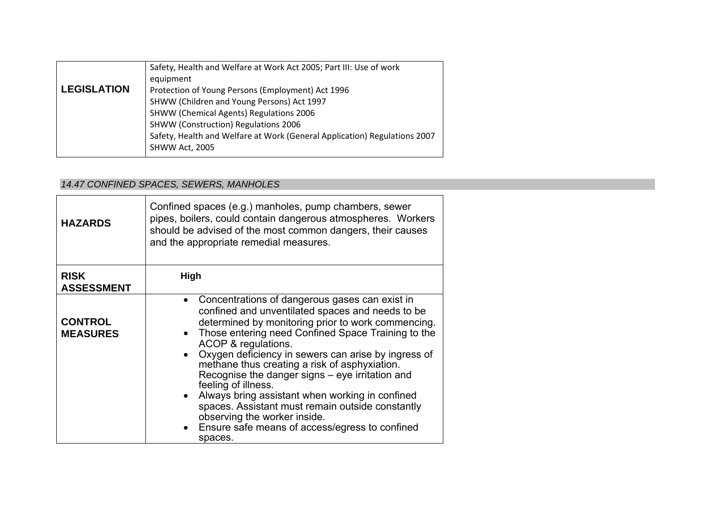|                    | Safety, Health and Welfare at Work Act 2005; Part III: Use of work        |
|--------------------|---------------------------------------------------------------------------|
|                    | equipment                                                                 |
| <b>LEGISLATION</b> | Protection of Young Persons (Employment) Act 1996                         |
|                    | SHWW (Children and Young Persons) Act 1997                                |
|                    | <b>SHWW (Chemical Agents) Regulations 2006</b>                            |
|                    | SHWW (Construction) Regulations 2006                                      |
|                    | Safety, Health and Welfare at Work (General Application) Regulations 2007 |
|                    | SHWW Act, 2005                                                            |

# *14.47 CONFINED SPACES, SEWERS, MANHOLES*

| <b>HAZARDS</b>                    | Confined spaces (e.g.) manholes, pump chambers, sewer<br>pipes, boilers, could contain dangerous atmospheres. Workers<br>should be advised of the most common dangers, their causes<br>and the appropriate remedial measures.                                                                                                                                                                                                                                                                                                                                                                                                 |
|-----------------------------------|-------------------------------------------------------------------------------------------------------------------------------------------------------------------------------------------------------------------------------------------------------------------------------------------------------------------------------------------------------------------------------------------------------------------------------------------------------------------------------------------------------------------------------------------------------------------------------------------------------------------------------|
| <b>RISK</b><br><b>ASSESSMENT</b>  | <b>High</b>                                                                                                                                                                                                                                                                                                                                                                                                                                                                                                                                                                                                                   |
| <b>CONTROL</b><br><b>MEASURES</b> | Concentrations of dangerous gases can exist in<br>confined and unventilated spaces and needs to be<br>determined by monitoring prior to work commencing.<br>Those entering need Confined Space Training to the<br>ACOP & regulations.<br>Oxygen deficiency in sewers can arise by ingress of<br>methane thus creating a risk of asphyxiation.<br>Recognise the danger signs – eye irritation and<br>feeling of illness.<br>• Always bring assistant when working in confined<br>spaces. Assistant must remain outside constantly<br>observing the worker inside.<br>Ensure safe means of access/egress to confined<br>spaces. |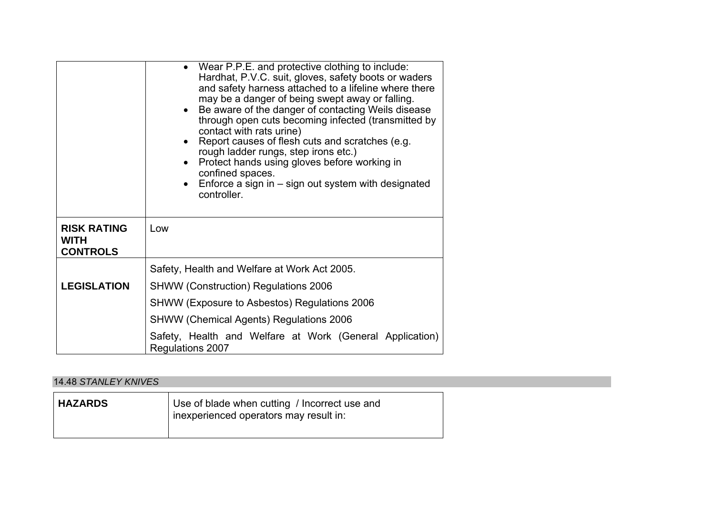|                                                      | • Wear P.P.E. and protective clothing to include:<br>Hardhat, P.V.C. suit, gloves, safety boots or waders<br>and safety harness attached to a lifeline where there<br>may be a danger of being swept away or falling.<br>Be aware of the danger of contacting Weils disease<br>through open cuts becoming infected (transmitted by<br>contact with rats urine)<br>Report causes of flesh cuts and scratches (e.g.<br>rough ladder rungs, step irons etc.)<br>Protect hands using gloves before working in<br>confined spaces.<br>Enforce a sign in – sign out system with designated<br>controller. |
|------------------------------------------------------|-----------------------------------------------------------------------------------------------------------------------------------------------------------------------------------------------------------------------------------------------------------------------------------------------------------------------------------------------------------------------------------------------------------------------------------------------------------------------------------------------------------------------------------------------------------------------------------------------------|
| <b>RISK RATING</b><br><b>WITH</b><br><b>CONTROLS</b> | Low                                                                                                                                                                                                                                                                                                                                                                                                                                                                                                                                                                                                 |
|                                                      | Safety, Health and Welfare at Work Act 2005.                                                                                                                                                                                                                                                                                                                                                                                                                                                                                                                                                        |
| <b>LEGISLATION</b>                                   | <b>SHWW (Construction) Regulations 2006</b>                                                                                                                                                                                                                                                                                                                                                                                                                                                                                                                                                         |
|                                                      | SHWW (Exposure to Asbestos) Regulations 2006                                                                                                                                                                                                                                                                                                                                                                                                                                                                                                                                                        |
|                                                      | <b>SHWW (Chemical Agents) Regulations 2006</b>                                                                                                                                                                                                                                                                                                                                                                                                                                                                                                                                                      |
|                                                      | Safety, Health and Welfare at Work (General Application)<br>Regulations 2007                                                                                                                                                                                                                                                                                                                                                                                                                                                                                                                        |

## 14.48 *STANLEY KNIVES*

| <b>HAZARDS</b> | Use of blade when cutting / Incorrect use and<br>inexperienced operators may result in: |
|----------------|-----------------------------------------------------------------------------------------|
|----------------|-----------------------------------------------------------------------------------------|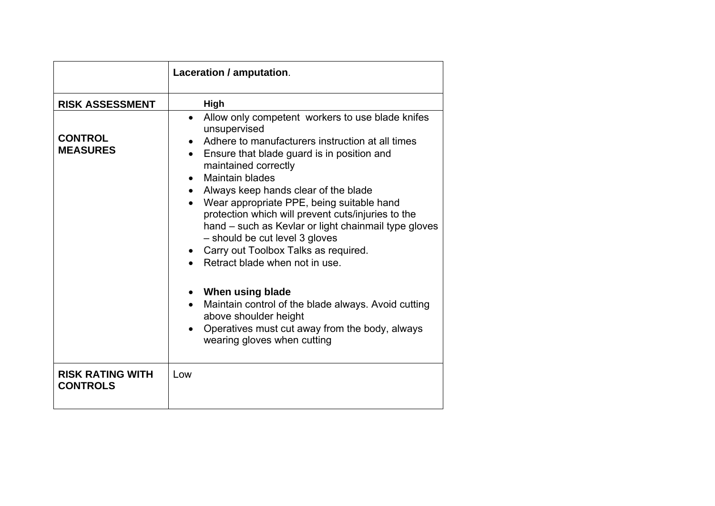|                                            | Laceration / amputation.                                                                                                                                                                                                                                                                                                                                                                                                                                                                                                                                                   |
|--------------------------------------------|----------------------------------------------------------------------------------------------------------------------------------------------------------------------------------------------------------------------------------------------------------------------------------------------------------------------------------------------------------------------------------------------------------------------------------------------------------------------------------------------------------------------------------------------------------------------------|
| <b>RISK ASSESSMENT</b>                     | High                                                                                                                                                                                                                                                                                                                                                                                                                                                                                                                                                                       |
| <b>CONTROL</b><br><b>MEASURES</b>          | Allow only competent workers to use blade knifes<br>$\bullet$<br>unsupervised<br>Adhere to manufacturers instruction at all times<br>Ensure that blade guard is in position and<br>maintained correctly<br><b>Maintain blades</b><br>$\bullet$<br>Always keep hands clear of the blade<br>$\bullet$<br>Wear appropriate PPE, being suitable hand<br>protection which will prevent cuts/injuries to the<br>hand – such as Kevlar or light chainmail type gloves<br>- should be cut level 3 gloves<br>Carry out Toolbox Talks as required.<br>Retract blade when not in use. |
|                                            | When using blade<br>Maintain control of the blade always. Avoid cutting<br>$\bullet$<br>above shoulder height<br>Operatives must cut away from the body, always<br>wearing gloves when cutting                                                                                                                                                                                                                                                                                                                                                                             |
| <b>RISK RATING WITH</b><br><b>CONTROLS</b> | Low                                                                                                                                                                                                                                                                                                                                                                                                                                                                                                                                                                        |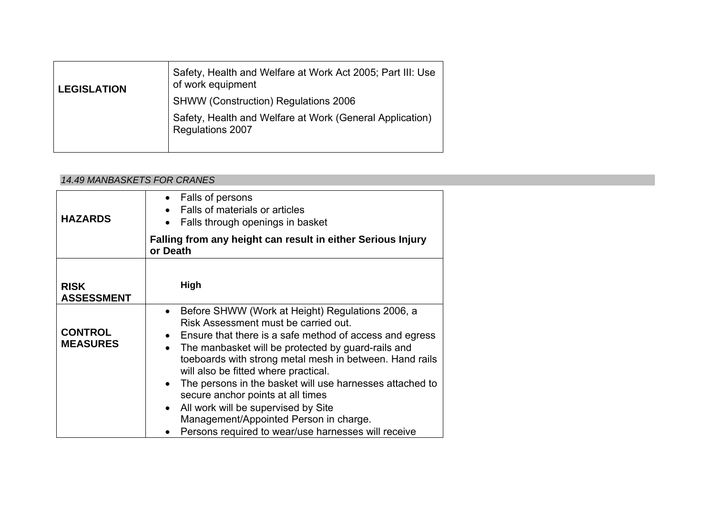| <b>LEGISLATION</b> | Safety, Health and Welfare at Work Act 2005; Part III: Use<br>of work equipment     |
|--------------------|-------------------------------------------------------------------------------------|
|                    | <b>SHWW (Construction) Regulations 2006</b>                                         |
|                    | Safety, Health and Welfare at Work (General Application)<br><b>Regulations 2007</b> |

### *14.49 MANBASKETS FOR CRANES*

| <b>HAZARDS</b>                    | • Falls of persons<br>Falls of materials or articles<br>Falls through openings in basket<br>Falling from any height can result in either Serious Injury<br>or Death                                                                                                                                                                                                                                                                                                                                                                                                               |
|-----------------------------------|-----------------------------------------------------------------------------------------------------------------------------------------------------------------------------------------------------------------------------------------------------------------------------------------------------------------------------------------------------------------------------------------------------------------------------------------------------------------------------------------------------------------------------------------------------------------------------------|
| <b>RISK</b><br><b>ASSESSMENT</b>  | <b>High</b>                                                                                                                                                                                                                                                                                                                                                                                                                                                                                                                                                                       |
| <b>CONTROL</b><br><b>MEASURES</b> | Before SHWW (Work at Height) Regulations 2006, a<br>$\bullet$<br>Risk Assessment must be carried out.<br>• Ensure that there is a safe method of access and egress<br>The manbasket will be protected by guard-rails and<br>toeboards with strong metal mesh in between. Hand rails<br>will also be fitted where practical.<br>The persons in the basket will use harnesses attached to<br>$\bullet$<br>secure anchor points at all times<br>All work will be supervised by Site<br>Management/Appointed Person in charge.<br>Persons required to wear/use harnesses will receive |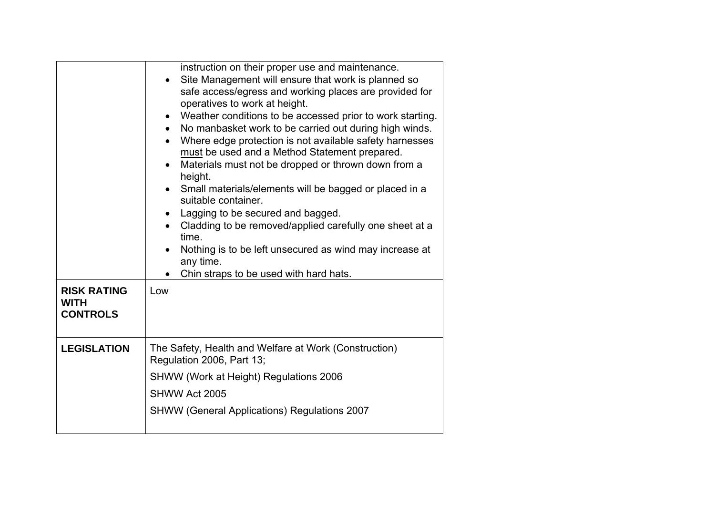|                                                      | instruction on their proper use and maintenance.<br>Site Management will ensure that work is planned so<br>safe access/egress and working places are provided for<br>operatives to work at height.<br>Weather conditions to be accessed prior to work starting.<br>$\bullet$<br>No manbasket work to be carried out during high winds.<br>$\bullet$<br>Where edge protection is not available safety harnesses<br>must be used and a Method Statement prepared.<br>Materials must not be dropped or thrown down from a<br>height.<br>Small materials/elements will be bagged or placed in a<br>suitable container.<br>Lagging to be secured and bagged.<br>Cladding to be removed/applied carefully one sheet at a<br>time.<br>Nothing is to be left unsecured as wind may increase at<br>any time.<br>Chin straps to be used with hard hats. |  |
|------------------------------------------------------|-----------------------------------------------------------------------------------------------------------------------------------------------------------------------------------------------------------------------------------------------------------------------------------------------------------------------------------------------------------------------------------------------------------------------------------------------------------------------------------------------------------------------------------------------------------------------------------------------------------------------------------------------------------------------------------------------------------------------------------------------------------------------------------------------------------------------------------------------|--|
| <b>RISK RATING</b><br><b>WITH</b><br><b>CONTROLS</b> | Low                                                                                                                                                                                                                                                                                                                                                                                                                                                                                                                                                                                                                                                                                                                                                                                                                                           |  |
| <b>LEGISLATION</b>                                   | The Safety, Health and Welfare at Work (Construction)<br>Regulation 2006, Part 13;                                                                                                                                                                                                                                                                                                                                                                                                                                                                                                                                                                                                                                                                                                                                                            |  |
|                                                      | SHWW (Work at Height) Regulations 2006                                                                                                                                                                                                                                                                                                                                                                                                                                                                                                                                                                                                                                                                                                                                                                                                        |  |
|                                                      | SHWW Act 2005                                                                                                                                                                                                                                                                                                                                                                                                                                                                                                                                                                                                                                                                                                                                                                                                                                 |  |
|                                                      | <b>SHWW (General Applications) Regulations 2007</b>                                                                                                                                                                                                                                                                                                                                                                                                                                                                                                                                                                                                                                                                                                                                                                                           |  |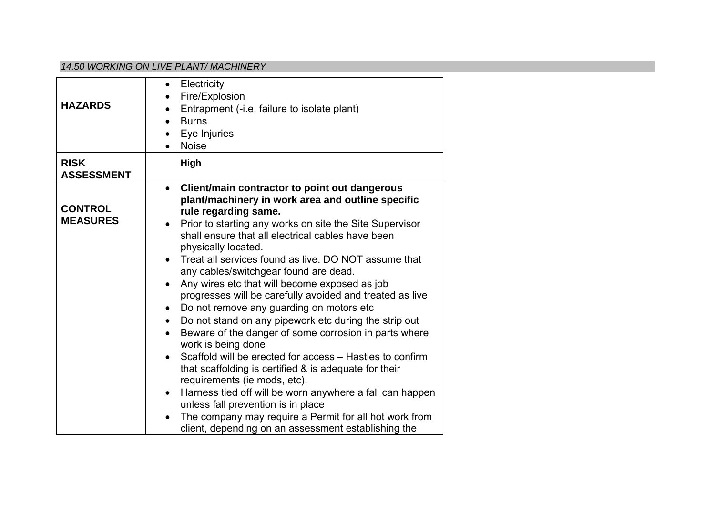#### *14.50 WORKING ON LIVE PLANT/ MACHINERY*

| <b>HAZARDS</b>                    | Electricity<br>$\bullet$<br>Fire/Explosion<br>Entrapment (-i.e. failure to isolate plant)<br>$\bullet$<br><b>Burns</b><br>$\bullet$<br>Eye Injuries<br><b>Noise</b>                                                                                                                                                                                                                                                                                                                                                                                                                                                                                                                                                                                                                                                                                                                                                                                                                                                                                                                                          |
|-----------------------------------|--------------------------------------------------------------------------------------------------------------------------------------------------------------------------------------------------------------------------------------------------------------------------------------------------------------------------------------------------------------------------------------------------------------------------------------------------------------------------------------------------------------------------------------------------------------------------------------------------------------------------------------------------------------------------------------------------------------------------------------------------------------------------------------------------------------------------------------------------------------------------------------------------------------------------------------------------------------------------------------------------------------------------------------------------------------------------------------------------------------|
| <b>RISK</b><br><b>ASSESSMENT</b>  | High                                                                                                                                                                                                                                                                                                                                                                                                                                                                                                                                                                                                                                                                                                                                                                                                                                                                                                                                                                                                                                                                                                         |
| <b>CONTROL</b><br><b>MEASURES</b> | Client/main contractor to point out dangerous<br>$\bullet$<br>plant/machinery in work area and outline specific<br>rule regarding same.<br>Prior to starting any works on site the Site Supervisor<br>$\bullet$<br>shall ensure that all electrical cables have been<br>physically located.<br>Treat all services found as live. DO NOT assume that<br>any cables/switchgear found are dead.<br>Any wires etc that will become exposed as job<br>progresses will be carefully avoided and treated as live<br>Do not remove any guarding on motors etc<br>$\bullet$<br>Do not stand on any pipework etc during the strip out<br>$\bullet$<br>Beware of the danger of some corrosion in parts where<br>work is being done<br>Scaffold will be erected for access – Hasties to confirm<br>that scaffolding is certified & is adequate for their<br>requirements (ie mods, etc).<br>Harness tied off will be worn anywhere a fall can happen<br>$\bullet$<br>unless fall prevention is in place<br>The company may require a Permit for all hot work from<br>client, depending on an assessment establishing the |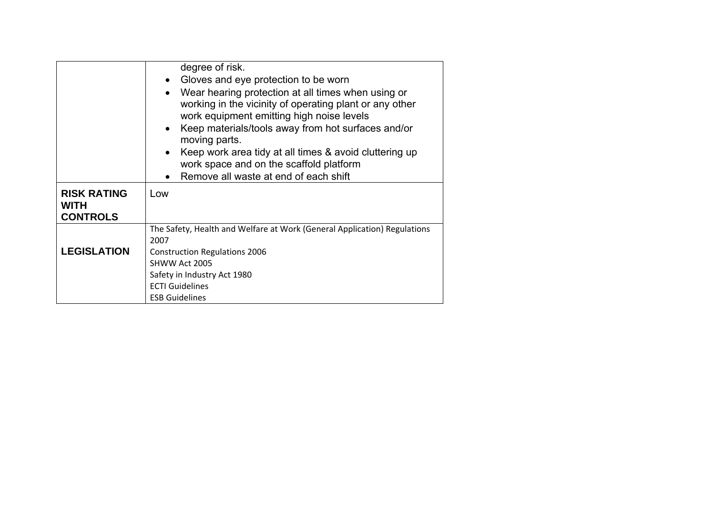|                                                      | degree of risk.<br>• Gloves and eye protection to be worn<br>Wear hearing protection at all times when using or<br>$\bullet$<br>working in the vicinity of operating plant or any other<br>work equipment emitting high noise levels<br>Keep materials/tools away from hot surfaces and/or<br>$\bullet$<br>moving parts.<br>Keep work area tidy at all times & avoid cluttering up<br>$\bullet$ |  |
|------------------------------------------------------|-------------------------------------------------------------------------------------------------------------------------------------------------------------------------------------------------------------------------------------------------------------------------------------------------------------------------------------------------------------------------------------------------|--|
|                                                      | work space and on the scaffold platform                                                                                                                                                                                                                                                                                                                                                         |  |
|                                                      | Remove all waste at end of each shift                                                                                                                                                                                                                                                                                                                                                           |  |
| <b>RISK RATING</b><br><b>WITH</b><br><b>CONTROLS</b> | Low                                                                                                                                                                                                                                                                                                                                                                                             |  |
|                                                      | The Safety, Health and Welfare at Work (General Application) Regulations                                                                                                                                                                                                                                                                                                                        |  |
|                                                      | 2007                                                                                                                                                                                                                                                                                                                                                                                            |  |
| <b>LEGISLATION</b>                                   | <b>Construction Regulations 2006</b>                                                                                                                                                                                                                                                                                                                                                            |  |
|                                                      | SHWW Act 2005                                                                                                                                                                                                                                                                                                                                                                                   |  |
|                                                      | Safety in Industry Act 1980                                                                                                                                                                                                                                                                                                                                                                     |  |
|                                                      | <b>ECTI Guidelines</b>                                                                                                                                                                                                                                                                                                                                                                          |  |
|                                                      | <b>ESB Guidelines</b>                                                                                                                                                                                                                                                                                                                                                                           |  |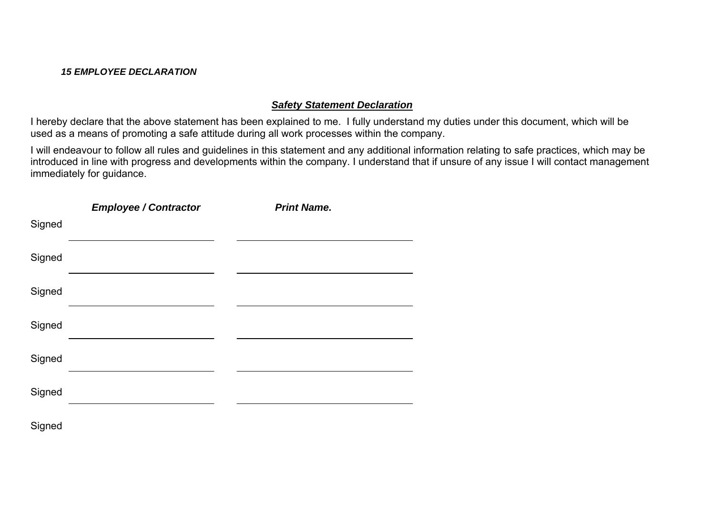## *15 EMPLOYEE DECLARATION*

## *Safety Statement Declaration*

I hereby declare that the above statement has been explained to me. I fully understand my duties under this document, which will be used as a means of promoting a safe attitude during all work processes within the company.

I will endeavour to follow all rules and guidelines in this statement and any additional information relating to safe practices, which may be introduced in line with progress and developments within the company. I understand that if unsure of any issue I will contact management immediately for guidance.

|        | <b>Employee / Contractor</b> | <b>Print Name.</b> |  |
|--------|------------------------------|--------------------|--|
| Signed |                              |                    |  |
| Signed |                              |                    |  |
| Signed |                              |                    |  |
| Signed |                              |                    |  |
| Signed |                              |                    |  |
| Signed |                              |                    |  |
| Signed |                              |                    |  |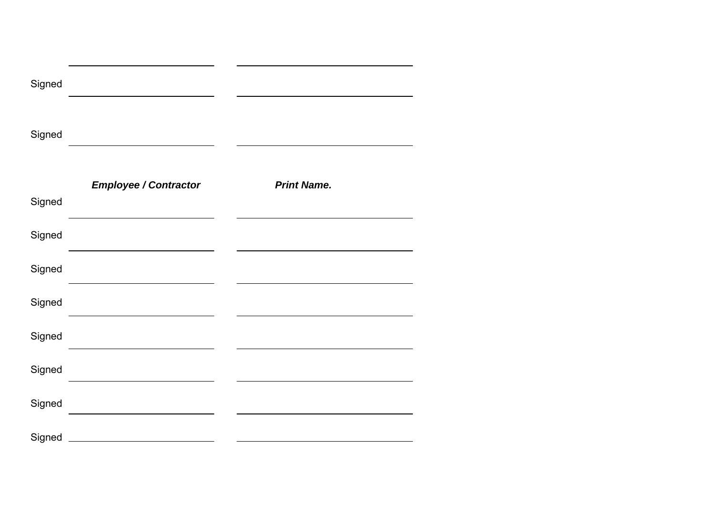| Signed |                                                                                      |                    |
|--------|--------------------------------------------------------------------------------------|--------------------|
| Signed |                                                                                      |                    |
| Signed | <b>Employee / Contractor</b><br><u> 1989 - Johann Stoff, Amerikaansk politiker (</u> | <b>Print Name.</b> |
| Signed |                                                                                      |                    |
| Signed |                                                                                      |                    |
| Signed |                                                                                      |                    |
| Signed |                                                                                      |                    |
| Signed |                                                                                      |                    |
| Signed | the control of the control of the control of the control of the control of           |                    |
| Signed |                                                                                      |                    |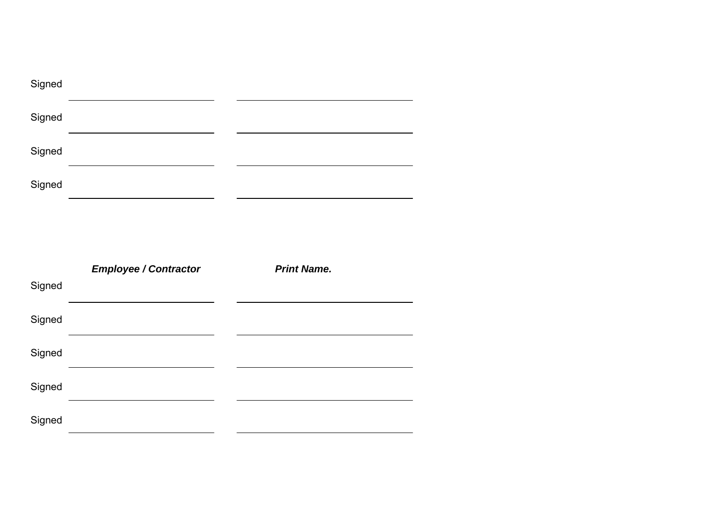| Signed |                              |                    |
|--------|------------------------------|--------------------|
| Signed |                              |                    |
| Signed |                              |                    |
| Signed |                              |                    |
|        |                              |                    |
|        |                              |                    |
|        |                              |                    |
|        | <b>Employee / Contractor</b> | <b>Print Name.</b> |
| Signed |                              |                    |
| Signed |                              |                    |
| Signed |                              |                    |
| Signed |                              |                    |